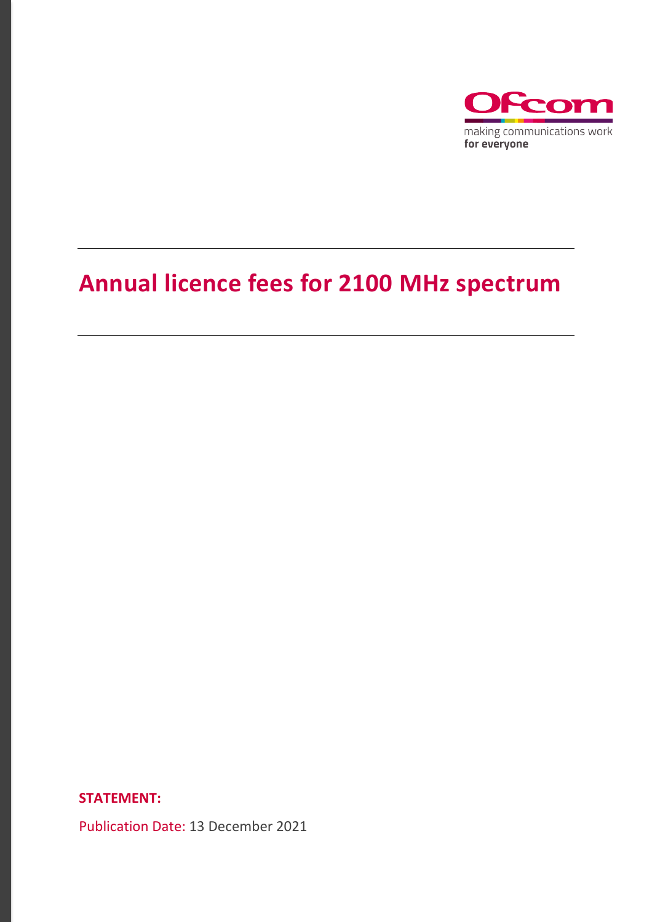

# **Annual licence fees for 2100 MHz spectrum**

**STATEMENT:**

Publication Date: 13 December 2021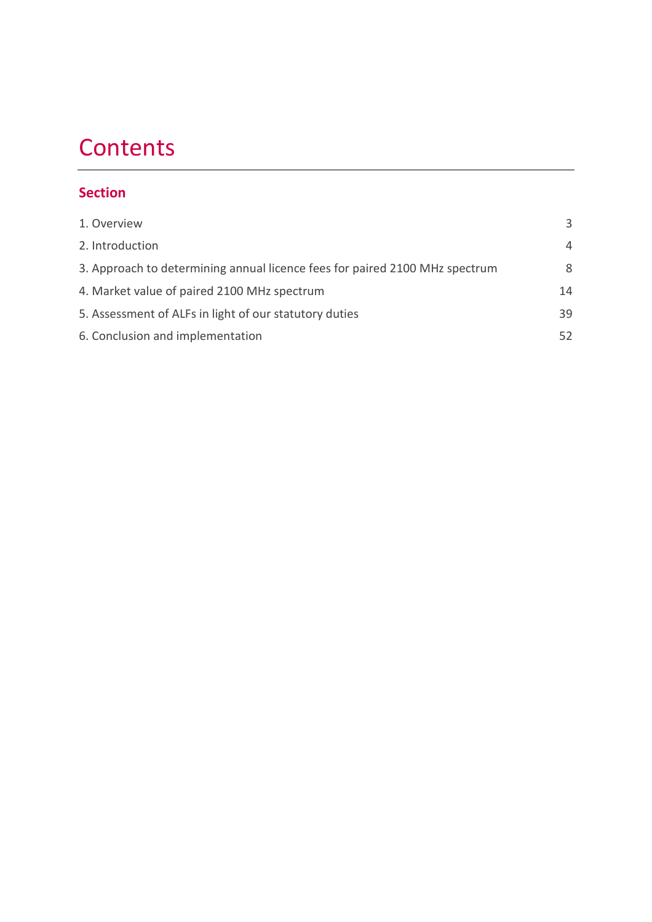# **Contents**

# **Section**

| 1. Overview                                                                 | 3              |
|-----------------------------------------------------------------------------|----------------|
| 2. Introduction                                                             | $\overline{4}$ |
| 3. Approach to determining annual licence fees for paired 2100 MHz spectrum | 8              |
| 4. Market value of paired 2100 MHz spectrum                                 | 14             |
| 5. Assessment of ALFs in light of our statutory duties                      | 39             |
| 6. Conclusion and implementation                                            | 52             |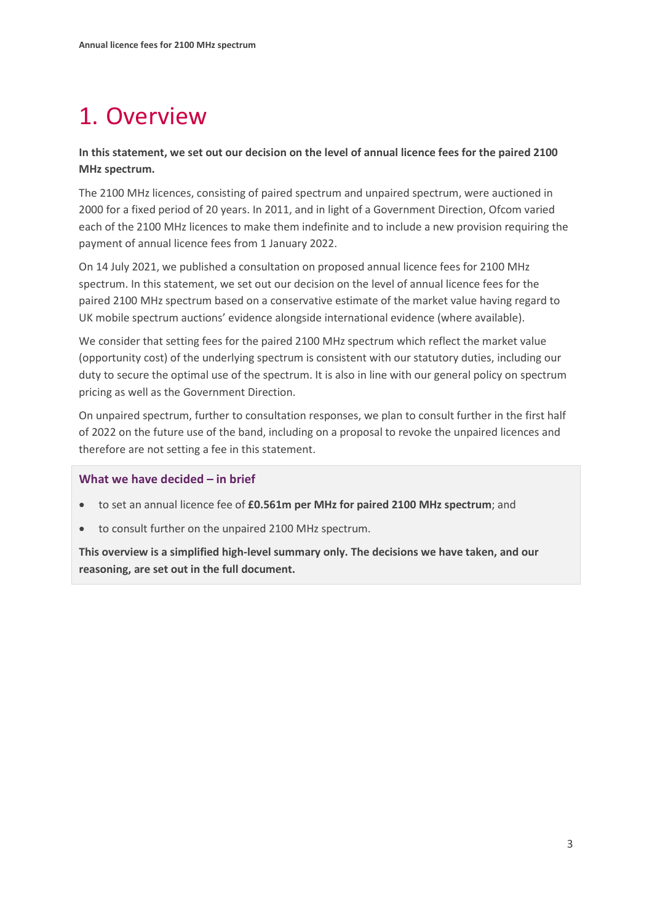# <span id="page-2-0"></span>1. Overview

## **In this statement, we set out our decision on the level of annual licence fees for the paired 2100 MHz spectrum.**

The 2100 MHz licences, consisting of paired spectrum and unpaired spectrum, were auctioned in 2000 for a fixed period of 20 years. In 2011, and in light of a Government Direction, Ofcom varied each of the 2100 MHz licences to make them indefinite and to include a new provision requiring the payment of annual licence fees from 1 January 2022.

On 14 July 2021, we published a consultation on proposed annual licence fees for 2100 MHz spectrum. In this statement, we set out our decision on the level of annual licence fees for the paired 2100 MHz spectrum based on a conservative estimate of the market value having regard to UK mobile spectrum auctions' evidence alongside international evidence (where available).

We consider that setting fees for the paired 2100 MHz spectrum which reflect the market value (opportunity cost) of the underlying spectrum is consistent with our statutory duties, including our duty to secure the optimal use of the spectrum. It is also in line with our general policy on spectrum pricing as well as the Government Direction.

On unpaired spectrum, further to consultation responses, we plan to consult further in the first half of 2022 on the future use of the band, including on a proposal to revoke the unpaired licences and therefore are not setting a fee in this statement.

#### **What we have decided – in brief**

- to set an annual licence fee of **£0.561m per MHz for paired 2100 MHz spectrum**; and
- to consult further on the unpaired 2100 MHz spectrum.

**This overview is a simplified high-level summary only. The decisions we have taken, and our reasoning, are set out in the full document.**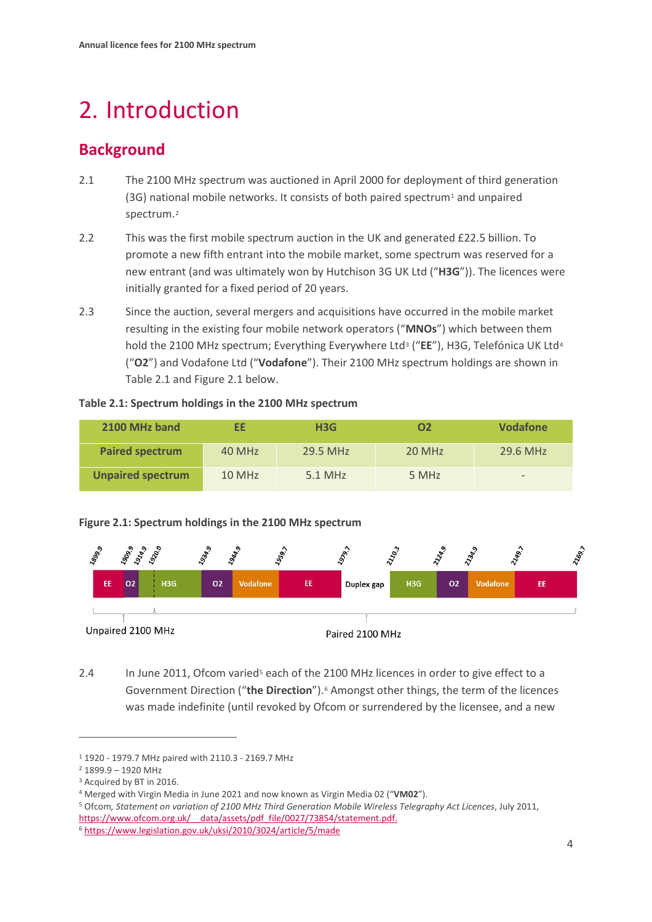# <span id="page-3-0"></span>2. Introduction

# **Background**

- 2.1 The 2100 MHz spectrum was auctioned in April 2000 for deployment of third generation (3G) national mobile networks. It consists of both paired spectrum<sup>[1](#page-3-1)</sup> and unpaired spectrum.[2](#page-3-2)
- 2.2 This was the first mobile spectrum auction in the UK and generated £22.5 billion. To promote a new fifth entrant into the mobile market, some spectrum was reserved for a new entrant (and was ultimately won by Hutchison 3G UK Ltd ("**H3G**")). The licences were initially granted for a fixed period of 20 years.
- 2.3 Since the auction, several mergers and acquisitions have occurred in the mobile market resulting in the existing four mobile network operators ("**MNOs**") which between them hold the 2100 MHz spectrum; Everything Everywhere Ltd[3](#page-3-3) ("**EE**"), H3G, Telefónica UK Ltd[4](#page-3-4) ("**O2**") and Vodafone Ltd ("**Vodafone**"). Their 2100 MHz spectrum holdings are shown in Table 2.1 and Figure 2.1 below.

#### **Table 2.1: Spectrum holdings in the 2100 MHz spectrum**

| 2100 MHz band            | FF     | H3G       | Ο2     | <b>Vodafone</b>          |
|--------------------------|--------|-----------|--------|--------------------------|
| <b>Paired spectrum</b>   | 40 MHz | 29.5 MHz  | 20 MHz | 29.6 MHz                 |
| <b>Unpaired spectrum</b> | 10 MHz | $5.1$ MHz | 5 MHz  | $\overline{\phantom{0}}$ |

#### **Figure 2.1: Spectrum holdings in the 2100 MHz spectrum**



2.4 In June 2011, Ofcom varied<sup>[5](#page-3-5)</sup> each of the 2100 MHz licences in order to give effect to a Government Direction ("**the Direction**").[6](#page-3-6) Amongst other things, the term of the licences was made indefinite (until revoked by Ofcom or surrendered by the licensee, and a new

<span id="page-3-1"></span><sup>1</sup> 1920 - 1979.7 MHz paired with 2110.3 - 2169.7 MHz

<span id="page-3-2"></span><sup>2</sup> 1899.9 – 1920 MHz

<span id="page-3-3"></span><sup>3</sup> Acquired by BT in 2016.

<span id="page-3-4"></span><sup>4</sup> Merged with Virgin Media in June 2021 and now known as Virgin Media 02 ("**VM02**").

<span id="page-3-5"></span><sup>5</sup> Ofcom*, Statement on variation of 2100 MHz Third Generation Mobile Wireless Telegraphy Act Licences*, July 2011, https://www.ofcom.org.uk/ data/assets/pdf file/0027/73854/statement.pdf.

<span id="page-3-6"></span><sup>6</sup> <https://www.legislation.gov.uk/uksi/2010/3024/article/5/made>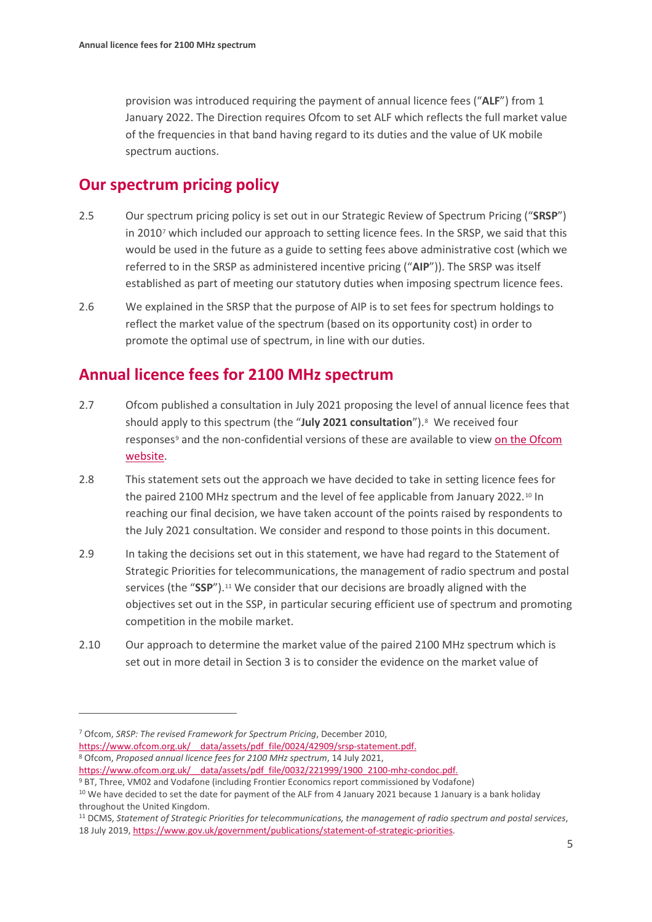provision was introduced requiring the payment of annual licence fees ("**ALF**") from 1 January 2022. The Direction requires Ofcom to set ALF which reflects the full market value of the frequencies in that band having regard to its duties and the value of UK mobile spectrum auctions.

# **Our spectrum pricing policy**

- 2.5 Our spectrum pricing policy is set out in our Strategic Review of Spectrum Pricing ("**SRSP**") in 2010[7](#page-4-0) which included our approach to setting licence fees. In the SRSP, we said that this would be used in the future as a guide to setting fees above administrative cost (which we referred to in the SRSP as administered incentive pricing ("**AIP**")). The SRSP was itself established as part of meeting our statutory duties when imposing spectrum licence fees.
- 2.6 We explained in the SRSP that the purpose of AIP is to set fees for spectrum holdings to reflect the market value of the spectrum (based on its opportunity cost) in order to promote the optimal use of spectrum, in line with our duties.

# **Annual licence fees for 2100 MHz spectrum**

- 2.7 Ofcom published a consultation in July 2021 proposing the level of annual licence fees that should apply to this spectrum (the "**July 2021 consultation**").[8](#page-4-1) We received four responses<sup>[9](#page-4-2)</sup> and the non-confidential versions of these are available to view on the Ofcom [website.](https://www.ofcom.org.uk/consultations-and-statements/category-2/proposed-annual-licence-fees-2100-mhz-spectrum/_recache)
- 2.8 This statement sets out the approach we have decided to take in setting licence fees for the paired 2[10](#page-4-3)0 MHz spectrum and the level of fee applicable from January 2022.<sup>10</sup> In reaching our final decision, we have taken account of the points raised by respondents to the July 2021 consultation. We consider and respond to those points in this document.
- 2.9 In taking the decisions set out in this statement, we have had regard to the Statement of Strategic Priorities for telecommunications, the management of radio spectrum and postal services (the "SSP").<sup>11</sup> We consider that our decisions are broadly aligned with the objectives set out in the SSP, in particular securing efficient use of spectrum and promoting competition in the mobile market.
- 2.10 Our approach to determine the market value of the paired 2100 MHz spectrum which is set out in more detail in Section 3 is to consider the evidence on the market value of

<span id="page-4-1"></span>[https://www.ofcom.org.uk/\\_\\_data/assets/pdf\\_file/0024/42909/srsp-statement.pdf.](https://www.ofcom.org.uk/__data/assets/pdf_file/0024/42909/srsp-statement.pdf) 8 Ofcom, *Proposed annual licence fees for 2100 MHz spectrum*, 14 July 2021,

[https://www.ofcom.org.uk/\\_\\_data/assets/pdf\\_file/0032/221999/1900\\_2100-mhz-condoc.pdf.](https://www.ofcom.org.uk/__data/assets/pdf_file/0032/221999/1900_2100-mhz-condoc.pdf)

<span id="page-4-4"></span><sup>11</sup> DCMS, *Statement of Strategic Priorities for telecommunications, the management of radio spectrum and postal services*, 18 July 2019[, https://www.gov.uk/government/publications/statement-of-strategic-priorities.](https://www.gov.uk/government/publications/statement-of-strategic-priorities)

<span id="page-4-0"></span><sup>7</sup> Ofcom, *SRSP: The revised Framework for Spectrum Pricing*, December 2010,

<span id="page-4-3"></span><span id="page-4-2"></span><sup>9</sup> BT, Three, VM02 and Vodafone (including Frontier Economics report commissioned by Vodafone) <sup>10</sup> We have decided to set the date for payment of the ALF from 4 January 2021 because 1 January is a bank holiday

throughout the United Kingdom.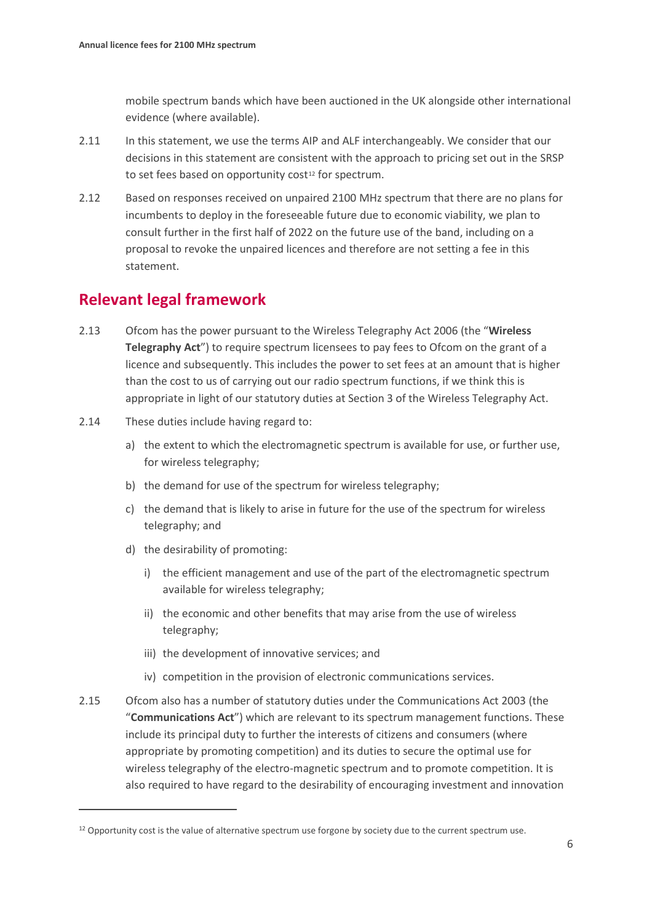mobile spectrum bands which have been auctioned in the UK alongside other international evidence (where available).

- 2.11 In this statement, we use the terms AIP and ALF interchangeably. We consider that our decisions in this statement are consistent with the approach to pricing set out in the SRSP to set fees based on opportunity cost<sup>[12](#page-5-0)</sup> for spectrum.
- 2.12 Based on responses received on unpaired 2100 MHz spectrum that there are no plans for incumbents to deploy in the foreseeable future due to economic viability, we plan to consult further in the first half of 2022 on the future use of the band, including on a proposal to revoke the unpaired licences and therefore are not setting a fee in this statement.

# **Relevant legal framework**

- 2.13 Ofcom has the power pursuant to the Wireless Telegraphy Act 2006 (the "**Wireless Telegraphy Act**") to require spectrum licensees to pay fees to Ofcom on the grant of a licence and subsequently. This includes the power to set fees at an amount that is higher than the cost to us of carrying out our radio spectrum functions, if we think this is appropriate in light of our statutory duties at Section 3 of the Wireless Telegraphy Act.
- 2.14 These duties include having regard to:
	- a) the extent to which the electromagnetic spectrum is available for use, or further use, for wireless telegraphy;
	- b) the demand for use of the spectrum for wireless telegraphy;
	- c) the demand that is likely to arise in future for the use of the spectrum for wireless telegraphy; and
	- d) the desirability of promoting:
		- i) the efficient management and use of the part of the electromagnetic spectrum available for wireless telegraphy;
		- ii) the economic and other benefits that may arise from the use of wireless telegraphy;
		- iii) the development of innovative services; and
		- iv) competition in the provision of electronic communications services.
- 2.15 Ofcom also has a number of statutory duties under the Communications Act 2003 (the "**Communications Act**") which are relevant to its spectrum management functions. These include its principal duty to further the interests of citizens and consumers (where appropriate by promoting competition) and its duties to secure the optimal use for wireless telegraphy of the electro-magnetic spectrum and to promote competition. It is also required to have regard to the desirability of encouraging investment and innovation

<span id="page-5-0"></span><sup>&</sup>lt;sup>12</sup> Opportunity cost is the value of alternative spectrum use forgone by society due to the current spectrum use.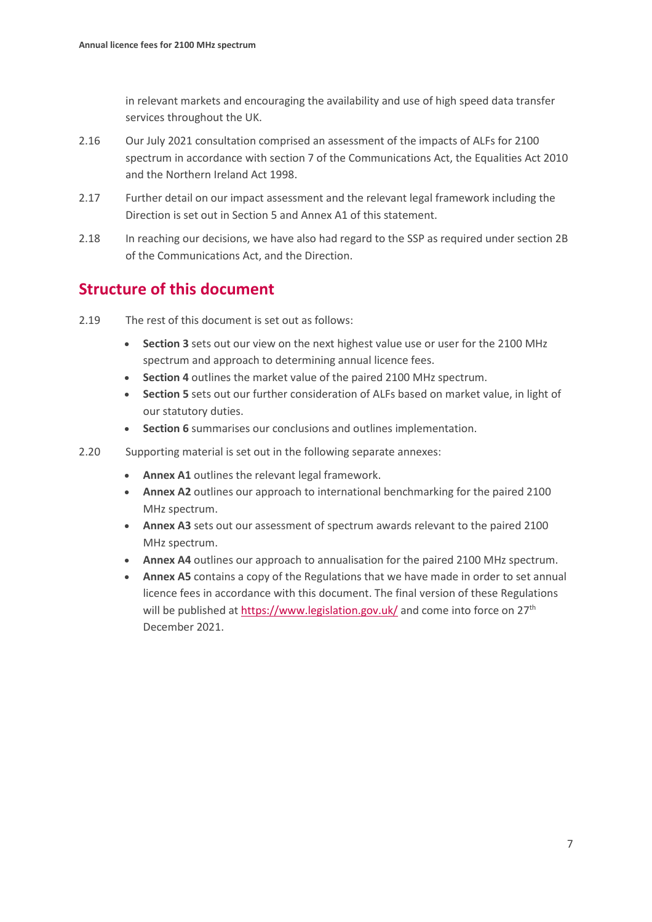in relevant markets and encouraging the availability and use of high speed data transfer services throughout the UK.

- 2.16 Our July 2021 consultation comprised an assessment of the impacts of ALFs for 2100 spectrum in accordance with section 7 of the Communications Act, the Equalities Act 2010 and the Northern Ireland Act 1998.
- 2.17 Further detail on our impact assessment and the relevant legal framework including the Direction is set out in Section 5 and Annex A1 of this statement.
- 2.18 In reaching our decisions, we have also had regard to the SSP as required under section 2B of the Communications Act, and the Direction.

# **Structure of this document**

- 2.19 The rest of this document is set out as follows:
	- **Section 3** sets out our view on the next highest value use or user for the 2100 MHz spectrum and approach to determining annual licence fees.
	- **Section 4** outlines the market value of the paired 2100 MHz spectrum.
	- **Section 5** sets out our further consideration of ALFs based on market value, in light of our statutory duties.
	- **Section 6** summarises our conclusions and outlines implementation.
- 2.20 Supporting material is set out in the following separate annexes:
	- **Annex A1** outlines the relevant legal framework.
	- **Annex A2** outlines our approach to international benchmarking for the paired 2100 MHz spectrum.
	- **Annex A3** sets out our assessment of spectrum awards relevant to the paired 2100 MHz spectrum.
	- **Annex A4** outlines our approach to annualisation for the paired 2100 MHz spectrum.
	- **Annex A5** contains a copy of the Regulations that we have made in order to set annual licence fees in accordance with this document. The final version of these Regulations will be published at<https://www.legislation.gov.uk/> and come into force on  $27<sup>th</sup>$ December 2021.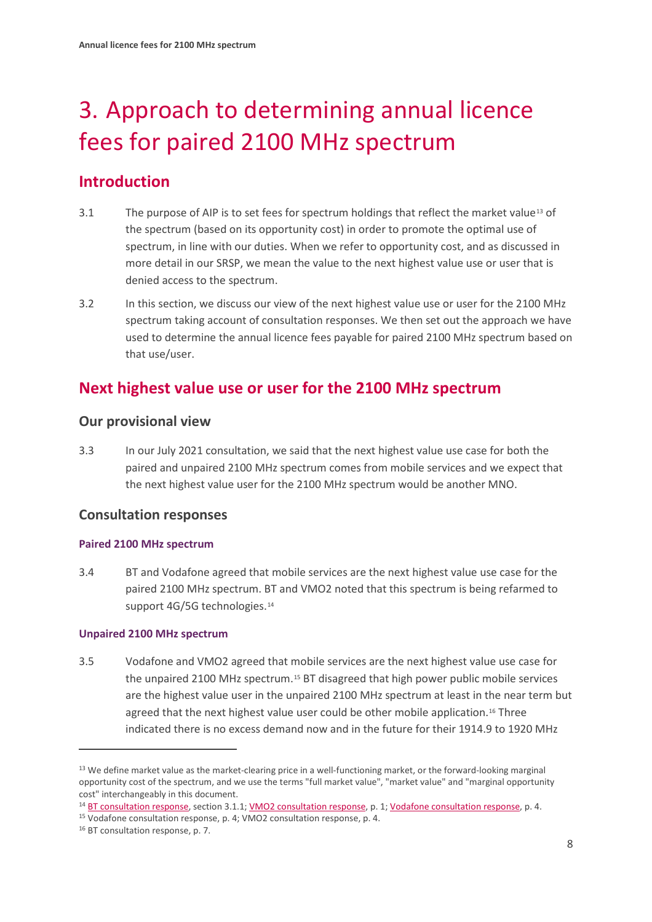# <span id="page-7-0"></span>3. Approach to determining annual licence fees for paired 2100 MHz spectrum

# **Introduction**

- 3.1 The purpose of AIP is to set fees for spectrum holdings that reflect the market value[13](#page-7-1) of the spectrum (based on its opportunity cost) in order to promote the optimal use of spectrum, in line with our duties. When we refer to opportunity cost, and as discussed in more detail in our SRSP, we mean the value to the next highest value use or user that is denied access to the spectrum.
- 3.2 In this section, we discuss our view of the next highest value use or user for the 2100 MHz spectrum taking account of consultation responses. We then set out the approach we have used to determine the annual licence fees payable for paired 2100 MHz spectrum based on that use/user.

# **Next highest value use or user for the 2100 MHz spectrum**

## **Our provisional view**

3.3 In our July 2021 consultation, we said that the next highest value use case for both the paired and unpaired 2100 MHz spectrum comes from mobile services and we expect that the next highest value user for the 2100 MHz spectrum would be another MNO.

## **Consultation responses**

#### **Paired 2100 MHz spectrum**

3.4 BT and Vodafone agreed that mobile services are the next highest value use case for the paired 2100 MHz spectrum. BT and VMO2 noted that this spectrum is being refarmed to support 4G/5G technologies.<sup>[14](#page-7-2)</sup>

#### **Unpaired 2100 MHz spectrum**

3.5 Vodafone and VMO2 agreed that mobile services are the next highest value use case for the unpaired 2100 MHz spectrum.[15](#page-7-3) BT disagreed that high power public mobile services are the highest value user in the unpaired 2100 MHz spectrum at least in the near term but agreed that the next highest value user could be other mobile application.<sup>[16](#page-7-4)</sup> Three indicated there is no excess demand now and in the future for their 1914.9 to 1920 MHz

<span id="page-7-1"></span><sup>&</sup>lt;sup>13</sup> We define market value as the market-clearing price in a well-functioning market, or the forward-looking marginal opportunity cost of the spectrum, and we use the terms "full market value", "market value" and "marginal opportunity cost" interchangeably in this document.

<span id="page-7-2"></span><sup>&</sup>lt;sup>14</sup> [BT consultation response,](https://www.ofcom.org.uk/__data/assets/pdf_file/0023/226085/bt.pdf) section 3.1.1[; VMO2 consultation response,](https://www.ofcom.org.uk/__data/assets/pdf_file/0025/226087/virgin-media-o2.pdf) p. 1[; Vodafone consultation response,](https://www.ofcom.org.uk/__data/assets/pdf_file/0026/226088/vodafone.pdf) p. 4.

<span id="page-7-3"></span><sup>15</sup> Vodafone consultation response, p. 4; VMO2 consultation response, p. 4.

<span id="page-7-4"></span><sup>16</sup> BT consultation response, p. 7.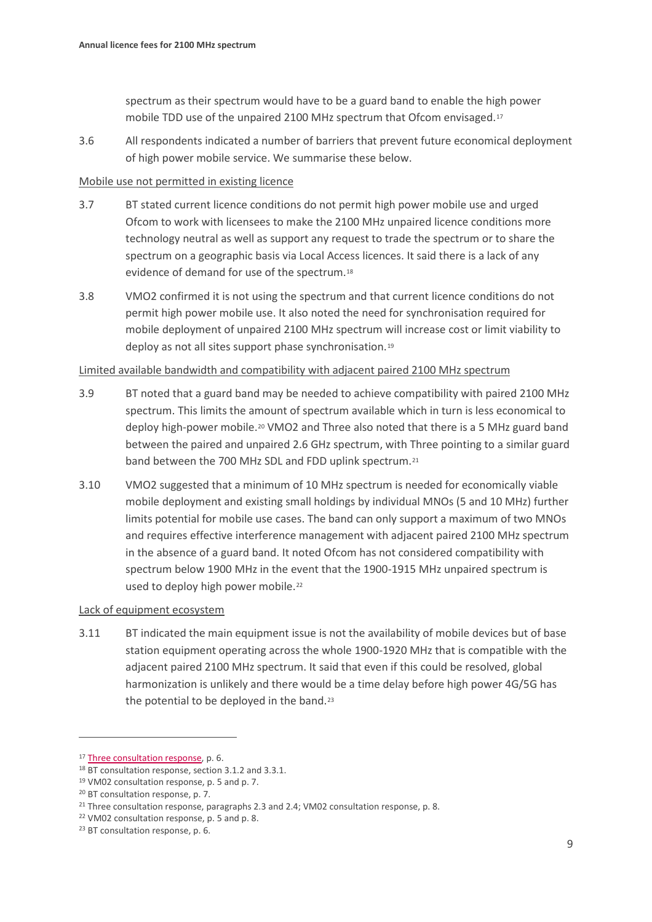spectrum as their spectrum would have to be a guard band to enable the high power mobile TDD use of the unpaired 2100 MHz spectrum that Ofcom envisaged.[17](#page-8-0)

3.6 All respondents indicated a number of barriers that prevent future economical deployment of high power mobile service. We summarise these below.

#### Mobile use not permitted in existing licence

- 3.7 BT stated current licence conditions do not permit high power mobile use and urged Ofcom to work with licensees to make the 2100 MHz unpaired licence conditions more technology neutral as well as support any request to trade the spectrum or to share the spectrum on a geographic basis via Local Access licences. It said there is a lack of any evidence of demand for use of the spectrum.[18](#page-8-1)
- 3.8 VMO2 confirmed it is not using the spectrum and that current licence conditions do not permit high power mobile use. It also noted the need for synchronisation required for mobile deployment of unpaired 2100 MHz spectrum will increase cost or limit viability to deploy as not all sites support phase synchronisation.[19](#page-8-2)

#### Limited available bandwidth and compatibility with adjacent paired 2100 MHz spectrum

- 3.9 BT noted that a guard band may be needed to achieve compatibility with paired 2100 MHz spectrum. This limits the amount of spectrum available which in turn is less economical to deploy high-power mobile.<sup>20</sup> VMO2 and Three also noted that there is a 5 MHz guard band between the paired and unpaired 2.6 GHz spectrum, with Three pointing to a similar guard band between the 700 MHz SDL and FDD uplink spectrum.[21](#page-8-4)
- 3.10 VMO2 suggested that a minimum of 10 MHz spectrum is needed for economically viable mobile deployment and existing small holdings by individual MNOs (5 and 10 MHz) further limits potential for mobile use cases. The band can only support a maximum of two MNOs and requires effective interference management with adjacent paired 2100 MHz spectrum in the absence of a guard band. It noted Ofcom has not considered compatibility with spectrum below 1900 MHz in the event that the 1900-1915 MHz unpaired spectrum is used to deploy high power mobile.<sup>[22](#page-8-5)</sup>

#### Lack of equipment ecosystem

3.11 BT indicated the main equipment issue is not the availability of mobile devices but of base station equipment operating across the whole 1900-1920 MHz that is compatible with the adjacent paired 2100 MHz spectrum. It said that even if this could be resolved, global harmonization is unlikely and there would be a time delay before high power 4G/5G has the potential to be deployed in the band.<sup>[23](#page-8-6)</sup>

<span id="page-8-0"></span><sup>&</sup>lt;sup>17</sup> [Three consultation response,](https://www.ofcom.org.uk/__data/assets/pdf_file/0024/226086/three.pdf) p. 6.

<span id="page-8-1"></span><sup>18</sup> BT consultation response, section 3.1.2 and 3.3.1.

<span id="page-8-2"></span><sup>19</sup> VM02 consultation response, p. 5 and p. 7.

<span id="page-8-3"></span><sup>20</sup> BT consultation response, p. 7.

<span id="page-8-4"></span><sup>&</sup>lt;sup>21</sup> Three consultation response, paragraphs 2.3 and 2.4; VM02 consultation response, p. 8.

<span id="page-8-5"></span><sup>22</sup> VM02 consultation response, p. 5 and p. 8.

<span id="page-8-6"></span><sup>23</sup> BT consultation response, p. 6.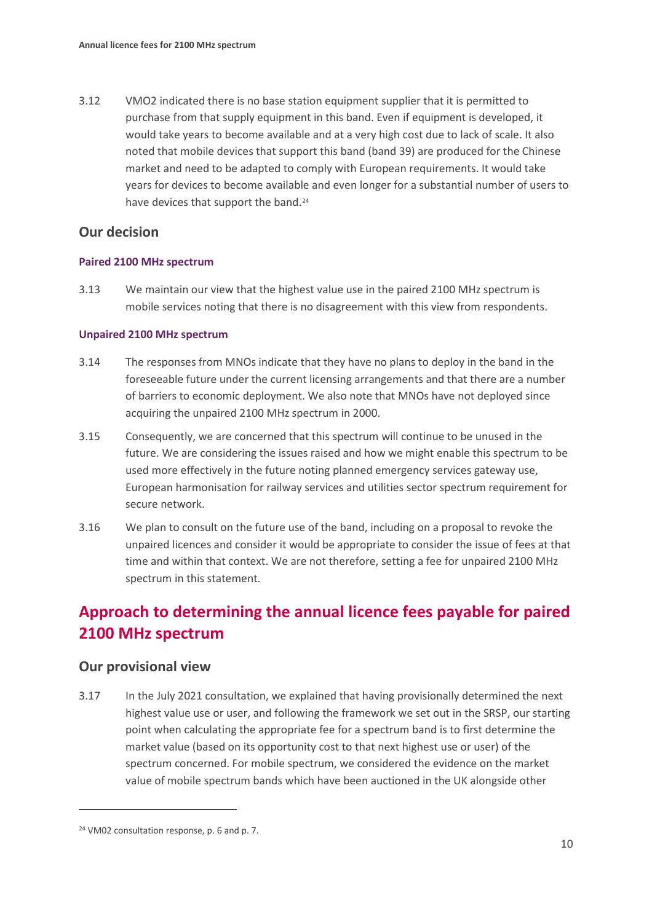3.12 VMO2 indicated there is no base station equipment supplier that it is permitted to purchase from that supply equipment in this band. Even if equipment is developed, it would take years to become available and at a very high cost due to lack of scale. It also noted that mobile devices that support this band (band 39) are produced for the Chinese market and need to be adapted to comply with European requirements. It would take years for devices to become available and even longer for a substantial number of users to have devices that support the band.<sup>[24](#page-9-0)</sup>

### **Our decision**

#### **Paired 2100 MHz spectrum**

3.13 We maintain our view that the highest value use in the paired 2100 MHz spectrum is mobile services noting that there is no disagreement with this view from respondents.

#### **Unpaired 2100 MHz spectrum**

- 3.14 The responses from MNOs indicate that they have no plans to deploy in the band in the foreseeable future under the current licensing arrangements and that there are a number of barriers to economic deployment. We also note that MNOs have not deployed since acquiring the unpaired 2100 MHz spectrum in 2000.
- 3.15 Consequently, we are concerned that this spectrum will continue to be unused in the future. We are considering the issues raised and how we might enable this spectrum to be used more effectively in the future noting planned emergency services gateway use, European harmonisation for railway services and utilities sector spectrum requirement for secure network.
- 3.16 We plan to consult on the future use of the band, including on a proposal to revoke the unpaired licences and consider it would be appropriate to consider the issue of fees at that time and within that context. We are not therefore, setting a fee for unpaired 2100 MHz spectrum in this statement.

# **Approach to determining the annual licence fees payable for paired 2100 MHz spectrum**

#### **Our provisional view**

3.17 In the July 2021 consultation, we explained that having provisionally determined the next highest value use or user, and following the framework we set out in the SRSP, our starting point when calculating the appropriate fee for a spectrum band is to first determine the market value (based on its opportunity cost to that next highest use or user) of the spectrum concerned. For mobile spectrum, we considered the evidence on the market value of mobile spectrum bands which have been auctioned in the UK alongside other

<span id="page-9-0"></span><sup>24</sup> VM02 consultation response, p. 6 and p. 7.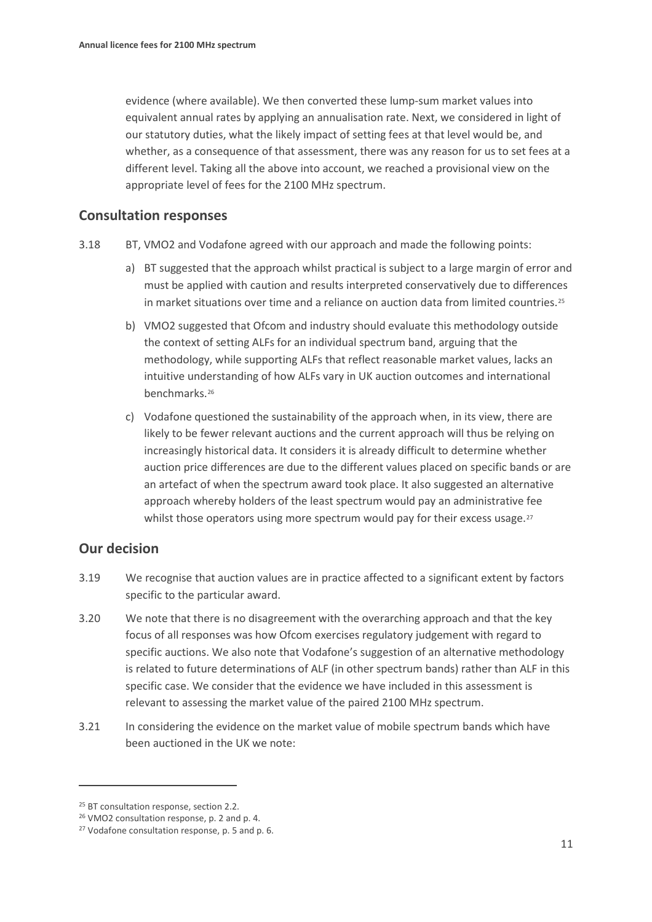evidence (where available). We then converted these lump-sum market values into equivalent annual rates by applying an annualisation rate. Next, we considered in light of our statutory duties, what the likely impact of setting fees at that level would be, and whether, as a consequence of that assessment, there was any reason for us to set fees at a different level. Taking all the above into account, we reached a provisional view on the appropriate level of fees for the 2100 MHz spectrum.

### **Consultation responses**

- 3.18 BT, VMO2 and Vodafone agreed with our approach and made the following points:
	- a) BT suggested that the approach whilst practical is subject to a large margin of error and must be applied with caution and results interpreted conservatively due to differences in market situations over time and a reliance on auction data from limited countries.<sup>[25](#page-10-0)</sup>
	- b) VMO2 suggested that Ofcom and industry should evaluate this methodology outside the context of setting ALFs for an individual spectrum band, arguing that the methodology, while supporting ALFs that reflect reasonable market values, lacks an intuitive understanding of how ALFs vary in UK auction outcomes and international benchmarks[.26](#page-10-1)
	- c) Vodafone questioned the sustainability of the approach when, in its view, there are likely to be fewer relevant auctions and the current approach will thus be relying on increasingly historical data. It considers it is already difficult to determine whether auction price differences are due to the different values placed on specific bands or are an artefact of when the spectrum award took place. It also suggested an alternative approach whereby holders of the least spectrum would pay an administrative fee whilst those operators using more spectrum would pay for their excess usage.<sup>[27](#page-10-2)</sup>

## **Our decision**

- 3.19 We recognise that auction values are in practice affected to a significant extent by factors specific to the particular award.
- 3.20 We note that there is no disagreement with the overarching approach and that the key focus of all responses was how Ofcom exercises regulatory judgement with regard to specific auctions. We also note that Vodafone's suggestion of an alternative methodology is related to future determinations of ALF (in other spectrum bands) rather than ALF in this specific case. We consider that the evidence we have included in this assessment is relevant to assessing the market value of the paired 2100 MHz spectrum.
- 3.21 In considering the evidence on the market value of mobile spectrum bands which have been auctioned in the UK we note:

<span id="page-10-0"></span><sup>&</sup>lt;sup>25</sup> BT consultation response, section 2.2.

<span id="page-10-1"></span><sup>26</sup> VMO2 consultation response, p. 2 and p. 4.

<span id="page-10-2"></span><sup>27</sup> Vodafone consultation response, p. 5 and p. 6.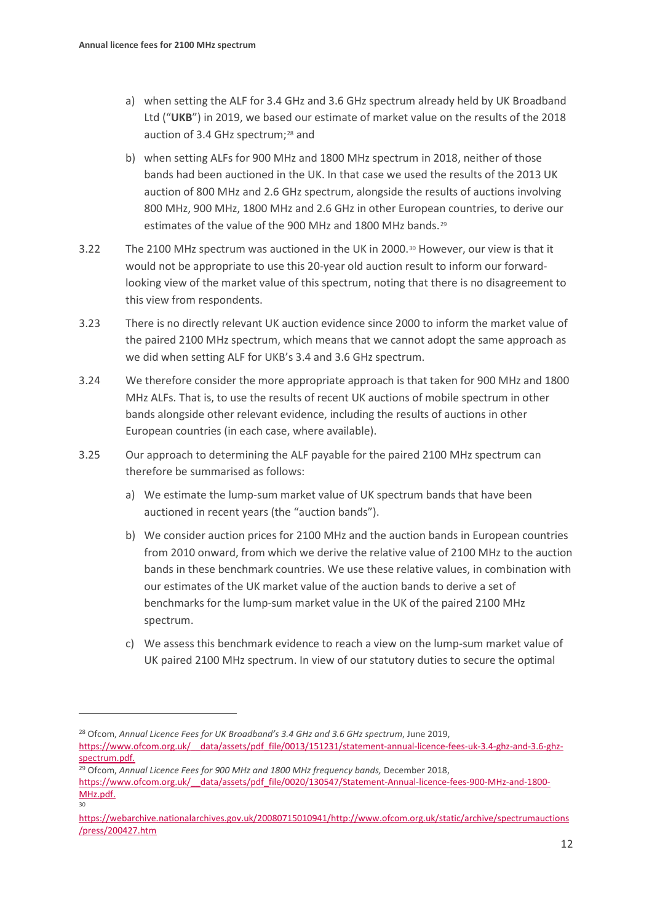- a) when setting the ALF for 3.4 GHz and 3.6 GHz spectrum already held by UK Broadband Ltd ("**UKB**") in 2019, we based our estimate of market value on the results of the 2018 auction of 3.4 GHz spectrum;<sup>[28](#page-11-0)</sup> and
- b) when setting ALFs for 900 MHz and 1800 MHz spectrum in 2018, neither of those bands had been auctioned in the UK. In that case we used the results of the 2013 UK auction of 800 MHz and 2.6 GHz spectrum, alongside the results of auctions involving 800 MHz, 900 MHz, 1800 MHz and 2.6 GHz in other European countries, to derive our estimates of the value of the 900 MHz and 1800 MHz bands.[29](#page-11-1)
- <span id="page-11-3"></span>3.22 The 2100 MHz spectrum was auctioned in the UK in 2000.[30](#page-11-2) However, our view is that it would not be appropriate to use this 20-year old auction result to inform our forwardlooking view of the market value of this spectrum, noting that there is no disagreement to this view from respondents.
- 3.23 There is no directly relevant UK auction evidence since 2000 to inform the market value of the paired 2100 MHz spectrum, which means that we cannot adopt the same approach as we did when setting ALF for UKB's 3.4 and 3.6 GHz spectrum.
- 3.24 We therefore consider the more appropriate approach is that taken for 900 MHz and 1800 MHz ALFs. That is, to use the results of recent UK auctions of mobile spectrum in other bands alongside other relevant evidence, including the results of auctions in other European countries (in each case, where available).
- 3.25 Our approach to determining the ALF payable for the paired 2100 MHz spectrum can therefore be summarised as follows:
	- a) We estimate the lump-sum market value of UK spectrum bands that have been auctioned in recent years (the "auction bands").
	- b) We consider auction prices for 2100 MHz and the auction bands in European countries from 2010 onward, from which we derive the relative value of 2100 MHz to the auction bands in these benchmark countries. We use these relative values, in combination with our estimates of the UK market value of the auction bands to derive a set of benchmarks for the lump-sum market value in the UK of the paired 2100 MHz spectrum.
	- c) We assess this benchmark evidence to reach a view on the lump-sum market value of UK paired 2100 MHz spectrum. In view of our statutory duties to secure the optimal

<span id="page-11-0"></span><sup>28</sup> Ofcom, *Annual Licence Fees for UK Broadband's 3.4 GHz and 3.6 GHz spectrum*, June 2019, https://www.ofcom.org.uk/ data/assets/pdf file/0013/151231/statement-annual-licence-fees-uk-3.4-ghz-and-3.6-ghz[spectrum.pdf.](https://www.ofcom.org.uk/__data/assets/pdf_file/0013/151231/statement-annual-licence-fees-uk-3.4-ghz-and-3.6-ghz-spectrum.pdf)

30

<span id="page-11-1"></span><sup>&</sup>lt;sup>29</sup> Ofcom, Annual Licence Fees for 900 MHz and 1800 MHz frequency bands, December 2018,

https://www.ofcom.org.uk/ data/assets/pdf file/0020/130547/Statement-Annual-licence-fees-900-MHz-and-1800-[MHz.pdf.](https://www.ofcom.org.uk/__data/assets/pdf_file/0020/130547/Statement-Annual-licence-fees-900-MHz-and-1800-MHz.pdf)

<span id="page-11-2"></span>[https://webarchive.nationalarchives.gov.uk/20080715010941/http://www.ofcom.org.uk/static/archive/spectrumauctions](https://webarchive.nationalarchives.gov.uk/20080715010941/http:/www.ofcom.org.uk/static/archive/spectrumauctions/press/200427.htm) [/press/200427.htm](https://webarchive.nationalarchives.gov.uk/20080715010941/http:/www.ofcom.org.uk/static/archive/spectrumauctions/press/200427.htm)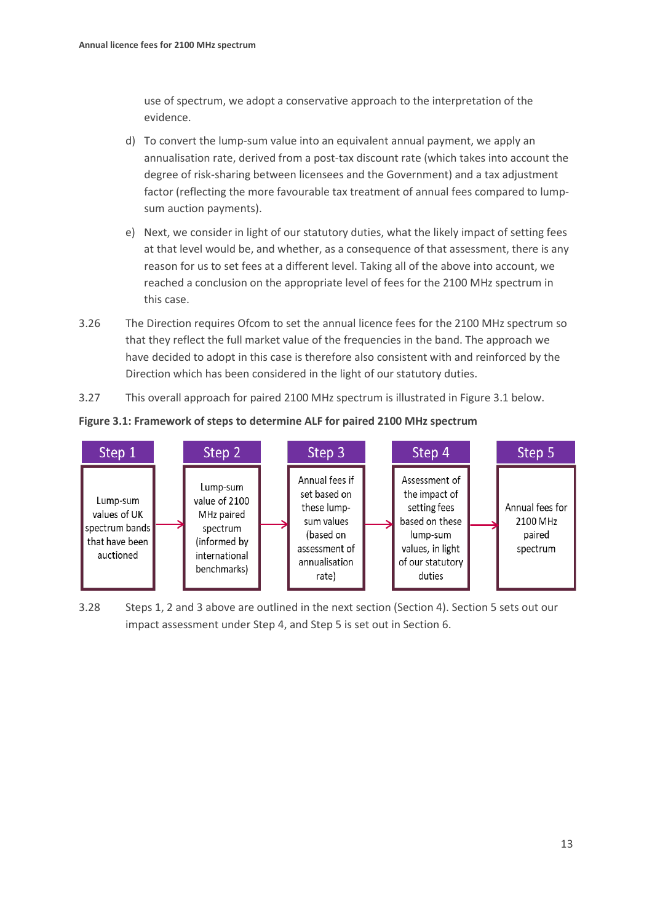use of spectrum, we adopt a conservative approach to the interpretation of the evidence.

- d) To convert the lump-sum value into an equivalent annual payment, we apply an annualisation rate, derived from a post-tax discount rate (which takes into account the degree of risk-sharing between licensees and the Government) and a tax adjustment factor (reflecting the more favourable tax treatment of annual fees compared to lumpsum auction payments).
- e) Next, we consider in light of our statutory duties, what the likely impact of setting fees at that level would be, and whether, as a consequence of that assessment, there is any reason for us to set fees at a different level. Taking all of the above into account, we reached a conclusion on the appropriate level of fees for the 2100 MHz spectrum in this case.
- 3.26 The Direction requires Ofcom to set the annual licence fees for the 2100 MHz spectrum so that they reflect the full market value of the frequencies in the band. The approach we have decided to adopt in this case is therefore also consistent with and reinforced by the Direction which has been considered in the light of our statutory duties.
- 3.27 This overall approach for paired 2100 MHz spectrum is illustrated in Figure 3.1 below.

**Figure 3.1: Framework of steps to determine ALF for paired 2100 MHz spectrum**



3.28 Steps 1, 2 and 3 above are outlined in the next section (Section 4). Section 5 sets out our impact assessment under Step 4, and Step 5 is set out in Section 6.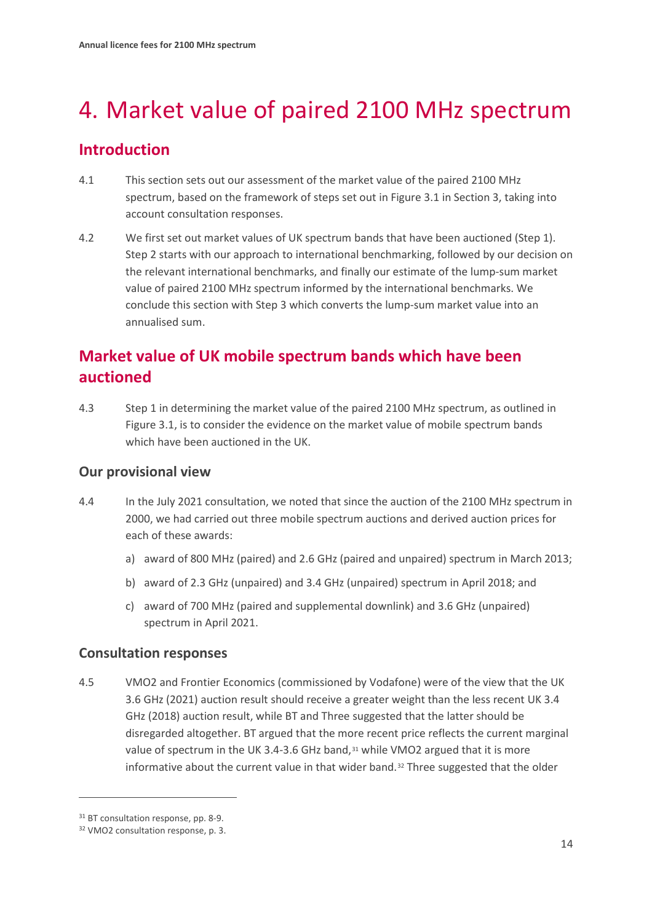# <span id="page-13-0"></span>4. Market value of paired 2100 MHz spectrum

# **Introduction**

- 4.1 This section sets out our assessment of the market value of the paired 2100 MHz spectrum, based on the framework of steps set out in Figure 3.1 in Section 3, taking into account consultation responses.
- 4.2 We first set out market values of UK spectrum bands that have been auctioned (Step 1). Step 2 starts with our approach to international benchmarking, followed by our decision on the relevant international benchmarks, and finally our estimate of the lump-sum market value of paired 2100 MHz spectrum informed by the international benchmarks. We conclude this section with Step 3 which converts the lump-sum market value into an annualised sum.

# **Market value of UK mobile spectrum bands which have been auctioned**

4.3 Step 1 in determining the market value of the paired 2100 MHz spectrum, as outlined in Figure 3.1, is to consider the evidence on the market value of mobile spectrum bands which have been auctioned in the UK.

## **Our provisional view**

- 4.4 In the July 2021 consultation, we noted that since the auction of the 2100 MHz spectrum in 2000, we had carried out three mobile spectrum auctions and derived auction prices for each of these awards:
	- a) award of 800 MHz (paired) and 2.6 GHz (paired and unpaired) spectrum in March 2013;
	- b) award of 2.3 GHz (unpaired) and 3.4 GHz (unpaired) spectrum in April 2018; and
	- c) award of 700 MHz (paired and supplemental downlink) and 3.6 GHz (unpaired) spectrum in April 2021.

# **Consultation responses**

<span id="page-13-3"></span>4.5 VMO2 and Frontier Economics (commissioned by Vodafone) were of the view that the UK 3.6 GHz (2021) auction result should receive a greater weight than the less recent UK 3.4 GHz (2018) auction result, while BT and Three suggested that the latter should be disregarded altogether. BT argued that the more recent price reflects the current marginal value of spectrum in the UK 3.4-3.6 GHz band,<sup>[31](#page-13-1)</sup> while VMO2 argued that it is more informative about the current value in that wider band.<sup>[32](#page-13-2)</sup> Three suggested that the older

<span id="page-13-2"></span><span id="page-13-1"></span><sup>&</sup>lt;sup>31</sup> BT consultation response, pp. 8-9.

<sup>32</sup> VMO2 consultation response, p. 3.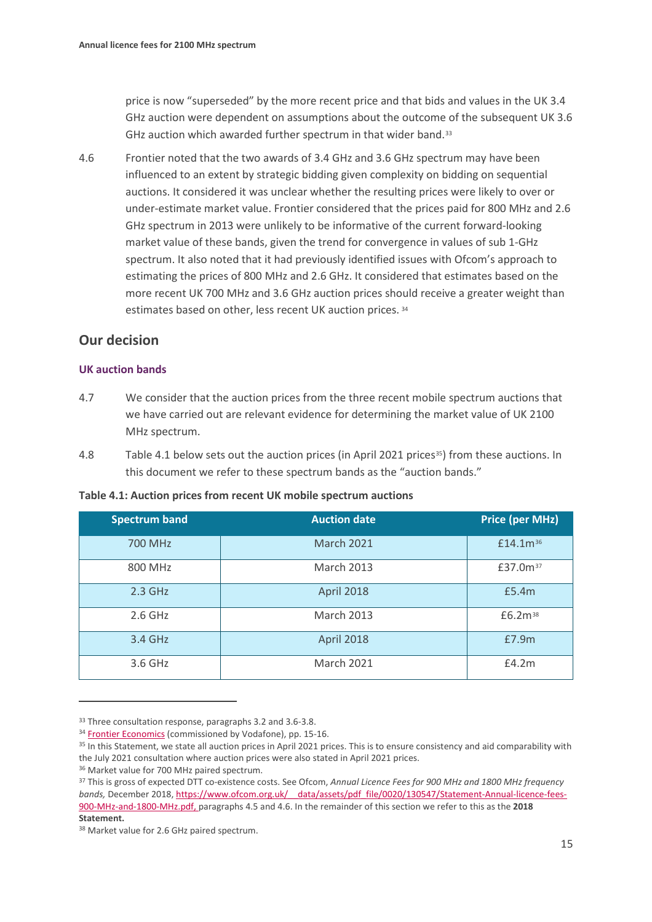price is now "superseded" by the more recent price and that bids and values in the UK 3.4 GHz auction were dependent on assumptions about the outcome of the subsequent UK 3.6 GHz auction which awarded further spectrum in that wider band.[33](#page-14-0)

<span id="page-14-6"></span>4.6 Frontier noted that the two awards of 3.4 GHz and 3.6 GHz spectrum may have been influenced to an extent by strategic bidding given complexity on bidding on sequential auctions. It considered it was unclear whether the resulting prices were likely to over or under-estimate market value. Frontier considered that the prices paid for 800 MHz and 2.6 GHz spectrum in 2013 were unlikely to be informative of the current forward-looking market value of these bands, given the trend for convergence in values of sub 1-GHz spectrum. It also noted that it had previously identified issues with Ofcom's approach to estimating the prices of 800 MHz and 2.6 GHz. It considered that estimates based on the more recent UK 700 MHz and 3.6 GHz auction prices should receive a greater weight than estimates based on other, less recent UK auction prices. [34](#page-14-1)

## **Our decision**

#### **UK auction bands**

- 4.7 We consider that the auction prices from the three recent mobile spectrum auctions that we have carried out are relevant evidence for determining the market value of UK 2100 MHz spectrum.
- 4.8 Table 4.1 below sets out the auction prices (in April 2021 prices<sup>35</sup>) from these auctions. In this document we refer to these spectrum bands as the "auction bands."

|  |  |  |  | Table 4.1: Auction prices from recent UK mobile spectrum auctions |
|--|--|--|--|-------------------------------------------------------------------|
|--|--|--|--|-------------------------------------------------------------------|

| <b>Spectrum band</b> | <b>Auction date</b> | <b>Price (per MHz)</b> |
|----------------------|---------------------|------------------------|
| 700 MHz              | <b>March 2021</b>   | £14.1m <sup>36</sup>   |
| 800 MHz              | <b>March 2013</b>   | £37.0m <sup>37</sup>   |
| $2.3$ GHz            | April 2018          | £5.4m                  |
| $2.6$ GHz            | <b>March 2013</b>   | £6.2m <sup>38</sup>    |
| 3.4 GHz              | April 2018          | £7.9m                  |
| 3.6 GHz              | <b>March 2021</b>   | £4.2m                  |

<span id="page-14-0"></span><sup>&</sup>lt;sup>33</sup> Three consultation response, paragraphs 3.2 and 3.6-3.8.

<span id="page-14-1"></span><sup>&</sup>lt;sup>34</sup> [Frontier Economics](https://www.ofcom.org.uk/__data/assets/pdf_file/0029/226478/vodafone-annex.pdf) (commissioned by Vodafone), pp. 15-16.

<span id="page-14-2"></span><sup>&</sup>lt;sup>35</sup> In this Statement, we state all auction prices in April 2021 prices. This is to ensure consistency and aid comparability with the July 2021 consultation where auction prices were also stated in April 2021 prices.

<span id="page-14-3"></span><sup>36</sup> Market value for 700 MHz paired spectrum.

<span id="page-14-4"></span><sup>37</sup> This is gross of expected DTT co-existence costs. See Ofcom, *Annual Licence Fees for 900 MHz and 1800 MHz frequency bands,* December 2018[, https://www.ofcom.org.uk/\\_\\_data/assets/pdf\\_file/0020/130547/Statement-Annual-licence-fees-](https://www.ofcom.org.uk/__data/assets/pdf_file/0020/130547/Statement-Annual-licence-fees-900-MHz-and-1800-MHz.pdf)[900-MHz-and-1800-MHz.pdf,](https://www.ofcom.org.uk/__data/assets/pdf_file/0020/130547/Statement-Annual-licence-fees-900-MHz-and-1800-MHz.pdf) paragraphs 4.5 and 4.6. In the remainder of this section we refer to this as the **2018 Statement.** 

<span id="page-14-5"></span><sup>38</sup> Market value for 2.6 GHz paired spectrum.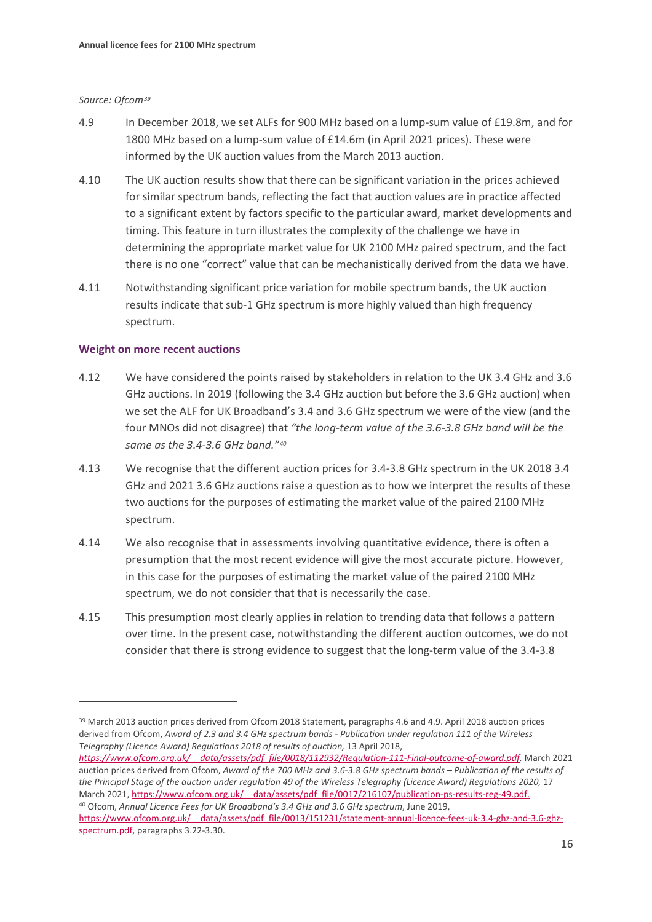#### *Source: Ofcom[39](#page-15-0)*

- 4.9 In December 2018, we set ALFs for 900 MHz based on a lump-sum value of £19.8m, and for 1800 MHz based on a lump-sum value of £14.6m (in April 2021 prices). These were informed by the UK auction values from the March 2013 auction.
- 4.10 The UK auction results show that there can be significant variation in the prices achieved for similar spectrum bands, reflecting the fact that auction values are in practice affected to a significant extent by factors specific to the particular award, market developments and timing. This feature in turn illustrates the complexity of the challenge we have in determining the appropriate market value for UK 2100 MHz paired spectrum, and the fact there is no one "correct" value that can be mechanistically derived from the data we have.
- 4.11 Notwithstanding significant price variation for mobile spectrum bands, the UK auction results indicate that sub-1 GHz spectrum is more highly valued than high frequency spectrum.

#### **Weight on more recent auctions**

- 4.12 We have considered the points raised by stakeholders in relation to the UK 3.4 GHz and 3.6 GHz auctions. In 2019 (following the 3.4 GHz auction but before the 3.6 GHz auction) when we set the ALF for UK Broadband's 3.4 and 3.6 GHz spectrum we were of the view (and the four MNOs did not disagree) that *"the long-term value of the 3.6-3.8 GHz band will be the same as the 3.4-3.6 GHz band."[40](#page-15-1)*
- 4.13 We recognise that the different auction prices for 3.4-3.8 GHz spectrum in the UK 2018 3.4 GHz and 2021 3.6 GHz auctions raise a question as to how we interpret the results of these two auctions for the purposes of estimating the market value of the paired 2100 MHz spectrum.
- 4.14 We also recognise that in assessments involving quantitative evidence, there is often a presumption that the most recent evidence will give the most accurate picture. However, in this case for the purposes of estimating the market value of the paired 2100 MHz spectrum, we do not consider that that is necessarily the case.
- 4.15 This presumption most clearly applies in relation to trending data that follows a pattern over time. In the present case, notwithstanding the different auction outcomes, we do not consider that there is strong evidence to suggest that the long-term value of the 3.4-3.8

*[https://www.ofcom.org.uk/\\_\\_data/assets/pdf\\_file/0018/112932/Regulation-111-Final-outcome-of-award.pdf.](https://www.ofcom.org.uk/__data/assets/pdf_file/0018/112932/Regulation-111-Final-outcome-of-award.pdf)* March 2021 auction prices derived from Ofcom, *Award of the 700 MHz and 3.6-3.8 GHz spectrum bands – Publication of the results of the Principal Stage of the auction under regulation 49 of the Wireless Telegraphy (Licence Award) Regulations 2020,* 17 March 2021, https://www.ofcom.org.uk/ data/assets/pdf\_file/0017/216107/publication-ps-results-reg-49.pdf. <sup>40</sup> Ofcom, *Annual Licence Fees for UK Broadband's 3.4 GHz and 3.6 GHz spectrum*, June 2019,

<span id="page-15-0"></span><sup>&</sup>lt;sup>39</sup> March 2013 auction prices derived from Ofcom 2018 Statement, paragraphs 4.6 and 4.9. April 2018 auction prices derived from Ofcom, *Award of 2.3 and 3.4 GHz spectrum bands - Publication under regulation 111 of the Wireless Telegraphy (Licence Award) Regulations 2018 of results of auction,* 13 April 2018,

<span id="page-15-1"></span>https://www.ofcom.org.uk/ data/assets/pdf file/0013/151231/statement-annual-licence-fees-uk-3.4-ghz-and-3.6-ghz[spectrum.pdf,](https://www.ofcom.org.uk/__data/assets/pdf_file/0013/151231/statement-annual-licence-fees-uk-3.4-ghz-and-3.6-ghz-spectrum.pdf) paragraphs 3.22-3.30.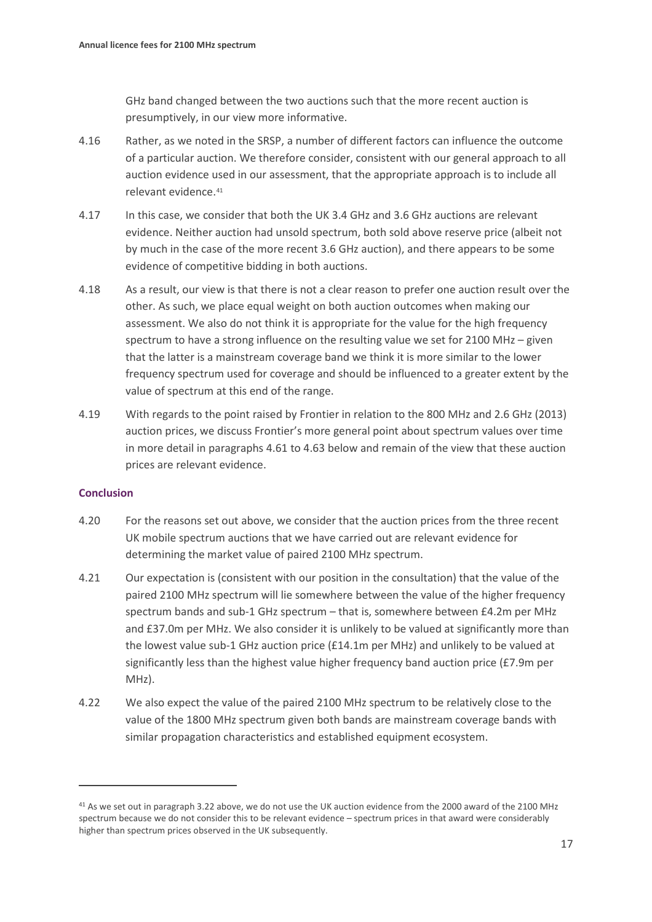GHz band changed between the two auctions such that the more recent auction is presumptively, in our view more informative.

- 4.16 Rather, as we noted in the SRSP, a number of different factors can influence the outcome of a particular auction. We therefore consider, consistent with our general approach to all auction evidence used in our assessment, that the appropriate approach is to include all relevant evidence.[41](#page-16-0)
- 4.17 In this case, we consider that both the UK 3.4 GHz and 3.6 GHz auctions are relevant evidence. Neither auction had unsold spectrum, both sold above reserve price (albeit not by much in the case of the more recent 3.6 GHz auction), and there appears to be some evidence of competitive bidding in both auctions.
- 4.18 As a result, our view is that there is not a clear reason to prefer one auction result over the other. As such, we place equal weight on both auction outcomes when making our assessment. We also do not think it is appropriate for the value for the high frequency spectrum to have a strong influence on the resulting value we set for 2100 MHz – given that the latter is a mainstream coverage band we think it is more similar to the lower frequency spectrum used for coverage and should be influenced to a greater extent by the value of spectrum at this end of the range.
- 4.19 With regards to the point raised by Frontier in relation to the 800 MHz and 2.6 GHz (2013) auction prices, we discuss Frontier's more general point about spectrum values over time in more detail in paragraphs [4.61](#page-24-0) to [4.63](#page-24-1) below and remain of the view that these auction prices are relevant evidence.

#### **Conclusion**

- 4.20 For the reasons set out above, we consider that the auction prices from the three recent UK mobile spectrum auctions that we have carried out are relevant evidence for determining the market value of paired 2100 MHz spectrum.
- 4.21 Our expectation is (consistent with our position in the consultation) that the value of the paired 2100 MHz spectrum will lie somewhere between the value of the higher frequency spectrum bands and sub-1 GHz spectrum – that is, somewhere between £4.2m per MHz and £37.0m per MHz. We also consider it is unlikely to be valued at significantly more than the lowest value sub-1 GHz auction price (£14.1m per MHz) and unlikely to be valued at significantly less than the highest value higher frequency band auction price (£7.9m per MHz).
- 4.22 We also expect the value of the paired 2100 MHz spectrum to be relatively close to the value of the 1800 MHz spectrum given both bands are mainstream coverage bands with similar propagation characteristics and established equipment ecosystem.

<span id="page-16-0"></span><sup>41</sup> As we set out in paragraph [3.22](#page-11-3) above, we do not use the UK auction evidence from the 2000 award of the 2100 MHz spectrum because we do not consider this to be relevant evidence – spectrum prices in that award were considerably higher than spectrum prices observed in the UK subsequently.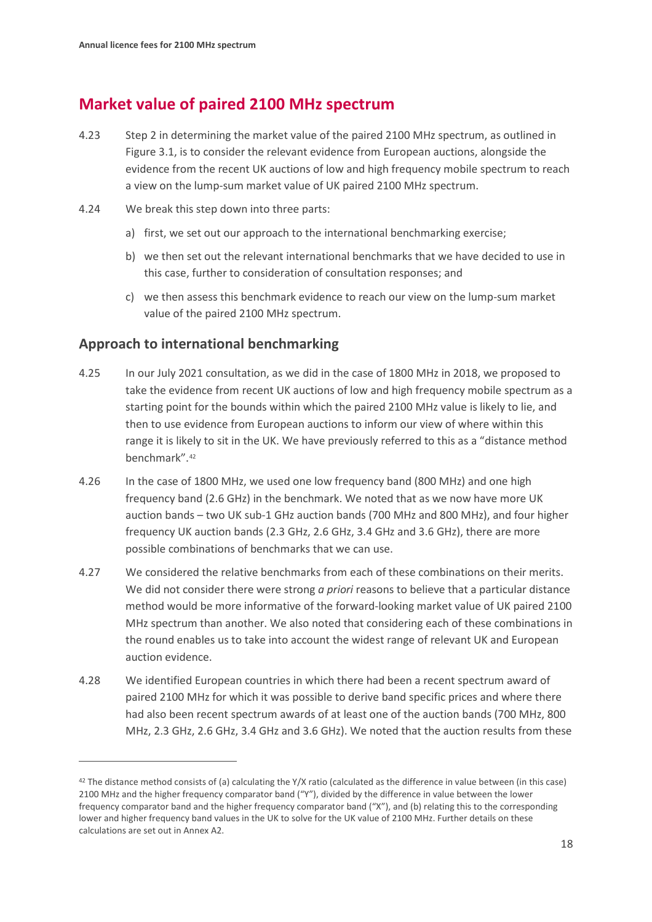# **Market value of paired 2100 MHz spectrum**

- 4.23 Step 2 in determining the market value of the paired 2100 MHz spectrum, as outlined in Figure 3.1, is to consider the relevant evidence from European auctions, alongside the evidence from the recent UK auctions of low and high frequency mobile spectrum to reach a view on the lump-sum market value of UK paired 2100 MHz spectrum.
- 4.24 We break this step down into three parts:
	- a) first, we set out our approach to the international benchmarking exercise;
	- b) we then set out the relevant international benchmarks that we have decided to use in this case, further to consideration of consultation responses; and
	- c) we then assess this benchmark evidence to reach our view on the lump-sum market value of the paired 2100 MHz spectrum.

## **Approach to international benchmarking**

- 4.25 In our July 2021 consultation, as we did in the case of 1800 MHz in 2018, we proposed to take the evidence from recent UK auctions of low and high frequency mobile spectrum as a starting point for the bounds within which the paired 2100 MHz value is likely to lie, and then to use evidence from European auctions to inform our view of where within this range it is likely to sit in the UK. We have previously referred to this as a "distance method benchmark".[42](#page-17-0)
- 4.26 In the case of 1800 MHz, we used one low frequency band (800 MHz) and one high frequency band (2.6 GHz) in the benchmark. We noted that as we now have more UK auction bands – two UK sub-1 GHz auction bands (700 MHz and 800 MHz), and four higher frequency UK auction bands (2.3 GHz, 2.6 GHz, 3.4 GHz and 3.6 GHz), there are more possible combinations of benchmarks that we can use.
- 4.27 We considered the relative benchmarks from each of these combinations on their merits. We did not consider there were strong *a priori* reasons to believe that a particular distance method would be more informative of the forward-looking market value of UK paired 2100 MHz spectrum than another. We also noted that considering each of these combinations in the round enables us to take into account the widest range of relevant UK and European auction evidence.
- 4.28 We identified European countries in which there had been a recent spectrum award of paired 2100 MHz for which it was possible to derive band specific prices and where there had also been recent spectrum awards of at least one of the auction bands (700 MHz, 800 MHz, 2.3 GHz, 2.6 GHz, 3.4 GHz and 3.6 GHz). We noted that the auction results from these

<span id="page-17-0"></span><sup>42</sup> The distance method consists of (a) calculating the Y/X ratio (calculated as the difference in value between (in this case) 2100 MHz and the higher frequency comparator band ("Y"), divided by the difference in value between the lower frequency comparator band and the higher frequency comparator band ("X"), and (b) relating this to the corresponding lower and higher frequency band values in the UK to solve for the UK value of 2100 MHz. Further details on these calculations are set out in Annex A2.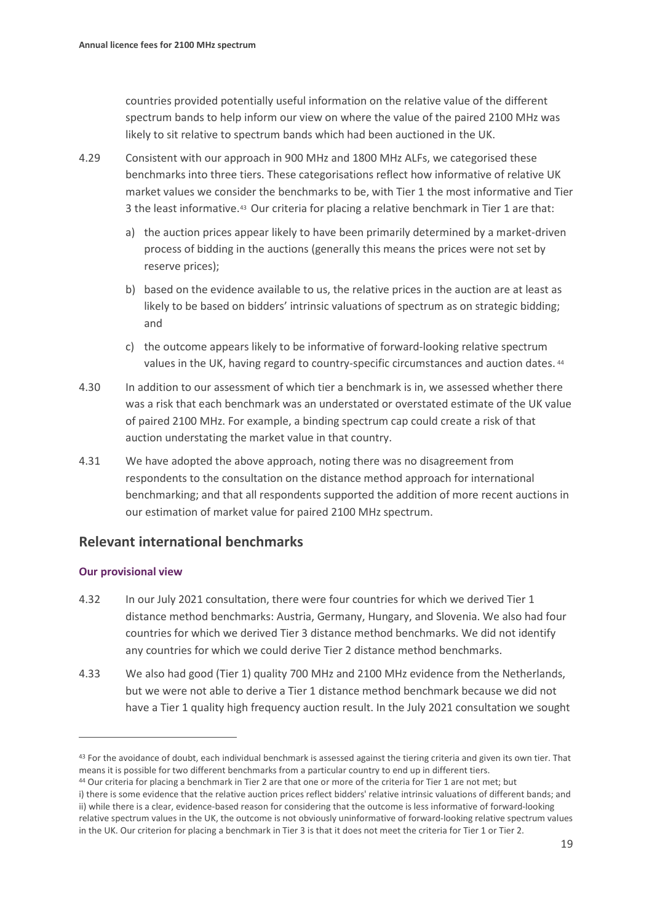countries provided potentially useful information on the relative value of the different spectrum bands to help inform our view on where the value of the paired 2100 MHz was likely to sit relative to spectrum bands which had been auctioned in the UK.

- 4.29 Consistent with our approach in 900 MHz and 1800 MHz ALFs, we categorised these benchmarks into three tiers. These categorisations reflect how informative of relative UK market values we consider the benchmarks to be, with Tier 1 the most informative and Tier 3 the least informative.[43](#page-18-0) Our criteria for placing a relative benchmark in Tier 1 are that:
	- a) the auction prices appear likely to have been primarily determined by a market-driven process of bidding in the auctions (generally this means the prices were not set by reserve prices);
	- b) based on the evidence available to us, the relative prices in the auction are at least as likely to be based on bidders' intrinsic valuations of spectrum as on strategic bidding; and
	- c) the outcome appears likely to be informative of forward-looking relative spectrum values in the UK, having regard to country-specific circumstances and auction dates. [44](#page-18-1)
- 4.30 In addition to our assessment of which tier a benchmark is in, we assessed whether there was a risk that each benchmark was an understated or overstated estimate of the UK value of paired 2100 MHz. For example, a binding spectrum cap could create a risk of that auction understating the market value in that country.
- 4.31 We have adopted the above approach, noting there was no disagreement from respondents to the consultation on the distance method approach for international benchmarking; and that all respondents supported the addition of more recent auctions in our estimation of market value for paired 2100 MHz spectrum.

## **Relevant international benchmarks**

#### **Our provisional view**

- 4.32 In our July 2021 consultation, there were four countries for which we derived Tier 1 distance method benchmarks: Austria, Germany, Hungary, and Slovenia. We also had four countries for which we derived Tier 3 distance method benchmarks. We did not identify any countries for which we could derive Tier 2 distance method benchmarks.
- 4.33 We also had good (Tier 1) quality 700 MHz and 2100 MHz evidence from the Netherlands, but we were not able to derive a Tier 1 distance method benchmark because we did not have a Tier 1 quality high frequency auction result. In the July 2021 consultation we sought

<span id="page-18-0"></span><sup>&</sup>lt;sup>43</sup> For the avoidance of doubt, each individual benchmark is assessed against the tiering criteria and given its own tier. That means it is possible for two different benchmarks from a particular country to end up in different tiers.

<span id="page-18-1"></span><sup>44</sup> Our criteria for placing a benchmark in Tier 2 are that one or more of the criteria for Tier 1 are not met; but

i) there is some evidence that the relative auction prices reflect bidders' relative intrinsic valuations of different bands; and ii) while there is a clear, evidence-based reason for considering that the outcome is less informative of forward-looking relative spectrum values in the UK, the outcome is not obviously uninformative of forward-looking relative spectrum values in the UK. Our criterion for placing a benchmark in Tier 3 is that it does not meet the criteria for Tier 1 or Tier 2.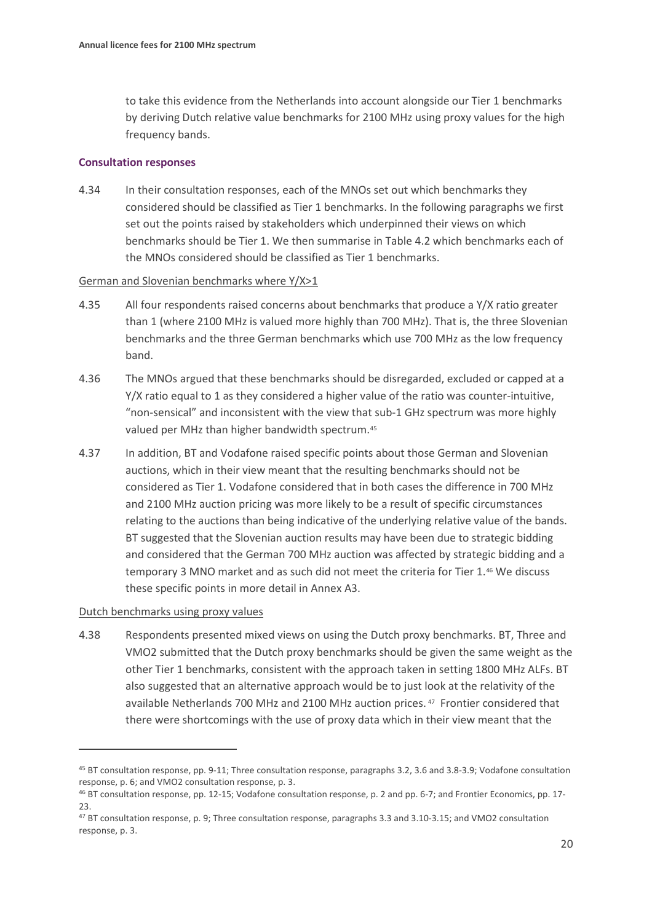to take this evidence from the Netherlands into account alongside our Tier 1 benchmarks by deriving Dutch relative value benchmarks for 2100 MHz using proxy values for the high frequency bands.

#### **Consultation responses**

4.34 In their consultation responses, each of the MNOs set out which benchmarks they considered should be classified as Tier 1 benchmarks. In the following paragraphs we first set out the points raised by stakeholders which underpinned their views on which benchmarks should be Tier 1. We then summarise in Table 4.2 which benchmarks each of the MNOs considered should be classified as Tier 1 benchmarks.

#### German and Slovenian benchmarks where Y/X>1

- 4.35 All four respondents raised concerns about benchmarks that produce a Y/X ratio greater than 1 (where 2100 MHz is valued more highly than 700 MHz). That is, the three Slovenian benchmarks and the three German benchmarks which use 700 MHz as the low frequency band.
- 4.36 The MNOs argued that these benchmarks should be disregarded, excluded or capped at a Y/X ratio equal to 1 as they considered a higher value of the ratio was counter-intuitive, "non-sensical" and inconsistent with the view that sub-1 GHz spectrum was more highly valued per MHz than higher bandwidth spectrum.[45](#page-19-0)
- 4.37 In addition, BT and Vodafone raised specific points about those German and Slovenian auctions, which in their view meant that the resulting benchmarks should not be considered as Tier 1. Vodafone considered that in both cases the difference in 700 MHz and 2100 MHz auction pricing was more likely to be a result of specific circumstances relating to the auctions than being indicative of the underlying relative value of the bands. BT suggested that the Slovenian auction results may have been due to strategic bidding and considered that the German 700 MHz auction was affected by strategic bidding and a temporary 3 MNO market and as such did not meet the criteria for Tier 1.[46](#page-19-1) We discuss these specific points in more detail in Annex A3.

#### Dutch benchmarks using proxy values

4.38 Respondents presented mixed views on using the Dutch proxy benchmarks. BT, Three and VMO2 submitted that the Dutch proxy benchmarks should be given the same weight as the other Tier 1 benchmarks, consistent with the approach taken in setting 1800 MHz ALFs. BT also suggested that an alternative approach would be to just look at the relativity of the available Netherlands 700 MHz and 2100 MHz auction prices. [47](#page-19-2) Frontier considered that there were shortcomings with the use of proxy data which in their view meant that the

<span id="page-19-0"></span><sup>45</sup> BT consultation response, pp. 9-11; Three consultation response, paragraphs 3.2, 3.6 and 3.8-3.9; Vodafone consultation response, p. 6; and VMO2 consultation response, p. 3.

<span id="page-19-1"></span><sup>46</sup> BT consultation response, pp. 12-15; Vodafone consultation response, p. 2 and pp. 6-7; and Frontier Economics, pp. 17- 23.

<span id="page-19-2"></span><sup>47</sup> BT consultation response, p. 9; Three consultation response, paragraphs 3.3 and 3.10-3.15; and VMO2 consultation response, p. 3.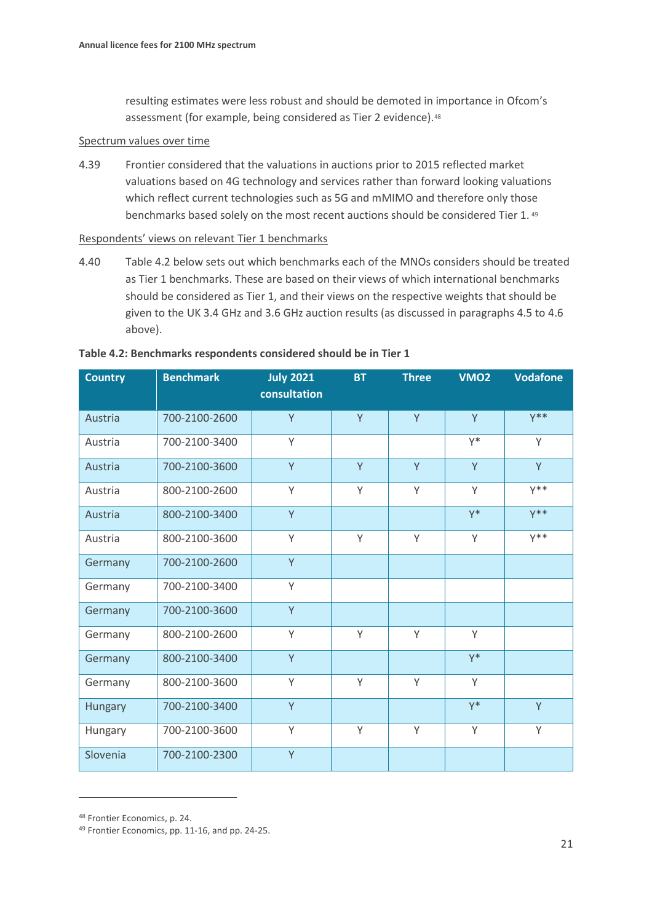resulting estimates were less robust and should be demoted in importance in Ofcom's assessment (for example, being considered as Tier 2 evidence).<sup>48</sup>

#### Spectrum values over time

4.39 Frontier considered that the valuations in auctions prior to 2015 reflected market valuations based on 4G technology and services rather than forward looking valuations which reflect current technologies such as 5G and mMIMO and therefore only those benchmarks based solely on the most recent auctions should be considered Tier 1. [49](#page-20-1)

Respondents' views on relevant Tier 1 benchmarks

4.40 Table 4.2 below sets out which benchmarks each of the MNOs considers should be treated as Tier 1 benchmarks. These are based on their views of which international benchmarks should be considered as Tier 1, and their views on the respective weights that should be given to the UK 3.4 GHz and 3.6 GHz auction results (as discussed in paragraph[s 4.5](#page-13-3) to [4.6](#page-14-6) above).

| <b>Country</b> | <b>Benchmark</b> | <b>July 2021</b><br>consultation | <b>BT</b> | <b>Three</b> | VMO <sub>2</sub> | <b>Vodafone</b> |
|----------------|------------------|----------------------------------|-----------|--------------|------------------|-----------------|
| Austria        | 700-2100-2600    | Y                                | Y         | Y            | Y                | $Y^*$           |
| Austria        | 700-2100-3400    | Y                                |           |              | $Y^*$            | Y               |
| Austria        | 700-2100-3600    | Y                                | Y         | Y            | Y                | Y               |
| Austria        | 800-2100-2600    | Υ                                | Y         | Y            | Y                | $Y^*$           |
| Austria        | 800-2100-3400    | Y                                |           |              | $Y^*$            | $Y^*$           |
| Austria        | 800-2100-3600    | Y                                | Y         | Y            | Y                | $Y^*$           |
| Germany        | 700-2100-2600    | Y                                |           |              |                  |                 |
| Germany        | 700-2100-3400    | Υ                                |           |              |                  |                 |
| Germany        | 700-2100-3600    | Y                                |           |              |                  |                 |
| Germany        | 800-2100-2600    | Y                                | Y         | Y            | Y                |                 |
| Germany        | 800-2100-3400    | Y                                |           |              | $Y^*$            |                 |
| Germany        | 800-2100-3600    | Y                                | Y         | Y            | Y                |                 |
| Hungary        | 700-2100-3400    | Y                                |           |              | $Y^*$            | Y               |
| Hungary        | 700-2100-3600    | Υ                                | Υ         | Υ            | Y                | Y               |
| Slovenia       | 700-2100-2300    | Y                                |           |              |                  |                 |

#### **Table 4.2: Benchmarks respondents considered should be in Tier 1**

<span id="page-20-0"></span><sup>48</sup> Frontier Economics, p. 24.

<span id="page-20-1"></span><sup>49</sup> Frontier Economics, pp. 11-16, and pp. 24-25.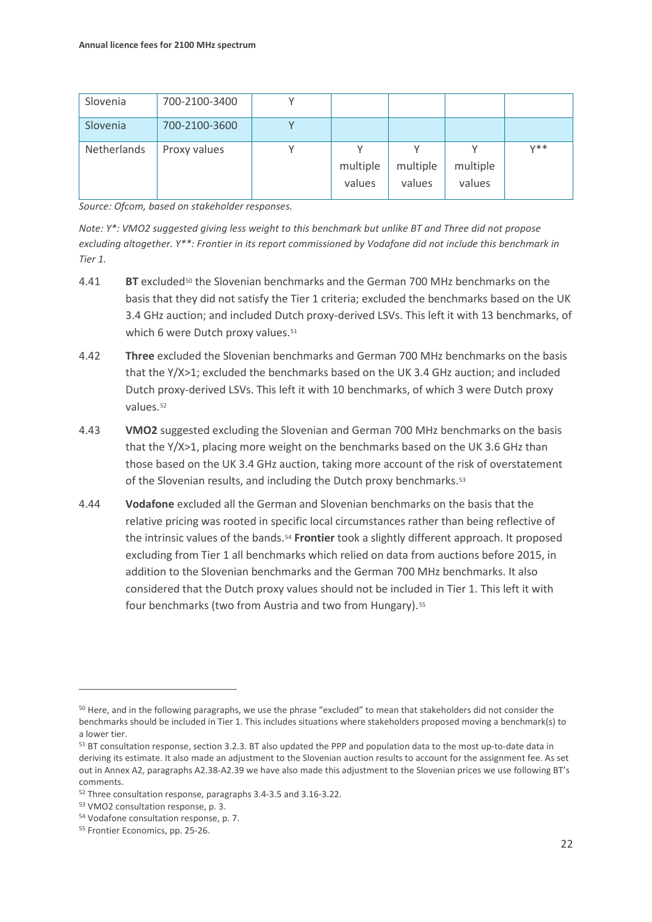| Slovenia    | 700-2100-3400 |                    |                    |                    |       |
|-------------|---------------|--------------------|--------------------|--------------------|-------|
| Slovenia    | 700-2100-3600 |                    |                    |                    |       |
| Netherlands | Proxy values  | multiple<br>values | multiple<br>values | multiple<br>values | $V**$ |

*Source: Ofcom, based on stakeholder responses.* 

*Note: Y\*: VMO2 suggested giving less weight to this benchmark but unlike BT and Three did not propose excluding altogether. Y\*\*: Frontier in its report commissioned by Vodafone did not include this benchmark in Tier 1.*

- 4.41 **BT** exclude[d50](#page-21-0) the Slovenian benchmarks and the German 700 MHz benchmarks on the basis that they did not satisfy the Tier 1 criteria; excluded the benchmarks based on the UK 3.4 GHz auction; and included Dutch proxy-derived LSVs. This left it with 13 benchmarks, of which 6 were Dutch proxy values.<sup>[51](#page-21-1)</sup>
- 4.42 **Three** excluded the Slovenian benchmarks and German 700 MHz benchmarks on the basis that the Y/X>1; excluded the benchmarks based on the UK 3.4 GHz auction; and included Dutch proxy-derived LSVs. This left it with 10 benchmarks, of which 3 were Dutch proxy values.<sup>[52](#page-21-2)</sup>
- 4.43 **VMO2** suggested excluding the Slovenian and German 700 MHz benchmarks on the basis that the Y/X>1, placing more weight on the benchmarks based on the UK 3.6 GHz than those based on the UK 3.4 GHz auction, taking more account of the risk of overstatement of the Slovenian results, and including the Dutch proxy benchmarks.<sup>[53](#page-21-3)</sup>
- 4.44 **Vodafone** excluded all the German and Slovenian benchmarks on the basis that the relative pricing was rooted in specific local circumstances rather than being reflective of the intrinsic values of the bands.[54](#page-21-4) **Frontier** took a slightly different approach. It proposed excluding from Tier 1 all benchmarks which relied on data from auctions before 2015, in addition to the Slovenian benchmarks and the German 700 MHz benchmarks. It also considered that the Dutch proxy values should not be included in Tier 1. This left it with four benchmarks (two from Austria and two from Hungary).<sup>[55](#page-21-5)</sup>

<span id="page-21-0"></span><sup>50</sup> Here, and in the following paragraphs, we use the phrase "excluded" to mean that stakeholders did not consider the benchmarks should be included in Tier 1. This includes situations where stakeholders proposed moving a benchmark(s) to a lower tier.

<span id="page-21-1"></span><sup>51</sup> BT consultation response, section 3.2.3. BT also updated the PPP and population data to the most up-to-date data in deriving its estimate. It also made an adjustment to the Slovenian auction results to account for the assignment fee. As set out in Annex A2, paragraphs A2.38-A2.39 we have also made this adjustment to the Slovenian prices we use following BT's comments.

<span id="page-21-2"></span><sup>52</sup> Three consultation response, paragraphs 3.4-3.5 and 3.16-3.22.

<span id="page-21-3"></span><sup>53</sup> VMO2 consultation response, p. 3.

<span id="page-21-4"></span><sup>54</sup> Vodafone consultation response, p. 7.

<span id="page-21-5"></span><sup>55</sup> Frontier Economics, pp. 25-26.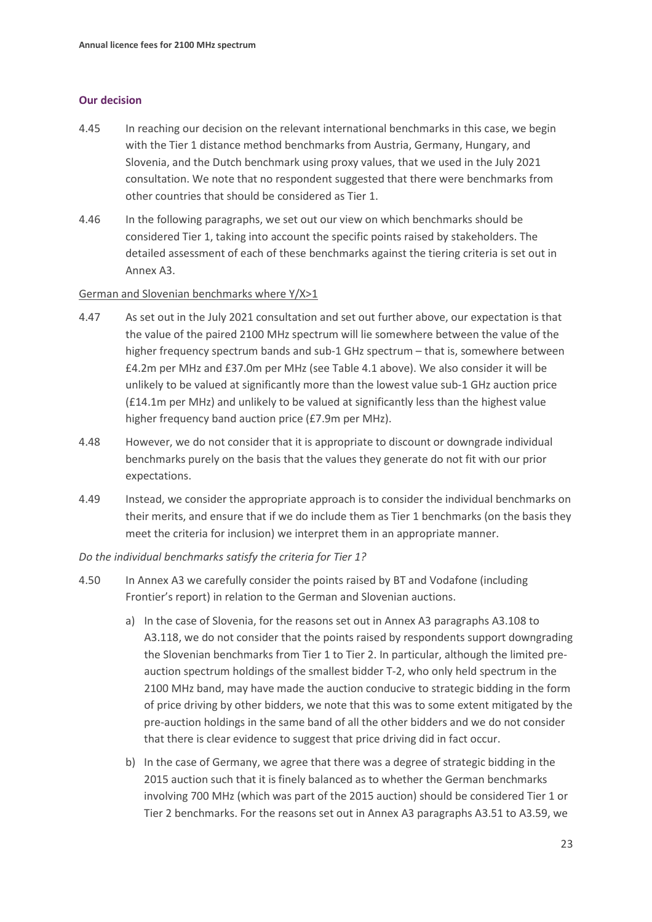#### **Our decision**

- 4.45 In reaching our decision on the relevant international benchmarks in this case, we begin with the Tier 1 distance method benchmarks from Austria, Germany, Hungary, and Slovenia, and the Dutch benchmark using proxy values, that we used in the July 2021 consultation. We note that no respondent suggested that there were benchmarks from other countries that should be considered as Tier 1.
- 4.46 In the following paragraphs, we set out our view on which benchmarks should be considered Tier 1, taking into account the specific points raised by stakeholders. The detailed assessment of each of these benchmarks against the tiering criteria is set out in Annex A3.

#### German and Slovenian benchmarks where Y/X>1

- <span id="page-22-0"></span>4.47 As set out in the July 2021 consultation and set out further above, our expectation is that the value of the paired 2100 MHz spectrum will lie somewhere between the value of the higher frequency spectrum bands and sub-1 GHz spectrum – that is, somewhere between £4.2m per MHz and £37.0m per MHz (see Table 4.1 above). We also consider it will be unlikely to be valued at significantly more than the lowest value sub-1 GHz auction price (£14.1m per MHz) and unlikely to be valued at significantly less than the highest value higher frequency band auction price (£7.9m per MHz).
- 4.48 However, we do not consider that it is appropriate to discount or downgrade individual benchmarks purely on the basis that the values they generate do not fit with our prior expectations.
- 4.49 Instead, we consider the appropriate approach is to consider the individual benchmarks on their merits, and ensure that if we do include them as Tier 1 benchmarks (on the basis they meet the criteria for inclusion) we interpret them in an appropriate manner.

#### *Do the individual benchmarks satisfy the criteria for Tier 1?*

- 4.50 In Annex A3 we carefully consider the points raised by BT and Vodafone (including Frontier's report) in relation to the German and Slovenian auctions.
	- a) In the case of Slovenia, for the reasons set out in Annex A3 paragraphs A3.108 to A3.118, we do not consider that the points raised by respondents support downgrading the Slovenian benchmarks from Tier 1 to Tier 2. In particular, although the limited preauction spectrum holdings of the smallest bidder T-2, who only held spectrum in the 2100 MHz band, may have made the auction conducive to strategic bidding in the form of price driving by other bidders, we note that this was to some extent mitigated by the pre-auction holdings in the same band of all the other bidders and we do not consider that there is clear evidence to suggest that price driving did in fact occur.
	- b) In the case of Germany, we agree that there was a degree of strategic bidding in the 2015 auction such that it is finely balanced as to whether the German benchmarks involving 700 MHz (which was part of the 2015 auction) should be considered Tier 1 or Tier 2 benchmarks. For the reasons set out in Annex A3 paragraphs A3.51 to A3.59, we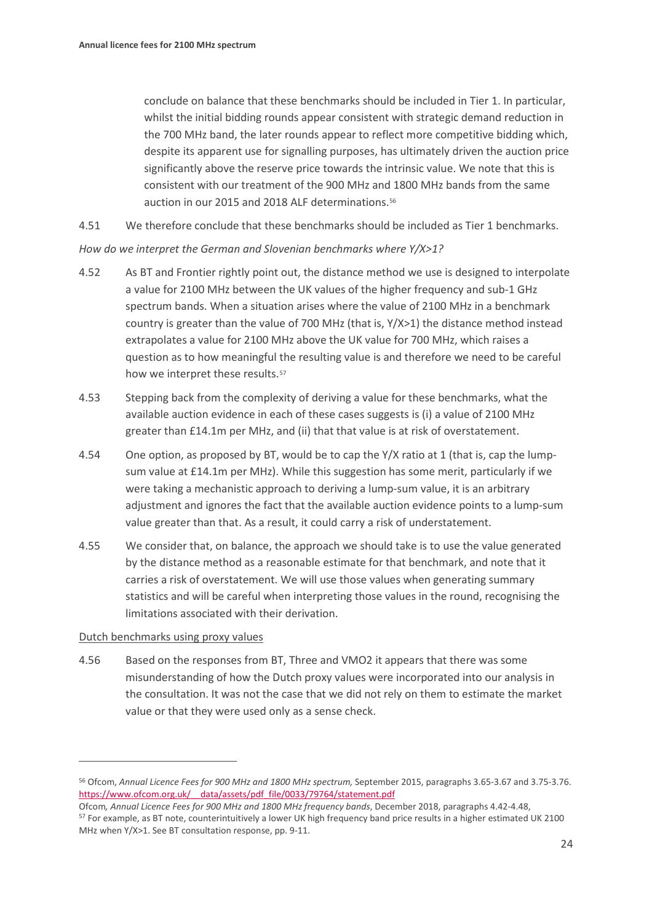conclude on balance that these benchmarks should be included in Tier 1. In particular, whilst the initial bidding rounds appear consistent with strategic demand reduction in the 700 MHz band, the later rounds appear to reflect more competitive bidding which, despite its apparent use for signalling purposes, has ultimately driven the auction price significantly above the reserve price towards the intrinsic value. We note that this is consistent with our treatment of the 900 MHz and 1800 MHz bands from the same auction in our 2015 and 2018 ALF determinations.[56](#page-23-0)

4.51 We therefore conclude that these benchmarks should be included as Tier 1 benchmarks.

*How do we interpret the German and Slovenian benchmarks where Y/X>1?*

- <span id="page-23-2"></span>4.52 As BT and Frontier rightly point out, the distance method we use is designed to interpolate a value for 2100 MHz between the UK values of the higher frequency and sub-1 GHz spectrum bands. When a situation arises where the value of 2100 MHz in a benchmark country is greater than the value of 700 MHz (that is, Y/X>1) the distance method instead extrapolates a value for 2100 MHz above the UK value for 700 MHz, which raises a question as to how meaningful the resulting value is and therefore we need to be careful how we interpret these results.<sup>[57](#page-23-1)</sup>
- 4.53 Stepping back from the complexity of deriving a value for these benchmarks, what the available auction evidence in each of these cases suggests is (i) a value of 2100 MHz greater than £14.1m per MHz, and (ii) that that value is at risk of overstatement.
- 4.54 One option, as proposed by BT, would be to cap the Y/X ratio at 1 (that is, cap the lumpsum value at £14.1m per MHz). While this suggestion has some merit, particularly if we were taking a mechanistic approach to deriving a lump-sum value, it is an arbitrary adjustment and ignores the fact that the available auction evidence points to a lump-sum value greater than that. As a result, it could carry a risk of understatement.
- <span id="page-23-3"></span>4.55 We consider that, on balance, the approach we should take is to use the value generated by the distance method as a reasonable estimate for that benchmark, and note that it carries a risk of overstatement. We will use those values when generating summary statistics and will be careful when interpreting those values in the round, recognising the limitations associated with their derivation.

#### Dutch benchmarks using proxy values

4.56 Based on the responses from BT, Three and VMO2 it appears that there was some misunderstanding of how the Dutch proxy values were incorporated into our analysis in the consultation. It was not the case that we did not rely on them to estimate the market value or that they were used only as a sense check.

<span id="page-23-0"></span><sup>56</sup> Ofcom, *Annual Licence Fees for 900 MHz and 1800 MHz spectrum,* September 2015, paragraphs 3.65-3.67 and 3.75-3.76. https://www.ofcom.org.uk/ data/assets/pdf\_file/0033/79764/statement.pdf

<span id="page-23-1"></span>Ofcom*, Annual Licence Fees for 900 MHz and 1800 MHz frequency bands*, December 2018, paragraphs 4.42-4.48, <sup>57</sup> For example, as BT note, counterintuitively a lower UK high frequency band price results in a higher estimated UK 2100 MHz when Y/X>1. See BT consultation response, pp. 9-11.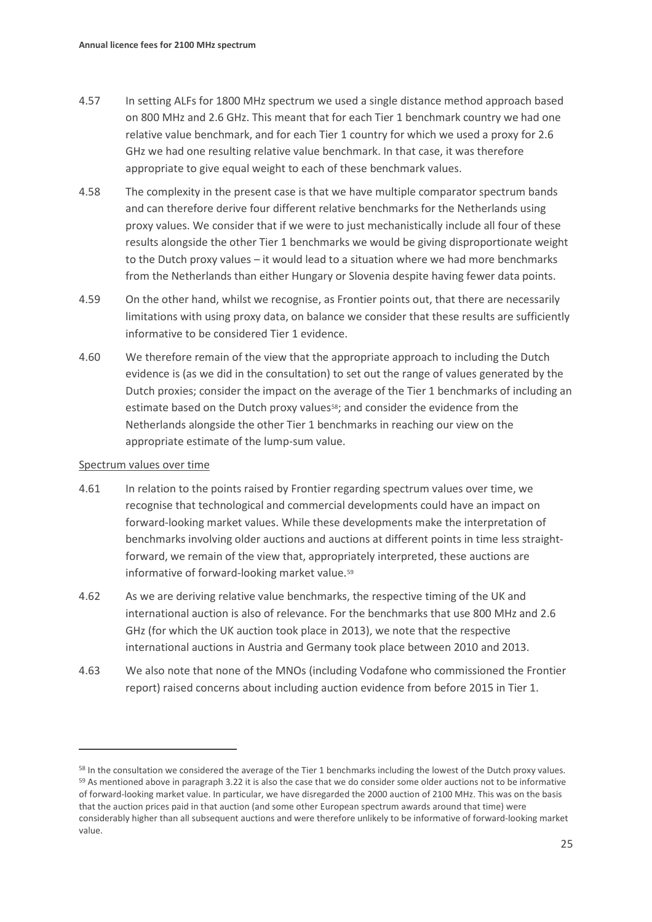- 4.57 In setting ALFs for 1800 MHz spectrum we used a single distance method approach based on 800 MHz and 2.6 GHz. This meant that for each Tier 1 benchmark country we had one relative value benchmark, and for each Tier 1 country for which we used a proxy for 2.6 GHz we had one resulting relative value benchmark. In that case, it was therefore appropriate to give equal weight to each of these benchmark values.
- 4.58 The complexity in the present case is that we have multiple comparator spectrum bands and can therefore derive four different relative benchmarks for the Netherlands using proxy values. We consider that if we were to just mechanistically include all four of these results alongside the other Tier 1 benchmarks we would be giving disproportionate weight to the Dutch proxy values – it would lead to a situation where we had more benchmarks from the Netherlands than either Hungary or Slovenia despite having fewer data points.
- 4.59 On the other hand, whilst we recognise, as Frontier points out, that there are necessarily limitations with using proxy data, on balance we consider that these results are sufficiently informative to be considered Tier 1 evidence.
- 4.60 We therefore remain of the view that the appropriate approach to including the Dutch evidence is (as we did in the consultation) to set out the range of values generated by the Dutch proxies; consider the impact on the average of the Tier 1 benchmarks of including an estimate based on the Dutch proxy values<sup>58</sup>; and consider the evidence from the Netherlands alongside the other Tier 1 benchmarks in reaching our view on the appropriate estimate of the lump-sum value.

#### Spectrum values over time

- <span id="page-24-0"></span>4.61 In relation to the points raised by Frontier regarding spectrum values over time, we recognise that technological and commercial developments could have an impact on forward-looking market values. While these developments make the interpretation of benchmarks involving older auctions and auctions at different points in time less straightforward, we remain of the view that, appropriately interpreted, these auctions are informative of forward-looking market value.<sup>[59](#page-24-3)</sup>
- 4.62 As we are deriving relative value benchmarks, the respective timing of the UK and international auction is also of relevance. For the benchmarks that use 800 MHz and 2.6 GHz (for which the UK auction took place in 2013), we note that the respective international auctions in Austria and Germany took place between 2010 and 2013.
- <span id="page-24-1"></span>4.63 We also note that none of the MNOs (including Vodafone who commissioned the Frontier report) raised concerns about including auction evidence from before 2015 in Tier 1.

<span id="page-24-3"></span><span id="page-24-2"></span><sup>&</sup>lt;sup>58</sup> In the consultation we considered the average of the Tier 1 benchmarks including the lowest of the Dutch proxy values. 59 As mentioned above in paragraph [3.22](#page-11-3) it is also the case that we do consider some older auctions not to be informative of forward-looking market value. In particular, we have disregarded the 2000 auction of 2100 MHz. This was on the basis that the auction prices paid in that auction (and some other European spectrum awards around that time) were considerably higher than all subsequent auctions and were therefore unlikely to be informative of forward-looking market value.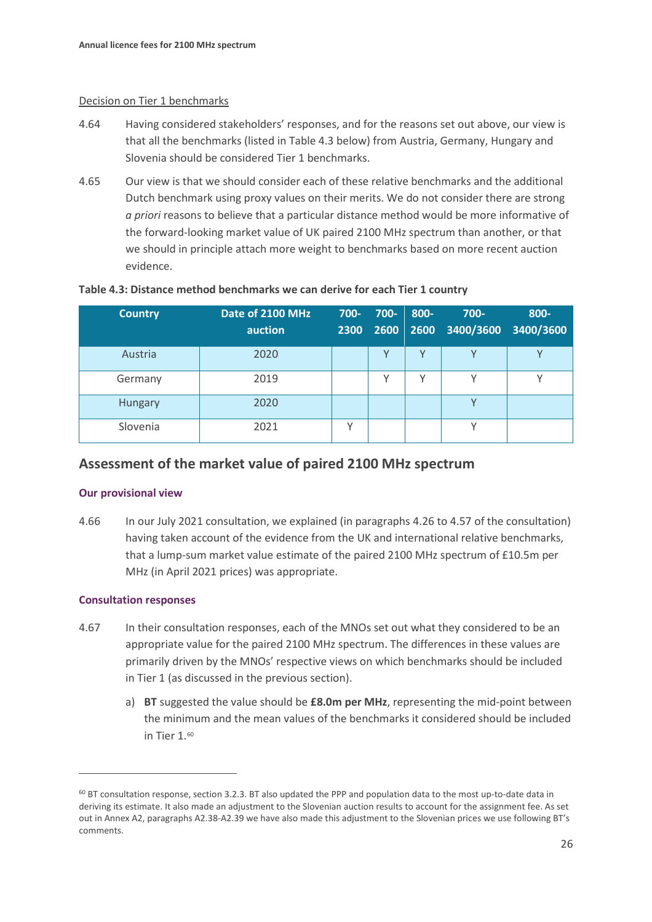#### Decision on Tier 1 benchmarks

- 4.64 Having considered stakeholders' responses, and for the reasons set out above, our view is that all the benchmarks (listed in Table 4.3 below) from Austria, Germany, Hungary and Slovenia should be considered Tier 1 benchmarks.
- 4.65 Our view is that we should consider each of these relative benchmarks and the additional Dutch benchmark using proxy values on their merits. We do not consider there are strong *a priori* reasons to believe that a particular distance method would be more informative of the forward-looking market value of UK paired 2100 MHz spectrum than another, or that we should in principle attach more weight to benchmarks based on more recent auction evidence.

| <b>Country</b> | Date of 2100 MHz<br>auction | $700 -$ | 700- | 800- | $700 -$<br>2300 2600 2600 3400/3600 3400/3600 | 800- |
|----------------|-----------------------------|---------|------|------|-----------------------------------------------|------|
| Austria        | 2020                        |         |      | v    | $\checkmark$                                  |      |
| Germany        | 2019                        |         | v    | ν    | v                                             |      |
| Hungary        | 2020                        |         |      |      | $\checkmark$                                  |      |
| Slovenia       | 2021                        |         |      |      | $\checkmark$                                  |      |

#### **Table 4.3: Distance method benchmarks we can derive for each Tier 1 country**

### **Assessment of the market value of paired 2100 MHz spectrum**

#### **Our provisional view**

4.66 In our July 2021 consultation, we explained (in paragraphs 4.26 to 4.57 of the consultation) having taken account of the evidence from the UK and international relative benchmarks, that a lump-sum market value estimate of the paired 2100 MHz spectrum of £10.5m per MHz (in April 2021 prices) was appropriate.

#### **Consultation responses**

- 4.67 In their consultation responses, each of the MNOs set out what they considered to be an appropriate value for the paired 2100 MHz spectrum. The differences in these values are primarily driven by the MNOs' respective views on which benchmarks should be included in Tier 1 (as discussed in the previous section).
	- a) **BT** suggested the value should be **£8.0m per MHz**, representing the mid-point between the minimum and the mean values of the benchmarks it considered should be included in Tier 1.[60](#page-25-0)

<span id="page-25-0"></span> $60$  BT consultation response, section 3.2.3. BT also updated the PPP and population data to the most up-to-date data in deriving its estimate. It also made an adjustment to the Slovenian auction results to account for the assignment fee. As set out in Annex A2, paragraphs A2.38-A2.39 we have also made this adjustment to the Slovenian prices we use following BT's comments.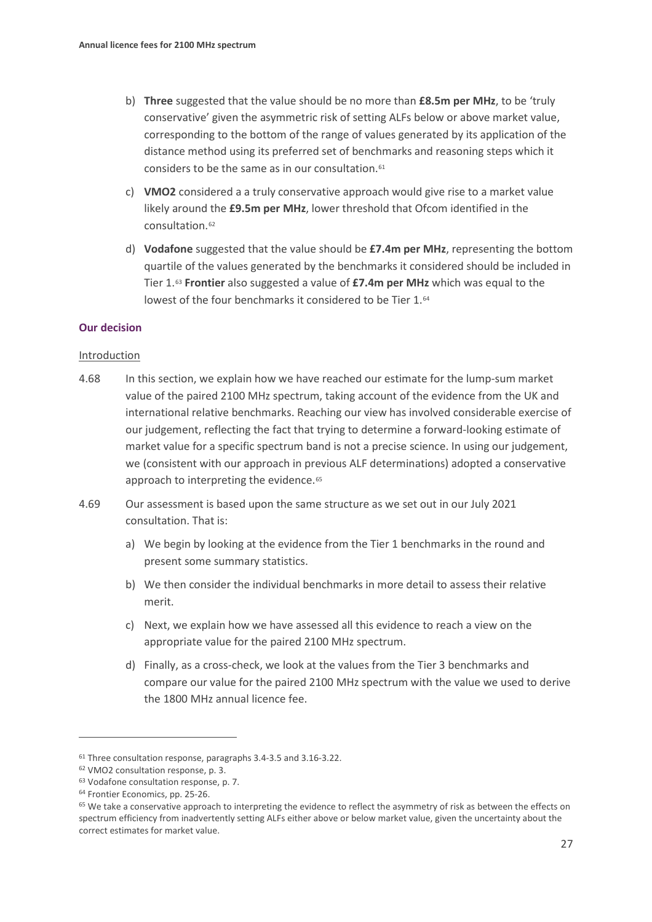- b) **Three** suggested that the value should be no more than **£8.5m per MHz**, to be 'truly conservative' given the asymmetric risk of setting ALFs below or above market value, corresponding to the bottom of the range of values generated by its application of the distance method using its preferred set of benchmarks and reasoning steps which it considers to be the same as in our consultation[.61](#page-26-0)
- c) **VMO2** considered a a truly conservative approach would give rise to a market value likely around the **£9.5m per MHz**, lower threshold that Ofcom identified in the consultation.[62](#page-26-1)
- d) **Vodafone** suggested that the value should be **£7.4m per MHz**, representing the bottom quartile of the values generated by the benchmarks it considered should be included in Tier 1.[63](#page-26-2) **Frontier** also suggested a value of **£7.4m per MHz** which was equal to the lowest of the four benchmarks it considered to be Tier 1.<sup>[64](#page-26-3)</sup>

#### **Our decision**

#### Introduction

- 4.68 In this section, we explain how we have reached our estimate for the lump-sum market value of the paired 2100 MHz spectrum, taking account of the evidence from the UK and international relative benchmarks. Reaching our view has involved considerable exercise of our judgement, reflecting the fact that trying to determine a forward-looking estimate of market value for a specific spectrum band is not a precise science. In using our judgement, we (consistent with our approach in previous ALF determinations) adopted a conservative approach to interpreting the evidence.<sup>[65](#page-26-4)</sup>
- 4.69 Our assessment is based upon the same structure as we set out in our July 2021 consultation. That is:
	- a) We begin by looking at the evidence from the Tier 1 benchmarks in the round and present some summary statistics.
	- b) We then consider the individual benchmarks in more detail to assess their relative merit.
	- c) Next, we explain how we have assessed all this evidence to reach a view on the appropriate value for the paired 2100 MHz spectrum.
	- d) Finally, as a cross-check, we look at the values from the Tier 3 benchmarks and compare our value for the paired 2100 MHz spectrum with the value we used to derive the 1800 MHz annual licence fee.

<span id="page-26-0"></span><sup>61</sup> Three consultation response, paragraphs 3.4-3.5 and 3.16-3.22.

<span id="page-26-1"></span><sup>62</sup> VMO2 consultation response, p. 3.

<span id="page-26-2"></span><sup>63</sup> Vodafone consultation response, p. 7.

<span id="page-26-3"></span><sup>64</sup> Frontier Economics, pp. 25-26.

<span id="page-26-4"></span><sup>&</sup>lt;sup>65</sup> We take a conservative approach to interpreting the evidence to reflect the asymmetry of risk as between the effects on spectrum efficiency from inadvertently setting ALFs either above or below market value, given the uncertainty about the correct estimates for market value.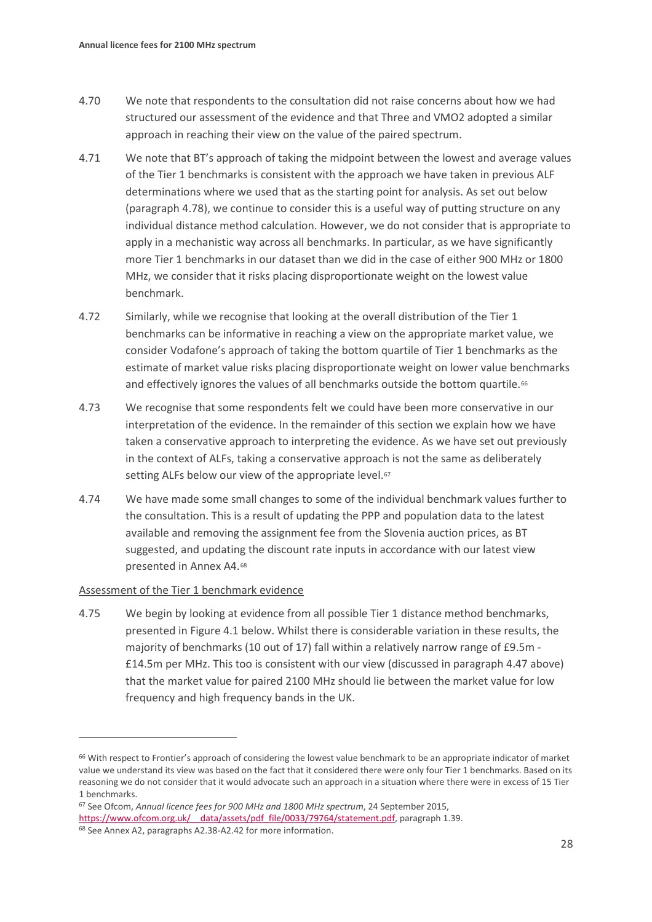- 4.70 We note that respondents to the consultation did not raise concerns about how we had structured our assessment of the evidence and that Three and VMO2 adopted a similar approach in reaching their view on the value of the paired spectrum.
- 4.71 We note that BT's approach of taking the midpoint between the lowest and average values of the Tier 1 benchmarks is consistent with the approach we have taken in previous ALF determinations where we used that as the starting point for analysis. As set out below (paragraph [4.78\)](#page-29-0), we continue to consider this is a useful way of putting structure on any individual distance method calculation. However, we do not consider that is appropriate to apply in a mechanistic way across all benchmarks. In particular, as we have significantly more Tier 1 benchmarks in our dataset than we did in the case of either 900 MHz or 1800 MHz, we consider that it risks placing disproportionate weight on the lowest value benchmark.
- 4.72 Similarly, while we recognise that looking at the overall distribution of the Tier 1 benchmarks can be informative in reaching a view on the appropriate market value, we consider Vodafone's approach of taking the bottom quartile of Tier 1 benchmarks as the estimate of market value risks placing disproportionate weight on lower value benchmarks and effectively ignores the values of all benchmarks outside the bottom quartile.<sup>[66](#page-27-0)</sup>
- 4.73 We recognise that some respondents felt we could have been more conservative in our interpretation of the evidence. In the remainder of this section we explain how we have taken a conservative approach to interpreting the evidence. As we have set out previously in the context of ALFs, taking a conservative approach is not the same as deliberately setting ALFs below our view of the appropriate level.<sup>[67](#page-27-1)</sup>
- 4.74 We have made some small changes to some of the individual benchmark values further to the consultation. This is a result of updating the PPP and population data to the latest available and removing the assignment fee from the Slovenia auction prices, as BT suggested, and updating the discount rate inputs in accordance with our latest view presented in Annex A4.[68](#page-27-2)

#### Assessment of the Tier 1 benchmark evidence

4.75 We begin by looking at evidence from all possible Tier 1 distance method benchmarks, presented in Figure 4.1 below. Whilst there is considerable variation in these results, the majority of benchmarks (10 out of 17) fall within a relatively narrow range of £9.5m - £14.5m per MHz. This too is consistent with our view (discussed in paragraph [4.47](#page-22-0) above) that the market value for paired 2100 MHz should lie between the market value for low frequency and high frequency bands in the UK.

<span id="page-27-0"></span><sup>&</sup>lt;sup>66</sup> With respect to Frontier's approach of considering the lowest value benchmark to be an appropriate indicator of market value we understand its view was based on the fact that it considered there were only four Tier 1 benchmarks. Based on its reasoning we do not consider that it would advocate such an approach in a situation where there were in excess of 15 Tier 1 benchmarks.

<span id="page-27-2"></span><span id="page-27-1"></span><sup>67</sup> See Ofcom, *Annual licence fees for 900 MHz and 1800 MHz spectrum*, 24 September 2015, https://www.ofcom.org.uk/ data/assets/pdf file/0033/79764/statement.pdf, paragraph 1.39. <sup>68</sup> See Annex A2, paragraphs A2.38-A2.42 for more information.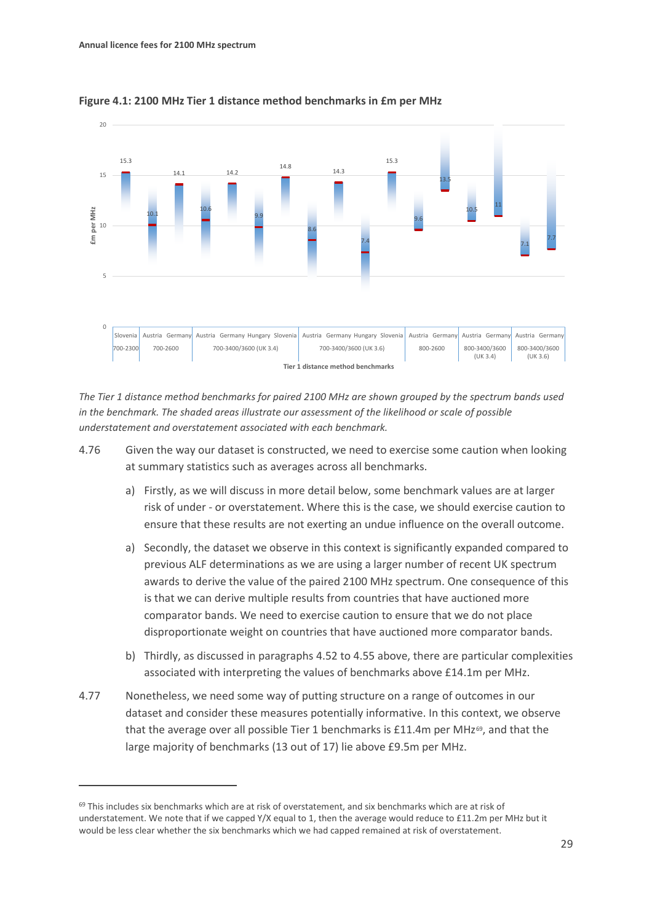

**Figure 4.1: 2100 MHz Tier 1 distance method benchmarks in £m per MHz**

*The Tier 1 distance method benchmarks for paired 2100 MHz are shown grouped by the spectrum bands used in the benchmark. The shaded areas illustrate our assessment of the likelihood or scale of possible understatement and overstatement associated with each benchmark.*

- 4.76 Given the way our dataset is constructed, we need to exercise some caution when looking at summary statistics such as averages across all benchmarks.
	- a) Firstly, as we will discuss in more detail below, some benchmark values are at larger risk of under - or overstatement. Where this is the case, we should exercise caution to ensure that these results are not exerting an undue influence on the overall outcome.
	- a) Secondly, the dataset we observe in this context is significantly expanded compared to previous ALF determinations as we are using a larger number of recent UK spectrum awards to derive the value of the paired 2100 MHz spectrum. One consequence of this is that we can derive multiple results from countries that have auctioned more comparator bands. We need to exercise caution to ensure that we do not place disproportionate weight on countries that have auctioned more comparator bands.
	- b) Thirdly, as discussed in paragraph[s 4.52](#page-23-2) t[o 4.55](#page-23-3) above, there are particular complexities associated with interpreting the values of benchmarks above £14.1m per MHz.
- 4.77 Nonetheless, we need some way of putting structure on a range of outcomes in our dataset and consider these measures potentially informative. In this context, we observe that the average over all possible Tier 1 benchmarks is  $£11.4m$  per MHz<sup>69</sup>, and that the large majority of benchmarks (13 out of 17) lie above £9.5m per MHz.

<span id="page-28-0"></span> $69$  This includes six benchmarks which are at risk of overstatement, and six benchmarks which are at risk of understatement. We note that if we capped Y/X equal to 1, then the average would reduce to £11.2m per MHz but it would be less clear whether the six benchmarks which we had capped remained at risk of overstatement.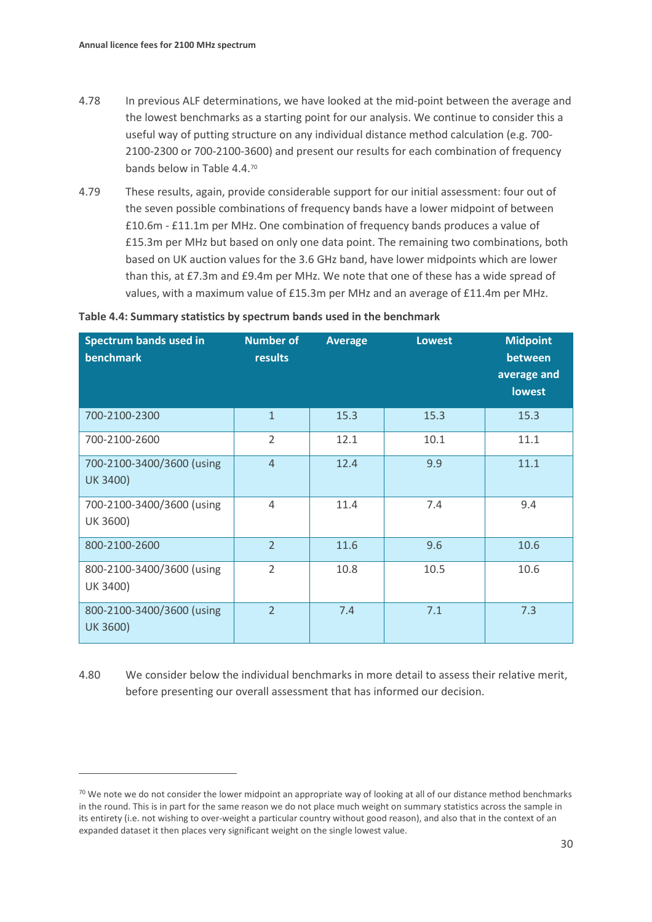- <span id="page-29-0"></span>4.78 In previous ALF determinations, we have looked at the mid-point between the average and the lowest benchmarks as a starting point for our analysis. We continue to consider this a useful way of putting structure on any individual distance method calculation (e.g. 700- 2100-2300 or 700-2100-3600) and present our results for each combination of frequency bands below in Table 4.4.[70](#page-29-1)
- 4.79 These results, again, provide considerable support for our initial assessment: four out of the seven possible combinations of frequency bands have a lower midpoint of between £10.6m - £11.1m per MHz. One combination of frequency bands produces a value of £15.3m per MHz but based on only one data point. The remaining two combinations, both based on UK auction values for the 3.6 GHz band, have lower midpoints which are lower than this, at £7.3m and £9.4m per MHz. We note that one of these has a wide spread of values, with a maximum value of £15.3m per MHz and an average of £11.4m per MHz.

| Spectrum bands used in<br><b>benchmark</b>   | <b>Number of</b><br>results | <b>Average</b> | <b>Lowest</b> | <b>Midpoint</b><br>between<br>average and<br><b>lowest</b> |
|----------------------------------------------|-----------------------------|----------------|---------------|------------------------------------------------------------|
| 700-2100-2300                                | $\mathbf{1}$                | 15.3           | 15.3          | 15.3                                                       |
| 700-2100-2600                                | $\overline{2}$              | 12.1           | 10.1          | 11.1                                                       |
| 700-2100-3400/3600 (using<br><b>UK 3400)</b> | $\overline{4}$              | 12.4           | 9.9           | 11.1                                                       |
| 700-2100-3400/3600 (using<br>UK 3600)        | 4                           | 11.4           | 7.4           | 9.4                                                        |
| 800-2100-2600                                | $\overline{2}$              | 11.6           | 9.6           | 10.6                                                       |
| 800-2100-3400/3600 (using<br>UK 3400)        | $\overline{2}$              | 10.8           | 10.5          | 10.6                                                       |
| 800-2100-3400/3600 (using<br><b>UK 3600)</b> | $\overline{2}$              | 7.4            | 7.1           | 7.3                                                        |

4.80 We consider below the individual benchmarks in more detail to assess their relative merit, before presenting our overall assessment that has informed our decision.

<span id="page-29-1"></span> $70$  We note we do not consider the lower midpoint an appropriate way of looking at all of our distance method benchmarks in the round. This is in part for the same reason we do not place much weight on summary statistics across the sample in its entirety (i.e. not wishing to over-weight a particular country without good reason), and also that in the context of an expanded dataset it then places very significant weight on the single lowest value.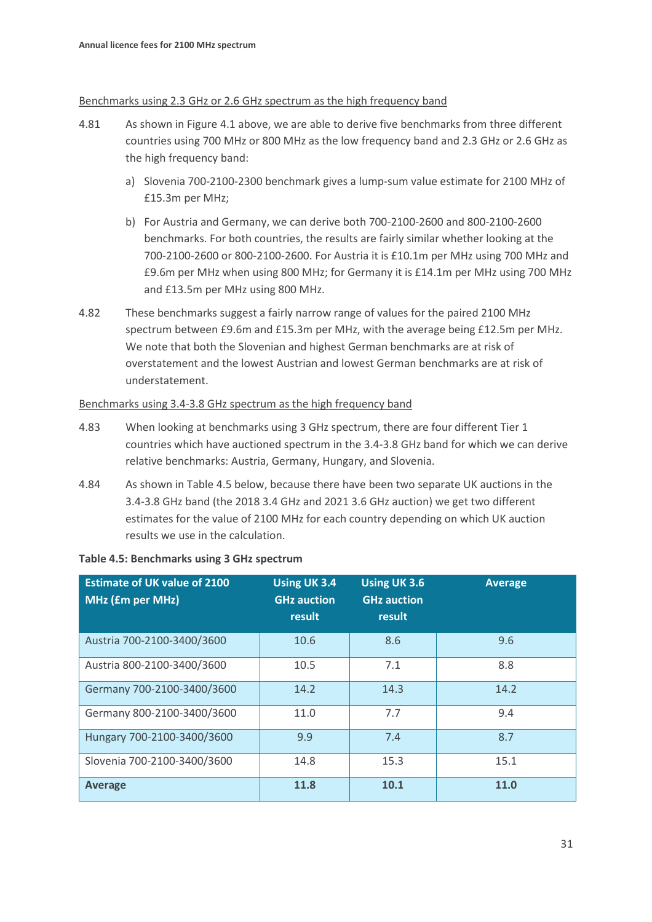#### Benchmarks using 2.3 GHz or 2.6 GHz spectrum as the high frequency band

- 4.81 As shown in Figure 4.1 above, we are able to derive five benchmarks from three different countries using 700 MHz or 800 MHz as the low frequency band and 2.3 GHz or 2.6 GHz as the high frequency band:
	- a) Slovenia 700-2100-2300 benchmark gives a lump-sum value estimate for 2100 MHz of £15.3m per MHz;
	- b) For Austria and Germany, we can derive both 700-2100-2600 and 800-2100-2600 benchmarks. For both countries, the results are fairly similar whether looking at the 700-2100-2600 or 800-2100-2600. For Austria it is £10.1m per MHz using 700 MHz and £9.6m per MHz when using 800 MHz; for Germany it is £14.1m per MHz using 700 MHz and £13.5m per MHz using 800 MHz.
- 4.82 These benchmarks suggest a fairly narrow range of values for the paired 2100 MHz spectrum between £9.6m and £15.3m per MHz, with the average being £12.5m per MHz. We note that both the Slovenian and highest German benchmarks are at risk of overstatement and the lowest Austrian and lowest German benchmarks are at risk of understatement.

#### Benchmarks using 3.4-3.8 GHz spectrum as the high frequency band

- 4.83 When looking at benchmarks using 3 GHz spectrum, there are four different Tier 1 countries which have auctioned spectrum in the 3.4-3.8 GHz band for which we can derive relative benchmarks: Austria, Germany, Hungary, and Slovenia.
- 4.84 As shown in Table 4.5 below, because there have been two separate UK auctions in the 3.4-3.8 GHz band (the 2018 3.4 GHz and 2021 3.6 GHz auction) we get two different estimates for the value of 2100 MHz for each country depending on which UK auction results we use in the calculation.

#### **Table 4.5: Benchmarks using 3 GHz spectrum**

| <b>Estimate of UK value of 2100</b><br><b>MHz (£m per MHz)</b> | <b>Using UK 3.4</b><br><b>GHz auction</b><br>result | <b>Using UK 3.6</b><br><b>GHz auction</b><br>result | <b>Average</b> |
|----------------------------------------------------------------|-----------------------------------------------------|-----------------------------------------------------|----------------|
| Austria 700-2100-3400/3600                                     | 10.6                                                | 8.6                                                 | 9.6            |
| Austria 800-2100-3400/3600                                     | 10.5                                                | 7.1                                                 | 8.8            |
| Germany 700-2100-3400/3600                                     | 14.2                                                | 14.3                                                | 14.2           |
| Germany 800-2100-3400/3600                                     | 11.0                                                | 7.7                                                 | 9.4            |
| Hungary 700-2100-3400/3600                                     | 9.9                                                 | 7.4                                                 | 8.7            |
| Slovenia 700-2100-3400/3600                                    | 14.8                                                | 15.3                                                | 15.1           |
| <b>Average</b>                                                 | 11.8                                                | 10.1                                                | 11.0           |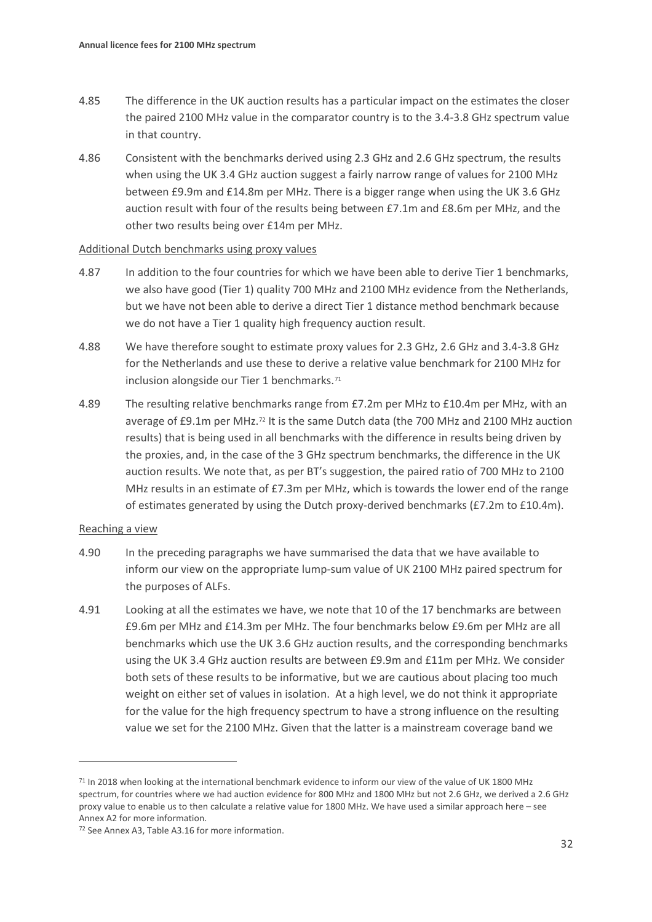- 4.85 The difference in the UK auction results has a particular impact on the estimates the closer the paired 2100 MHz value in the comparator country is to the 3.4-3.8 GHz spectrum value in that country.
- 4.86 Consistent with the benchmarks derived using 2.3 GHz and 2.6 GHz spectrum, the results when using the UK 3.4 GHz auction suggest a fairly narrow range of values for 2100 MHz between £9.9m and £14.8m per MHz. There is a bigger range when using the UK 3.6 GHz auction result with four of the results being between £7.1m and £8.6m per MHz, and the other two results being over £14m per MHz.

#### Additional Dutch benchmarks using proxy values

- 4.87 In addition to the four countries for which we have been able to derive Tier 1 benchmarks, we also have good (Tier 1) quality 700 MHz and 2100 MHz evidence from the Netherlands, but we have not been able to derive a direct Tier 1 distance method benchmark because we do not have a Tier 1 quality high frequency auction result.
- 4.88 We have therefore sought to estimate proxy values for 2.3 GHz, 2.6 GHz and 3.4-3.8 GHz for the Netherlands and use these to derive a relative value benchmark for 2100 MHz for inclusion alongside our Tier 1 benchmarks.<sup>[71](#page-31-0)</sup>
- 4.89 The resulting relative benchmarks range from £7.2m per MHz to £10.4m per MHz, with an average of £9.1m per MHz.<sup>72</sup> It is the same Dutch data (the 700 MHz and 2100 MHz auction results) that is being used in all benchmarks with the difference in results being driven by the proxies, and, in the case of the 3 GHz spectrum benchmarks, the difference in the UK auction results. We note that, as per BT's suggestion, the paired ratio of 700 MHz to 2100 MHz results in an estimate of £7.3m per MHz, which is towards the lower end of the range of estimates generated by using the Dutch proxy-derived benchmarks (£7.2m to £10.4m).

#### Reaching a view

- 4.90 In the preceding paragraphs we have summarised the data that we have available to inform our view on the appropriate lump-sum value of UK 2100 MHz paired spectrum for the purposes of ALFs.
- 4.91 Looking at all the estimates we have, we note that 10 of the 17 benchmarks are between £9.6m per MHz and £14.3m per MHz. The four benchmarks below £9.6m per MHz are all benchmarks which use the UK 3.6 GHz auction results, and the corresponding benchmarks using the UK 3.4 GHz auction results are between £9.9m and £11m per MHz. We consider both sets of these results to be informative, but we are cautious about placing too much weight on either set of values in isolation. At a high level, we do not think it appropriate for the value for the high frequency spectrum to have a strong influence on the resulting value we set for the 2100 MHz. Given that the latter is a mainstream coverage band we

<span id="page-31-0"></span><sup>71</sup> In 2018 when looking at the international benchmark evidence to inform our view of the value of UK 1800 MHz spectrum, for countries where we had auction evidence for 800 MHz and 1800 MHz but not 2.6 GHz, we derived a 2.6 GHz proxy value to enable us to then calculate a relative value for 1800 MHz. We have used a similar approach here – see Annex A2 for more information.

<span id="page-31-1"></span><sup>72</sup> See Annex A3, Table A3.16 for more information.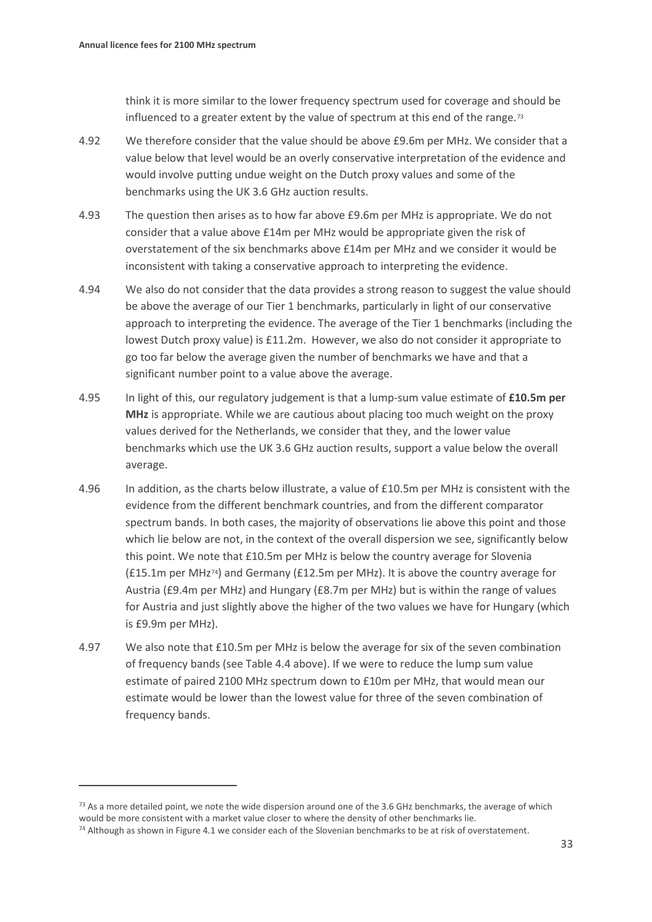think it is more similar to the lower frequency spectrum used for coverage and should be influenced to a greater extent by the value of spectrum at this end of the range.<sup>[73](#page-32-0)</sup>

- 4.92 We therefore consider that the value should be above £9.6m per MHz. We consider that a value below that level would be an overly conservative interpretation of the evidence and would involve putting undue weight on the Dutch proxy values and some of the benchmarks using the UK 3.6 GHz auction results.
- 4.93 The question then arises as to how far above £9.6m per MHz is appropriate. We do not consider that a value above £14m per MHz would be appropriate given the risk of overstatement of the six benchmarks above £14m per MHz and we consider it would be inconsistent with taking a conservative approach to interpreting the evidence.
- 4.94 We also do not consider that the data provides a strong reason to suggest the value should be above the average of our Tier 1 benchmarks, particularly in light of our conservative approach to interpreting the evidence. The average of the Tier 1 benchmarks (including the lowest Dutch proxy value) is £11.2m. However, we also do not consider it appropriate to go too far below the average given the number of benchmarks we have and that a significant number point to a value above the average.
- 4.95 In light of this, our regulatory judgement is that a lump-sum value estimate of **£10.5m per MHz** is appropriate. While we are cautious about placing too much weight on the proxy values derived for the Netherlands, we consider that they, and the lower value benchmarks which use the UK 3.6 GHz auction results, support a value below the overall average.
- 4.96 In addition, as the charts below illustrate, a value of £10.5m per MHz is consistent with the evidence from the different benchmark countries, and from the different comparator spectrum bands. In both cases, the majority of observations lie above this point and those which lie below are not, in the context of the overall dispersion we see, significantly below this point. We note that £10.5m per MHz is below the country average for Slovenia (£15.1m per MHz[74\)](#page-32-1) and Germany (£12.5m per MHz). It is above the country average for Austria (£9.4m per MHz) and Hungary (£8.7m per MHz) but is within the range of values for Austria and just slightly above the higher of the two values we have for Hungary (which is £9.9m per MHz).
- 4.97 We also note that £10.5m per MHz is below the average for six of the seven combination of frequency bands (see Table 4.4 above). If we were to reduce the lump sum value estimate of paired 2100 MHz spectrum down to £10m per MHz, that would mean our estimate would be lower than the lowest value for three of the seven combination of frequency bands.

<span id="page-32-0"></span> $73$  As a more detailed point, we note the wide dispersion around one of the 3.6 GHz benchmarks, the average of which would be more consistent with a market value closer to where the density of other benchmarks lie.

<span id="page-32-1"></span> $74$  Although as shown in Figure 4.1 we consider each of the Slovenian benchmarks to be at risk of overstatement.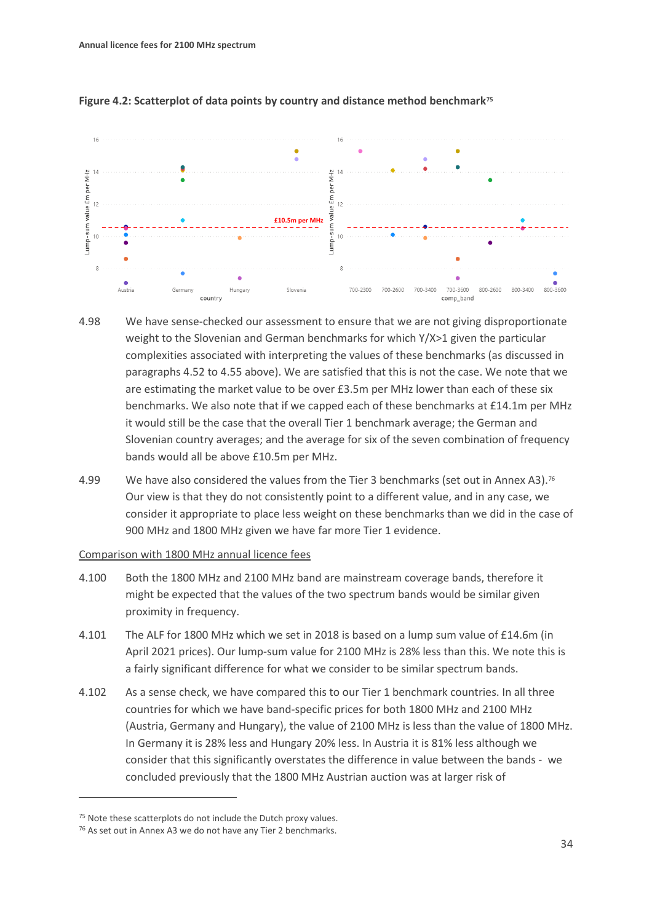

#### **Figure 4.2: Scatterplot of data points by country and distance method benchmark[75](#page-33-0)**

- 4.98 We have sense-checked our assessment to ensure that we are not giving disproportionate weight to the Slovenian and German benchmarks for which Y/X>1 given the particular complexities associated with interpreting the values of these benchmarks (as discussed in paragraphs [4.52](#page-23-2) to [4.55](#page-23-3) above). We are satisfied that this is not the case. We note that we are estimating the market value to be over £3.5m per MHz lower than each of these six benchmarks. We also note that if we capped each of these benchmarks at £14.1m per MHz it would still be the case that the overall Tier 1 benchmark average; the German and Slovenian country averages; and the average for six of the seven combination of frequency bands would all be above £10.5m per MHz.
- 4.99 We have also considered the values from the Tier 3 benchmarks (set out in Annex A3).<sup>[76](#page-33-1)</sup> Our view is that they do not consistently point to a different value, and in any case, we consider it appropriate to place less weight on these benchmarks than we did in the case of 900 MHz and 1800 MHz given we have far more Tier 1 evidence.

#### Comparison with 1800 MHz annual licence fees

- 4.100 Both the 1800 MHz and 2100 MHz band are mainstream coverage bands, therefore it might be expected that the values of the two spectrum bands would be similar given proximity in frequency.
- 4.101 The ALF for 1800 MHz which we set in 2018 is based on a lump sum value of £14.6m (in April 2021 prices). Our lump-sum value for 2100 MHz is 28% less than this. We note this is a fairly significant difference for what we consider to be similar spectrum bands.
- 4.102 As a sense check, we have compared this to our Tier 1 benchmark countries. In all three countries for which we have band-specific prices for both 1800 MHz and 2100 MHz (Austria, Germany and Hungary), the value of 2100 MHz is less than the value of 1800 MHz. In Germany it is 28% less and Hungary 20% less. In Austria it is 81% less although we consider that this significantly overstates the difference in value between the bands - we concluded previously that the 1800 MHz Austrian auction was at larger risk of

<span id="page-33-0"></span><sup>75</sup> Note these scatterplots do not include the Dutch proxy values.

<span id="page-33-1"></span><sup>76</sup> As set out in Annex A3 we do not have any Tier 2 benchmarks.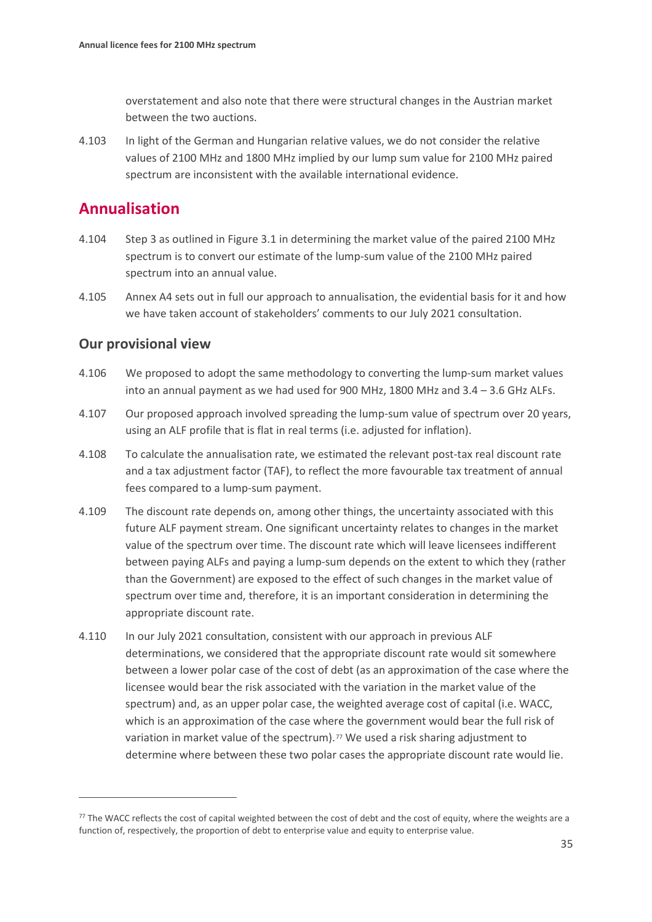overstatement and also note that there were structural changes in the Austrian market between the two auctions.

4.103 In light of the German and Hungarian relative values, we do not consider the relative values of 2100 MHz and 1800 MHz implied by our lump sum value for 2100 MHz paired spectrum are inconsistent with the available international evidence.

# **Annualisation**

- 4.104 Step 3 as outlined in Figure 3.1 in determining the market value of the paired 2100 MHz spectrum is to convert our estimate of the lump-sum value of the 2100 MHz paired spectrum into an annual value.
- 4.105 Annex A4 sets out in full our approach to annualisation, the evidential basis for it and how we have taken account of stakeholders' comments to our July 2021 consultation.

## **Our provisional view**

- 4.106 We proposed to adopt the same methodology to converting the lump-sum market values into an annual payment as we had used for 900 MHz, 1800 MHz and 3.4 – 3.6 GHz ALFs.
- 4.107 Our proposed approach involved spreading the lump-sum value of spectrum over 20 years, using an ALF profile that is flat in real terms (i.e. adjusted for inflation).
- 4.108 To calculate the annualisation rate, we estimated the relevant post-tax real discount rate and a tax adjustment factor (TAF), to reflect the more favourable tax treatment of annual fees compared to a lump-sum payment.
- 4.109 The discount rate depends on, among other things, the uncertainty associated with this future ALF payment stream. One significant uncertainty relates to changes in the market value of the spectrum over time. The discount rate which will leave licensees indifferent between paying ALFs and paying a lump-sum depends on the extent to which they (rather than the Government) are exposed to the effect of such changes in the market value of spectrum over time and, therefore, it is an important consideration in determining the appropriate discount rate.
- 4.110 In our July 2021 consultation, consistent with our approach in previous ALF determinations, we considered that the appropriate discount rate would sit somewhere between a lower polar case of the cost of debt (as an approximation of the case where the licensee would bear the risk associated with the variation in the market value of the spectrum) and, as an upper polar case, the weighted average cost of capital (i.e. WACC, which is an approximation of the case where the government would bear the full risk of variation in market value of the spectrum).<sup>[77](#page-34-0)</sup> We used a risk sharing adjustment to determine where between these two polar cases the appropriate discount rate would lie.

<span id="page-34-0"></span> $77$  The WACC reflects the cost of capital weighted between the cost of debt and the cost of equity, where the weights are a function of, respectively, the proportion of debt to enterprise value and equity to enterprise value.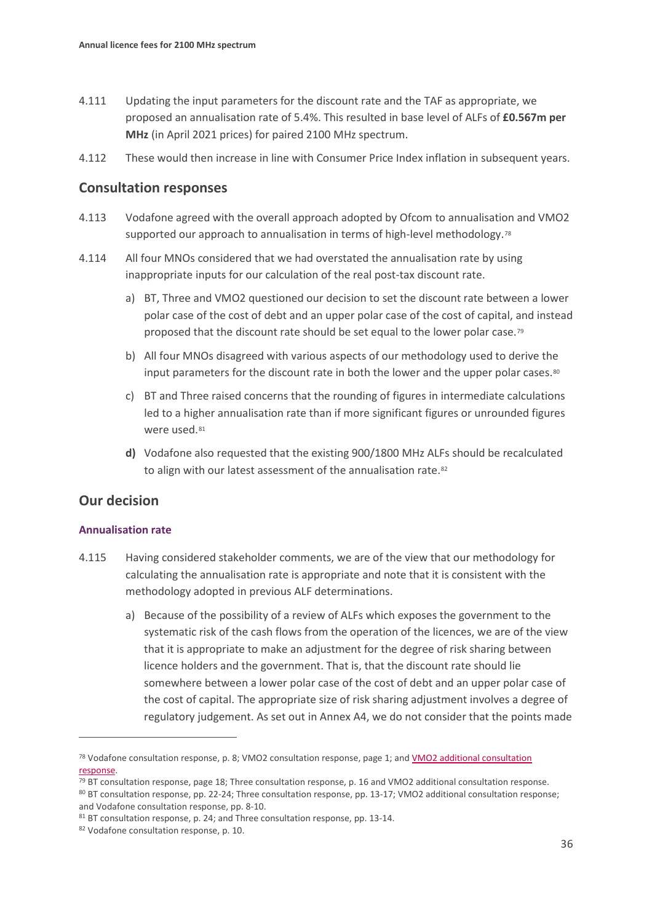- 4.111 Updating the input parameters for the discount rate and the TAF as appropriate, we proposed an annualisation rate of 5.4%. This resulted in base level of ALFs of **£0.567m per MHz** (in April 2021 prices) for paired 2100 MHz spectrum.
- 4.112 These would then increase in line with Consumer Price Index inflation in subsequent years.

### **Consultation responses**

- 4.113 Vodafone agreed with the overall approach adopted by Ofcom to annualisation and VMO2 supported our approach to annualisation in terms of high-level methodology.<sup>[78](#page-35-0)</sup>
- 4.114 All four MNOs considered that we had overstated the annualisation rate by using inappropriate inputs for our calculation of the real post-tax discount rate.
	- a) BT, Three and VMO2 questioned our decision to set the discount rate between a lower polar case of the cost of debt and an upper polar case of the cost of capital, and instead proposed that the discount rate should be set equal to the lower polar case.[79](#page-35-1)
	- b) All four MNOs disagreed with various aspects of our methodology used to derive the input parameters for the discount rate in both the lower and the upper polar cases.<sup>[80](#page-35-2)</sup>
	- c) BT and Three raised concerns that the rounding of figures in intermediate calculations led to a higher annualisation rate than if more significant figures or unrounded figures were used.<sup>[81](#page-35-3)</sup>
	- **d)** Vodafone also requested that the existing 900/1800 MHz ALFs should be recalculated to align with our latest assessment of the annualisation rate.<sup>82</sup>

## **Our decision**

#### **Annualisation rate**

- 4.115 Having considered stakeholder comments, we are of the view that our methodology for calculating the annualisation rate is appropriate and note that it is consistent with the methodology adopted in previous ALF determinations.
	- a) Because of the possibility of a review of ALFs which exposes the government to the systematic risk of the cash flows from the operation of the licences, we are of the view that it is appropriate to make an adjustment for the degree of risk sharing between licence holders and the government. That is, that the discount rate should lie somewhere between a lower polar case of the cost of debt and an upper polar case of the cost of capital. The appropriate size of risk sharing adjustment involves a degree of regulatory judgement. As set out in Annex A4, we do not consider that the points made

<span id="page-35-2"></span>80 BT consultation response, pp. 22-24; Three consultation response, pp. 13-17; VMO2 additional consultation response;

<span id="page-35-0"></span><sup>78</sup> Vodafone consultation response, p. 8; VMO2 consultation response, page 1; and [VMO2 additional consultation](https://www.ofcom.org.uk/__data/assets/pdf_file/0022/227371/virgin-O2-additional.pdf)  [response.](https://www.ofcom.org.uk/__data/assets/pdf_file/0022/227371/virgin-O2-additional.pdf)

<span id="page-35-1"></span><sup>79</sup> BT consultation response, page 18; Three consultation response, p. 16 and VMO2 additional consultation response.

<span id="page-35-3"></span>and Vodafone consultation response, pp. 8-10.<br><sup>81</sup> BT consultation response, p. 24; and Three consultation response, pp. 13-14.

<span id="page-35-4"></span><sup>82</sup> Vodafone consultation response, p. 10.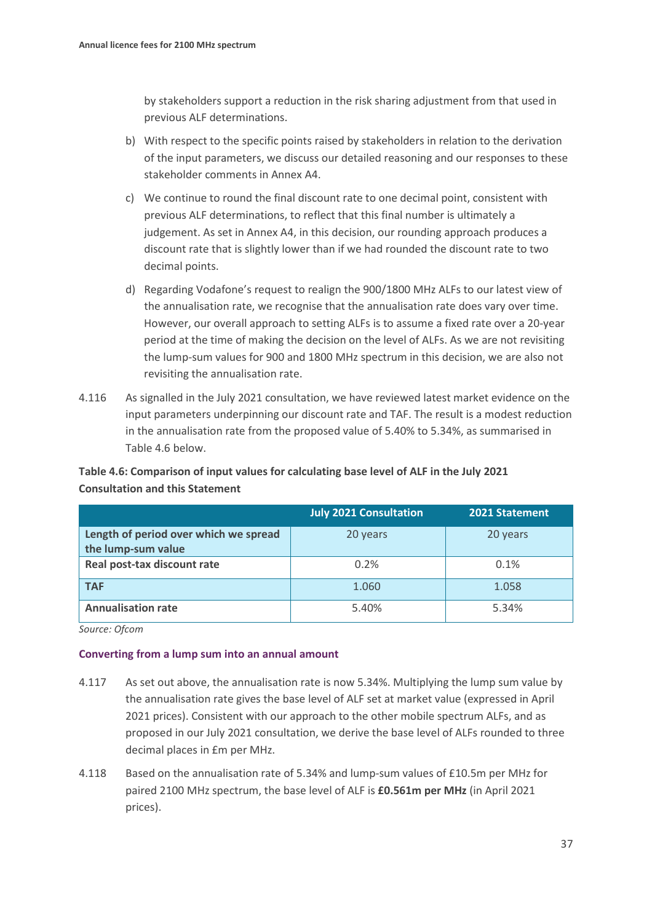by stakeholders support a reduction in the risk sharing adjustment from that used in previous ALF determinations.

- b) With respect to the specific points raised by stakeholders in relation to the derivation of the input parameters, we discuss our detailed reasoning and our responses to these stakeholder comments in Annex A4.
- c) We continue to round the final discount rate to one decimal point, consistent with previous ALF determinations, to reflect that this final number is ultimately a judgement. As set in Annex A4, in this decision, our rounding approach produces a discount rate that is slightly lower than if we had rounded the discount rate to two decimal points.
- d) Regarding Vodafone's request to realign the 900/1800 MHz ALFs to our latest view of the annualisation rate, we recognise that the annualisation rate does vary over time. However, our overall approach to setting ALFs is to assume a fixed rate over a 20-year period at the time of making the decision on the level of ALFs. As we are not revisiting the lump-sum values for 900 and 1800 MHz spectrum in this decision, we are also not revisiting the annualisation rate.
- 4.116 As signalled in the July 2021 consultation, we have reviewed latest market evidence on the input parameters underpinning our discount rate and TAF. The result is a modest reduction in the annualisation rate from the proposed value of 5.40% to 5.34%, as summarised in Table 4.6 below.

### **Table 4.6: Comparison of input values for calculating base level of ALF in the July 2021 Consultation and this Statement**

|                                       | <b>July 2021 Consultation</b> | 2021 Statement |
|---------------------------------------|-------------------------------|----------------|
| Length of period over which we spread | 20 years                      | 20 years       |
| the lump-sum value                    |                               |                |
| Real post-tax discount rate           | 0.2%                          | 0.1%           |
| <b>TAF</b>                            | 1.060                         | 1.058          |
| <b>Annualisation rate</b>             | 5.40%                         | 5.34%          |

*Source: Ofcom*

#### **Converting from a lump sum into an annual amount**

- 4.117 As set out above, the annualisation rate is now 5.34%. Multiplying the lump sum value by the annualisation rate gives the base level of ALF set at market value (expressed in April 2021 prices). Consistent with our approach to the other mobile spectrum ALFs, and as proposed in our July 2021 consultation, we derive the base level of ALFs rounded to three decimal places in £m per MHz.
- 4.118 Based on the annualisation rate of 5.34% and lump-sum values of £10.5m per MHz for paired 2100 MHz spectrum, the base level of ALF is **£0.561m per MHz** (in April 2021 prices).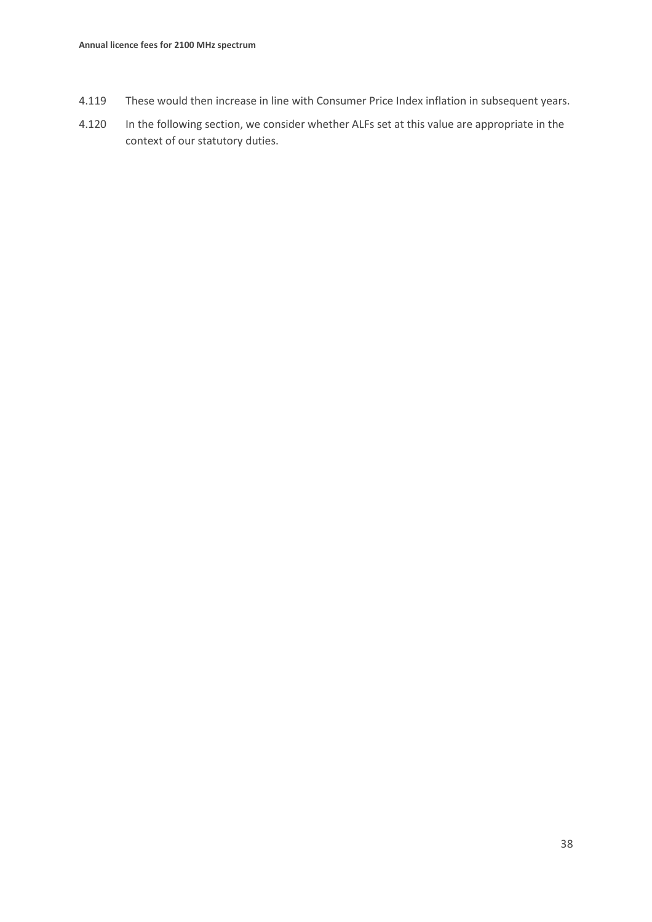- 4.119 These would then increase in line with Consumer Price Index inflation in subsequent years.
- 4.120 In the following section, we consider whether ALFs set at this value are appropriate in the context of our statutory duties.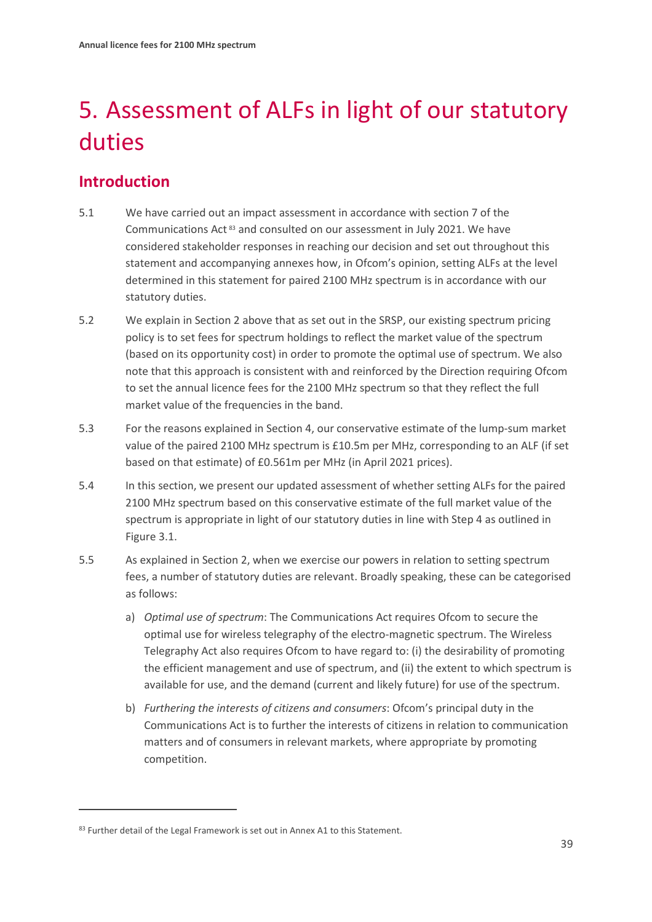# <span id="page-38-0"></span>5. Assessment of ALFs in light of our statutory duties

# **Introduction**

- 5.1 We have carried out an impact assessment in accordance with section 7 of the Communications Act [83](#page-38-1) and consulted on our assessment in July 2021. We have considered stakeholder responses in reaching our decision and set out throughout this statement and accompanying annexes how, in Ofcom's opinion, setting ALFs at the level determined in this statement for paired 2100 MHz spectrum is in accordance with our statutory duties.
- 5.2 We explain in Section 2 above that as set out in the SRSP, our existing spectrum pricing policy is to set fees for spectrum holdings to reflect the market value of the spectrum (based on its opportunity cost) in order to promote the optimal use of spectrum. We also note that this approach is consistent with and reinforced by the Direction requiring Ofcom to set the annual licence fees for the 2100 MHz spectrum so that they reflect the full market value of the frequencies in the band.
- 5.3 For the reasons explained in Section 4, our conservative estimate of the lump-sum market value of the paired 2100 MHz spectrum is £10.5m per MHz, corresponding to an ALF (if set based on that estimate) of £0.561m per MHz (in April 2021 prices).
- 5.4 In this section, we present our updated assessment of whether setting ALFs for the paired 2100 MHz spectrum based on this conservative estimate of the full market value of the spectrum is appropriate in light of our statutory duties in line with Step 4 as outlined in Figure 3.1.
- 5.5 As explained in Section 2, when we exercise our powers in relation to setting spectrum fees, a number of statutory duties are relevant. Broadly speaking, these can be categorised as follows:
	- a) *Optimal use of spectrum*: The Communications Act requires Ofcom to secure the optimal use for wireless telegraphy of the electro-magnetic spectrum. The Wireless Telegraphy Act also requires Ofcom to have regard to: (i) the desirability of promoting the efficient management and use of spectrum, and (ii) the extent to which spectrum is available for use, and the demand (current and likely future) for use of the spectrum.
	- b) *Furthering the interests of citizens and consumers*: Ofcom's principal duty in the Communications Act is to further the interests of citizens in relation to communication matters and of consumers in relevant markets, where appropriate by promoting competition.

<span id="page-38-1"></span><sup>83</sup> Further detail of the Legal Framework is set out in Annex A1 to this Statement.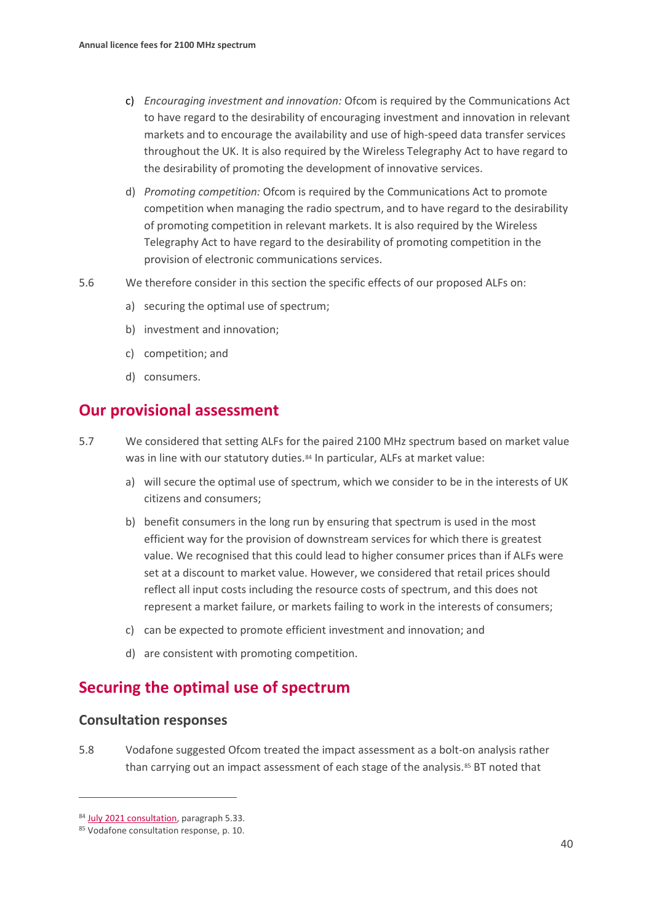- c) *Encouraging investment and innovation:* Ofcom is required by the Communications Act to have regard to the desirability of encouraging investment and innovation in relevant markets and to encourage the availability and use of high-speed data transfer services throughout the UK. It is also required by the Wireless Telegraphy Act to have regard to the desirability of promoting the development of innovative services.
- d) *Promoting competition:* Ofcom is required by the Communications Act to promote competition when managing the radio spectrum, and to have regard to the desirability of promoting competition in relevant markets. It is also required by the Wireless Telegraphy Act to have regard to the desirability of promoting competition in the provision of electronic communications services.
- 5.6 We therefore consider in this section the specific effects of our proposed ALFs on:
	- a) securing the optimal use of spectrum;
	- b) investment and innovation;
	- c) competition; and
	- d) consumers.

# **Our provisional assessment**

- 5.7 We considered that setting ALFs for the paired 2100 MHz spectrum based on market value was in line with our statutory duties.<sup>[84](#page-39-0)</sup> In particular, ALFs at market value:
	- a) will secure the optimal use of spectrum, which we consider to be in the interests of UK citizens and consumers;
	- b) benefit consumers in the long run by ensuring that spectrum is used in the most efficient way for the provision of downstream services for which there is greatest value. We recognised that this could lead to higher consumer prices than if ALFs were set at a discount to market value. However, we considered that retail prices should reflect all input costs including the resource costs of spectrum, and this does not represent a market failure, or markets failing to work in the interests of consumers;
	- c) can be expected to promote efficient investment and innovation; and
	- d) are consistent with promoting competition.

# **Securing the optimal use of spectrum**

### **Consultation responses**

5.8 Vodafone suggested Ofcom treated the impact assessment as a bolt-on analysis rather than carrying out an impact assessment of each stage of the analysis.<sup>[85](#page-39-1)</sup> BT noted that

<span id="page-39-0"></span><sup>84</sup> [July 2021 consultation,](https://www.ofcom.org.uk/__data/assets/pdf_file/0032/221999/1900_2100-mhz-condoc.pdf) paragraph 5.33.

<span id="page-39-1"></span><sup>85</sup> Vodafone consultation response, p. 10.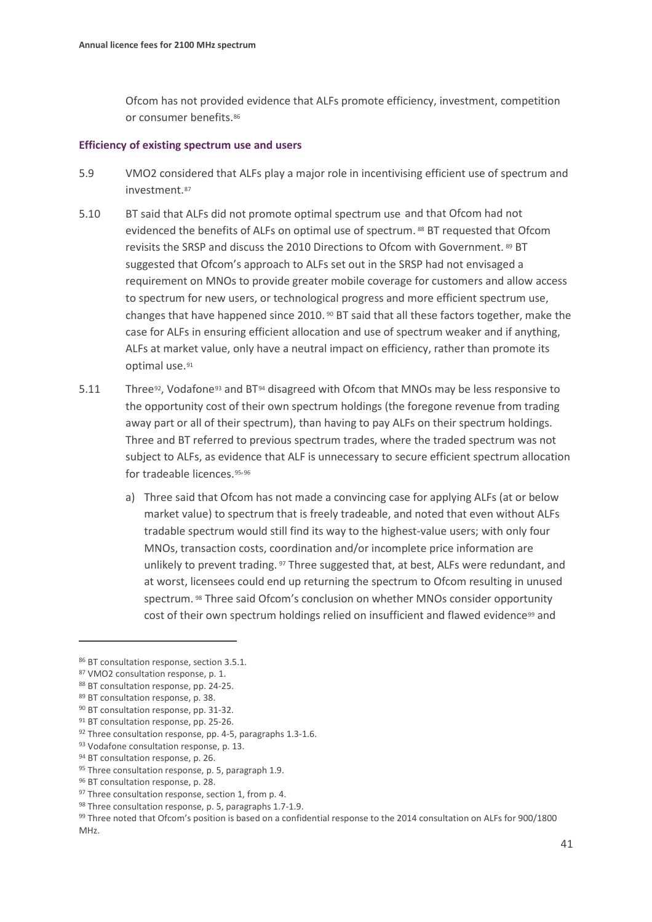Ofcom has not provided evidence that ALFs promote efficiency, investment, competition or consumer benefits.[86](#page-40-0)

#### **Efficiency of existing spectrum use and users**

- 5.9 VMO2 considered that ALFs play a major role in incentivising efficient use of spectrum and investment.[87](#page-40-1)
- 5.10 BT said that ALFs did not promote optimal spectrum use and that Ofcom had not evidenced the benefits of ALFs on optimal use of spectrum. [88](#page-40-2) BT requested that Ofcom revisits the SRSP and discuss the 2010 Directions to Ofcom with Government. [89](#page-40-3) BT suggested that Ofcom's approach to ALFs set out in the SRSP had not envisaged a requirement on MNOs to provide greater mobile coverage for customers and allow access to spectrum for new users, or technological progress and more efficient spectrum use, changes that have happened since 2010. [90](#page-40-4) BT said that all these factors together, make the case for ALFs in ensuring efficient allocation and use of spectrum weaker and if anything, ALFs at market value, only have a neutral impact on efficiency, rather than promote its optimal use.[91](#page-40-5)
- 5.11 Three<sup>[92](#page-40-6)</sup>, Vodafone<sup>[93](#page-40-7)</sup> and BT<sup>[94](#page-40-8)</sup> disagreed with Ofcom that MNOs may be less responsive to the opportunity cost of their own spectrum holdings (the foregone revenue from trading away part or all of their spectrum), than having to pay ALFs on their spectrum holdings. Three and BT referred to previous spectrum trades, where the traded spectrum was not subject to ALFs, as evidence that ALF is unnecessary to secure efficient spectrum allocation for tradeable licences.[95](#page-40-9),[96](#page-40-10)
	- a) Three said that Ofcom has not made a convincing case for applying ALFs (at or below market value) to spectrum that is freely tradeable, and noted that even without ALFs tradable spectrum would still find its way to the highest-value users; with only four MNOs, transaction costs, coordination and/or incomplete price information are unlikely to prevent trading. [97](#page-40-11) Three suggested that, at best, ALFs were redundant, and at worst, licensees could end up returning the spectrum to Ofcom resulting in unused spectrum. [98](#page-40-12) Three said Ofcom's conclusion on whether MNOs consider opportunity cost of their own spectrum holdings relied on insufficient and flawed evidence<sup>[99](#page-40-13)</sup> and

<span id="page-40-0"></span><sup>86</sup> BT consultation response, section 3.5.1.

<span id="page-40-1"></span><sup>87</sup> VMO2 consultation response, p. 1.

<span id="page-40-2"></span><sup>88</sup> BT consultation response, pp. 24-25.

<span id="page-40-3"></span><sup>89</sup> BT consultation response, p. 38.

<span id="page-40-4"></span><sup>90</sup> BT consultation response, pp. 31-32.

<span id="page-40-6"></span><span id="page-40-5"></span><sup>&</sup>lt;sup>91</sup> BT consultation response, pp. 25-26.

<sup>92</sup> Three consultation response, pp. 4-5, paragraphs 1.3-1.6.

<span id="page-40-7"></span><sup>93</sup> Vodafone consultation response, p. 13.

<span id="page-40-9"></span><span id="page-40-8"></span><sup>94</sup> BT consultation response, p. 26.

<sup>95</sup> Three consultation response, p. 5, paragraph 1.9.

<span id="page-40-10"></span><sup>96</sup> BT consultation response, p. 28.

<span id="page-40-12"></span><span id="page-40-11"></span><sup>&</sup>lt;sup>97</sup> Three consultation response, section 1, from p. 4.

<sup>98</sup> Three consultation response, p. 5, paragraphs 1.7-1.9.

<span id="page-40-13"></span><sup>99</sup> Three noted that Ofcom's position is based on a confidential response to the 2014 consultation on ALFs for 900/1800 MHz.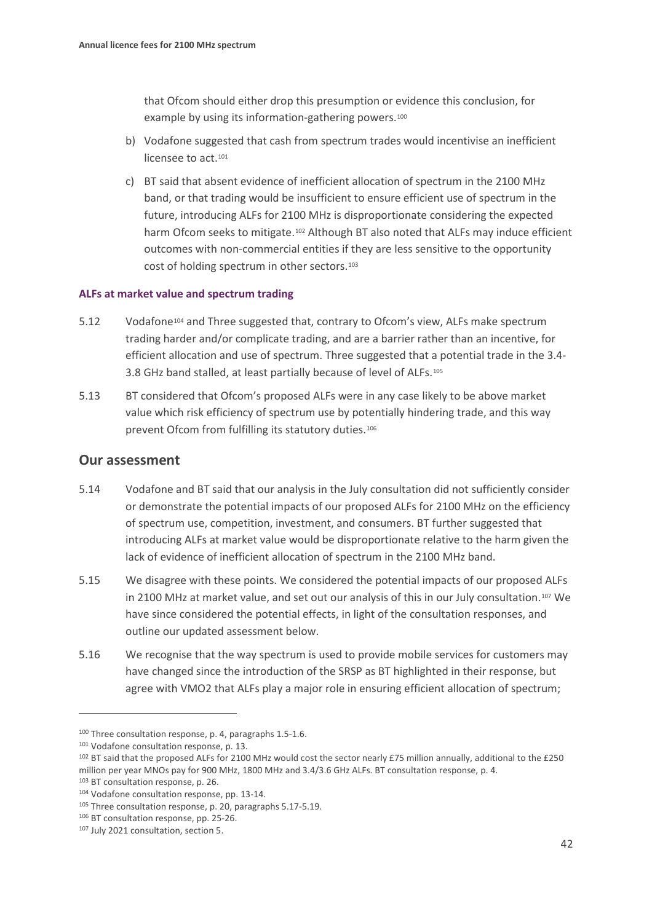that Ofcom should either drop this presumption or evidence this conclusion, for example by using its information-gathering powers.<sup>100</sup>

- b) Vodafone suggested that cash from spectrum trades would incentivise an inefficient licensee to act.<sup>[101](#page-41-1)</sup>
- c) BT said that absent evidence of inefficient allocation of spectrum in the 2100 MHz band, or that trading would be insufficient to ensure efficient use of spectrum in the future, introducing ALFs for 2100 MHz is disproportionate considering the expected harm Ofcom seeks to mitigate.<sup>[102](#page-41-2)</sup> Although BT also noted that ALFs may induce efficient outcomes with non-commercial entities if they are less sensitive to the opportunity cost of holding spectrum in other sectors.[103](#page-41-3)

#### **ALFs at market value and spectrum trading**

- 5.12 Vodafone[104](#page-41-4) and Three suggested that, contrary to Ofcom's view, ALFs make spectrum trading harder and/or complicate trading, and are a barrier rather than an incentive, for efficient allocation and use of spectrum. Three suggested that a potential trade in the 3.4- 3.8 GHz band stalled, at least partially because of level of ALFs.[105](#page-41-5)
- 5.13 BT considered that Ofcom's proposed ALFs were in any case likely to be above market value which risk efficiency of spectrum use by potentially hindering trade, and this way prevent Ofcom from fulfilling its statutory duties.[106](#page-41-6)

#### **Our assessment**

- 5.14 Vodafone and BT said that our analysis in the July consultation did not sufficiently consider or demonstrate the potential impacts of our proposed ALFs for 2100 MHz on the efficiency of spectrum use, competition, investment, and consumers. BT further suggested that introducing ALFs at market value would be disproportionate relative to the harm given the lack of evidence of inefficient allocation of spectrum in the 2100 MHz band.
- 5.15 We disagree with these points. We considered the potential impacts of our proposed ALFs in 2100 MHz at market value, and set out our analysis of this in our July consultation.[107](#page-41-7) We have since considered the potential effects, in light of the consultation responses, and outline our updated assessment below.
- 5.16 We recognise that the way spectrum is used to provide mobile services for customers may have changed since the introduction of the SRSP as BT highlighted in their response, but agree with VMO2 that ALFs play a major role in ensuring efficient allocation of spectrum;

<span id="page-41-3"></span><sup>103</sup> BT consultation response, p. 26.

<span id="page-41-0"></span><sup>100</sup> Three consultation response, p. 4, paragraphs 1.5-1.6.

<span id="page-41-1"></span><sup>101</sup> Vodafone consultation response, p. 13.

<span id="page-41-2"></span><sup>&</sup>lt;sup>102</sup> BT said that the proposed ALFs for 2100 MHz would cost the sector nearly £75 million annually, additional to the £250 million per year MNOs pay for 900 MHz, 1800 MHz and 3.4/3.6 GHz ALFs. BT consultation response, p. 4.

<span id="page-41-4"></span><sup>104</sup> Vodafone consultation response, pp. 13-14.

<span id="page-41-5"></span><sup>105</sup> Three consultation response, p. 20, paragraphs 5.17-5.19.

<span id="page-41-6"></span><sup>106</sup> BT consultation response, pp. 25-26.

<span id="page-41-7"></span><sup>107</sup> July 2021 consultation, section 5.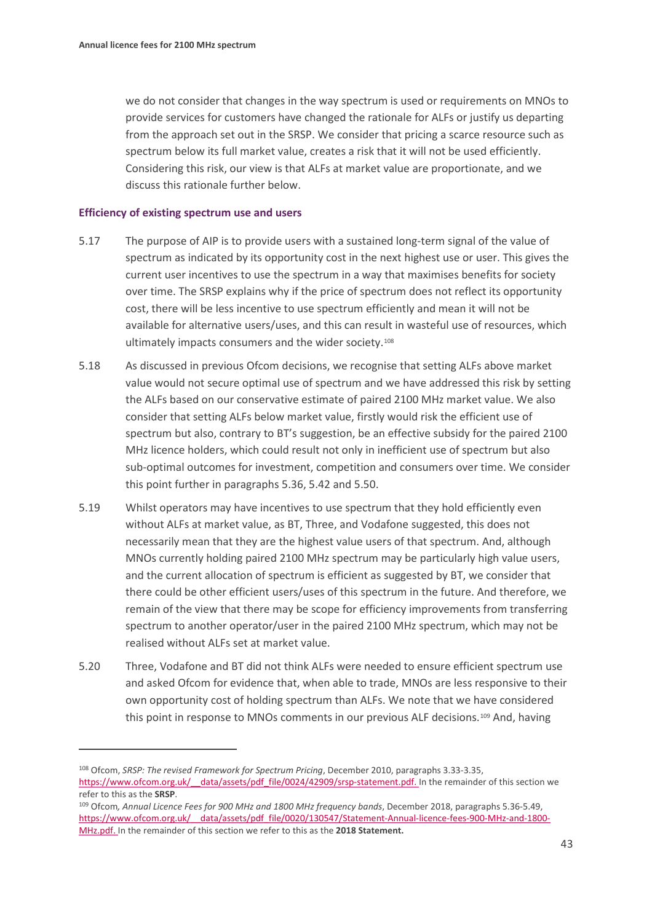we do not consider that changes in the way spectrum is used or requirements on MNOs to provide services for customers have changed the rationale for ALFs or justify us departing from the approach set out in the SRSP. We consider that pricing a scarce resource such as spectrum below its full market value, creates a risk that it will not be used efficiently. Considering this risk, our view is that ALFs at market value are proportionate, and we discuss this rationale further below.

#### **Efficiency of existing spectrum use and users**

- 5.17 The purpose of AIP is to provide users with a sustained long-term signal of the value of spectrum as indicated by its opportunity cost in the next highest use or user. This gives the current user incentives to use the spectrum in a way that maximises benefits for society over time. The SRSP explains why if the price of spectrum does not reflect its opportunity cost, there will be less incentive to use spectrum efficiently and mean it will not be available for alternative users/uses, and this can result in wasteful use of resources, which ultimately impacts consumers and the wider society.[108](#page-42-0)
- 5.18 As discussed in previous Ofcom decisions, we recognise that setting ALFs above market value would not secure optimal use of spectrum and we have addressed this risk by setting the ALFs based on our conservative estimate of paired 2100 MHz market value. We also consider that setting ALFs below market value, firstly would risk the efficient use of spectrum but also, contrary to BT's suggestion, be an effective subsidy for the paired 2100 MHz licence holders, which could result not only in inefficient use of spectrum but also sub-optimal outcomes for investment, competition and consumers over time. We consider this point further in paragraphs 5.36, 5.42 and 5.50.
- 5.19 Whilst operators may have incentives to use spectrum that they hold efficiently even without ALFs at market value, as BT, Three, and Vodafone suggested, this does not necessarily mean that they are the highest value users of that spectrum. And, although MNOs currently holding paired 2100 MHz spectrum may be particularly high value users, and the current allocation of spectrum is efficient as suggested by BT, we consider that there could be other efficient users/uses of this spectrum in the future. And therefore, we remain of the view that there may be scope for efficiency improvements from transferring spectrum to another operator/user in the paired 2100 MHz spectrum, which may not be realised without ALFs set at market value.
- 5.20 Three, Vodafone and BT did not think ALFs were needed to ensure efficient spectrum use and asked Ofcom for evidence that, when able to trade, MNOs are less responsive to their own opportunity cost of holding spectrum than ALFs. We note that we have considered this point in response to MNOs comments in our previous ALF decisions.<sup>[109](#page-42-1)</sup> And, having

<span id="page-42-0"></span><sup>108</sup> Ofcom, *SRSP: The revised Framework for Spectrum Pricing*, December 2010, paragraphs 3.33-3.35, https://www.ofcom.org.uk/ data/assets/pdf file/0024/42909/srsp-statement.pdf. In the remainder of this section we refer to this as the **SRSP**.

<span id="page-42-1"></span><sup>109</sup> Ofcom*, Annual Licence Fees for 900 MHz and 1800 MHz frequency bands*, December 2018, paragraphs 5.36-5.49, https://www.ofcom.org.uk/ data/assets/pdf file/0020/130547/Statement-Annual-licence-fees-900-MHz-and-1800-[MHz.pdf.](https://www.ofcom.org.uk/__data/assets/pdf_file/0020/130547/Statement-Annual-licence-fees-900-MHz-and-1800-MHz.pdf) In the remainder of this section we refer to this as the **2018 Statement.**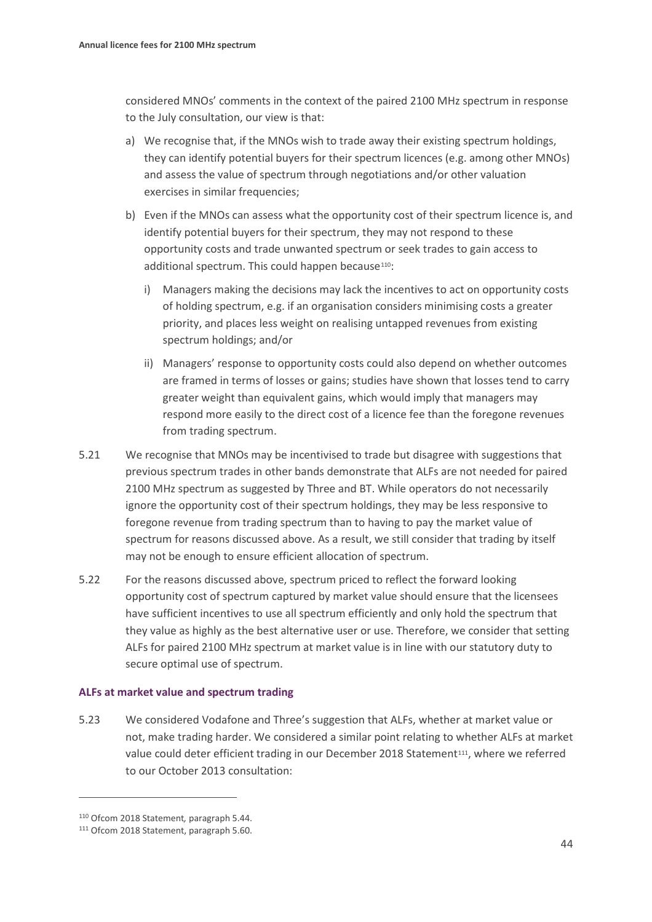considered MNOs' comments in the context of the paired 2100 MHz spectrum in response to the July consultation, our view is that:

- a) We recognise that, if the MNOs wish to trade away their existing spectrum holdings, they can identify potential buyers for their spectrum licences (e.g. among other MNOs) and assess the value of spectrum through negotiations and/or other valuation exercises in similar frequencies;
- b) Even if the MNOs can assess what the opportunity cost of their spectrum licence is, and identify potential buyers for their spectrum, they may not respond to these opportunity costs and trade unwanted spectrum or seek trades to gain access to additional spectrum. This could happen because<sup>110</sup>:
	- i) Managers making the decisions may lack the incentives to act on opportunity costs of holding spectrum, e.g. if an organisation considers minimising costs a greater priority, and places less weight on realising untapped revenues from existing spectrum holdings; and/or
	- ii) Managers' response to opportunity costs could also depend on whether outcomes are framed in terms of losses or gains; studies have shown that losses tend to carry greater weight than equivalent gains, which would imply that managers may respond more easily to the direct cost of a licence fee than the foregone revenues from trading spectrum.
- 5.21 We recognise that MNOs may be incentivised to trade but disagree with suggestions that previous spectrum trades in other bands demonstrate that ALFs are not needed for paired 2100 MHz spectrum as suggested by Three and BT. While operators do not necessarily ignore the opportunity cost of their spectrum holdings, they may be less responsive to foregone revenue from trading spectrum than to having to pay the market value of spectrum for reasons discussed above. As a result, we still consider that trading by itself may not be enough to ensure efficient allocation of spectrum.
- 5.22 For the reasons discussed above, spectrum priced to reflect the forward looking opportunity cost of spectrum captured by market value should ensure that the licensees have sufficient incentives to use all spectrum efficiently and only hold the spectrum that they value as highly as the best alternative user or use. Therefore, we consider that setting ALFs for paired 2100 MHz spectrum at market value is in line with our statutory duty to secure optimal use of spectrum.

#### **ALFs at market value and spectrum trading**

5.23 We considered Vodafone and Three's suggestion that ALFs, whether at market value or not, make trading harder. We considered a similar point relating to whether ALFs at market value could deter efficient trading in our December 2018 Statement<sup>[111](#page-43-1)</sup>, where we referred to our October 2013 consultation:

<span id="page-43-0"></span><sup>110</sup> Ofcom 2018 Statement*,* paragraph 5.44.

<span id="page-43-1"></span><sup>111</sup> Ofcom 2018 Statement, paragraph 5.60.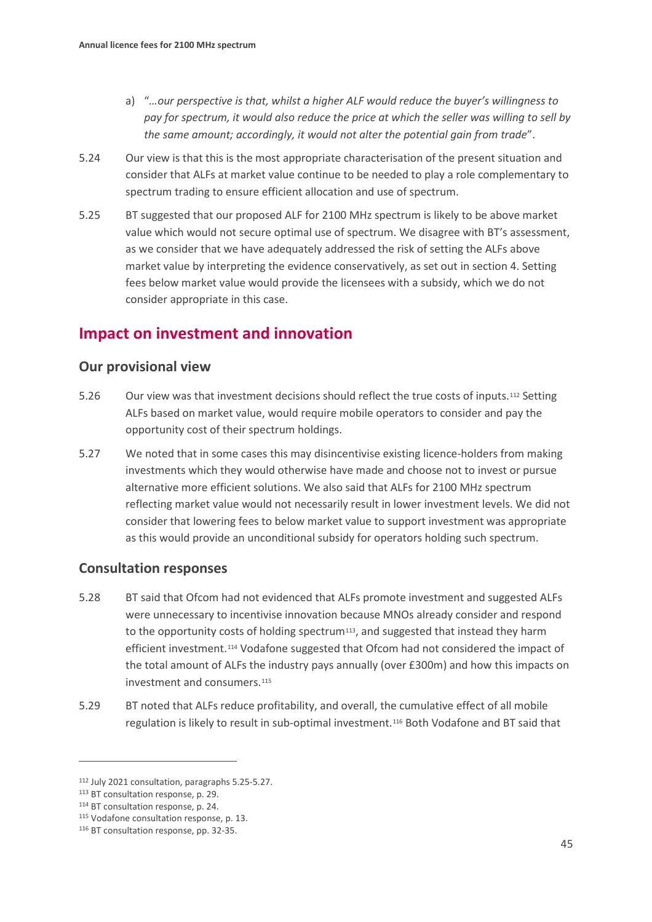- a) "*…our perspective is that, whilst a higher ALF would reduce the buyer's willingness to pay for spectrum, it would also reduce the price at which the seller was willing to sell by the same amount; accordingly, it would not alter the potential gain from trade*".
- 5.24 Our view is that this is the most appropriate characterisation of the present situation and consider that ALFs at market value continue to be needed to play a role complementary to spectrum trading to ensure efficient allocation and use of spectrum.
- 5.25 BT suggested that our proposed ALF for 2100 MHz spectrum is likely to be above market value which would not secure optimal use of spectrum. We disagree with BT's assessment, as we consider that we have adequately addressed the risk of setting the ALFs above market value by interpreting the evidence conservatively, as set out in section 4. Setting fees below market value would provide the licensees with a subsidy, which we do not consider appropriate in this case.

# **Impact on investment and innovation**

## **Our provisional view**

- 5.26 Our view was that investment decisions should reflect the true costs of inputs.[112](#page-44-0) Setting ALFs based on market value, would require mobile operators to consider and pay the opportunity cost of their spectrum holdings.
- 5.27 We noted that in some cases this may disincentivise existing licence-holders from making investments which they would otherwise have made and choose not to invest or pursue alternative more efficient solutions. We also said that ALFs for 2100 MHz spectrum reflecting market value would not necessarily result in lower investment levels. We did not consider that lowering fees to below market value to support investment was appropriate as this would provide an unconditional subsidy for operators holding such spectrum.

## **Consultation responses**

- 5.28 BT said that Ofcom had not evidenced that ALFs promote investment and suggested ALFs were unnecessary to incentivise innovation because MNOs already consider and respond to the opportunity costs of holding spectrum<sup>[113](#page-44-1)</sup>, and suggested that instead they harm efficient investment.[114](#page-44-2) Vodafone suggested that Ofcom had not considered the impact of the total amount of ALFs the industry pays annually (over £300m) and how this impacts on investment and consumers.[115](#page-44-3)
- 5.29 BT noted that ALFs reduce profitability, and overall, the cumulative effect of all mobile regulation is likely to result in sub-optimal investment[.116](#page-44-4) Both Vodafone and BT said that

<span id="page-44-0"></span><sup>112</sup> July 2021 consultation, paragraphs 5.25-5.27.

<span id="page-44-1"></span><sup>113</sup> BT consultation response, p. 29.

<span id="page-44-2"></span><sup>114</sup> BT consultation response, p. 24.

<span id="page-44-3"></span><sup>115</sup> Vodafone consultation response, p. 13.

<span id="page-44-4"></span><sup>116</sup> BT consultation response, pp. 32-35.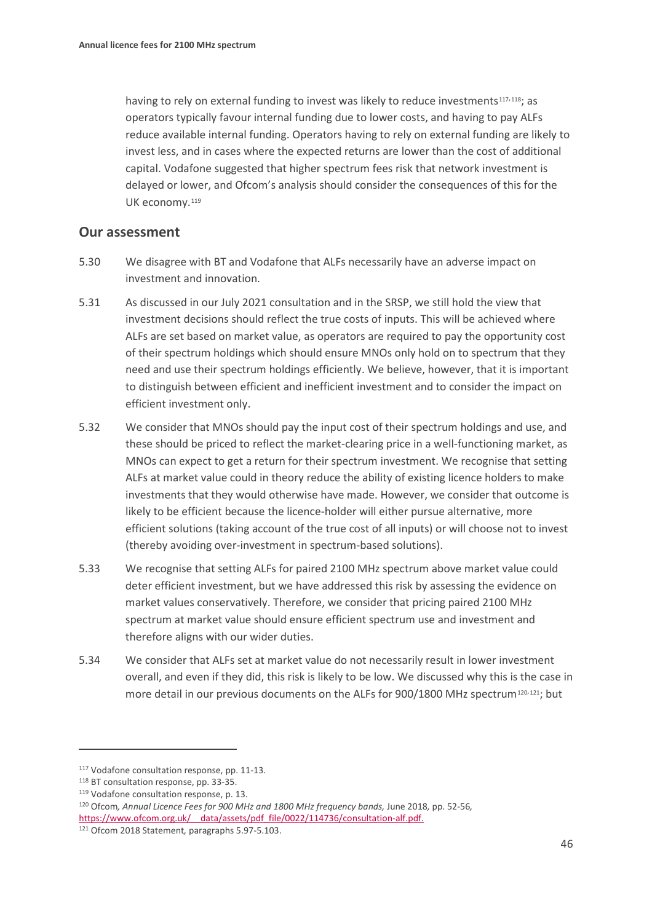having to rely on external funding to invest was likely to reduce investments<sup>[117](#page-45-0),118</sup>; as operators typically favour internal funding due to lower costs, and having to pay ALFs reduce available internal funding. Operators having to rely on external funding are likely to invest less, and in cases where the expected returns are lower than the cost of additional capital. Vodafone suggested that higher spectrum fees risk that network investment is delayed or lower, and Ofcom's analysis should consider the consequences of this for the UK economy.<sup>[119](#page-45-2)</sup>

#### **Our assessment**

- 5.30 We disagree with BT and Vodafone that ALFs necessarily have an adverse impact on investment and innovation.
- 5.31 As discussed in our July 2021 consultation and in the SRSP, we still hold the view that investment decisions should reflect the true costs of inputs. This will be achieved where ALFs are set based on market value, as operators are required to pay the opportunity cost of their spectrum holdings which should ensure MNOs only hold on to spectrum that they need and use their spectrum holdings efficiently. We believe, however, that it is important to distinguish between efficient and inefficient investment and to consider the impact on efficient investment only.
- 5.32 We consider that MNOs should pay the input cost of their spectrum holdings and use, and these should be priced to reflect the market-clearing price in a well-functioning market, as MNOs can expect to get a return for their spectrum investment. We recognise that setting ALFs at market value could in theory reduce the ability of existing licence holders to make investments that they would otherwise have made. However, we consider that outcome is likely to be efficient because the licence-holder will either pursue alternative, more efficient solutions (taking account of the true cost of all inputs) or will choose not to invest (thereby avoiding over-investment in spectrum-based solutions).
- 5.33 We recognise that setting ALFs for paired 2100 MHz spectrum above market value could deter efficient investment, but we have addressed this risk by assessing the evidence on market values conservatively. Therefore, we consider that pricing paired 2100 MHz spectrum at market value should ensure efficient spectrum use and investment and therefore aligns with our wider duties.
- 5.34 We consider that ALFs set at market value do not necessarily result in lower investment overall, and even if they did, this risk is likely to be low. We discussed why this is the case in more detail in our previous documents on the ALFs for 900/1800 MHz spectrum<sup>[120](#page-45-3),121</sup>; but

<span id="page-45-0"></span><sup>117</sup> Vodafone consultation response, pp. 11-13.

<span id="page-45-1"></span><sup>118</sup> BT consultation response, pp. 33-35.

<span id="page-45-2"></span><sup>119</sup> Vodafone consultation response, p. 13.

<span id="page-45-3"></span><sup>120</sup> Ofcom*, Annual Licence Fees for 900 MHz and 1800 MHz frequency bands,* June 2018*,* pp. 52-56*,* https://www.ofcom.org.uk/ data/assets/pdf\_file/0022/114736/consultation-alf.pdf.

<span id="page-45-4"></span><sup>121</sup> Ofcom 2018 Statement*,* paragraphs 5.97-5.103.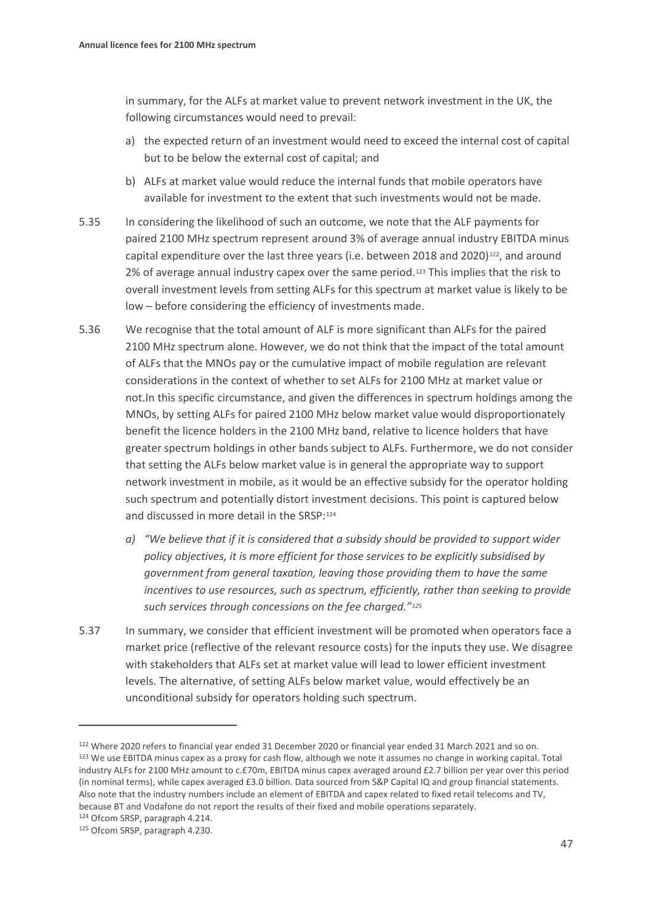in summary, for the ALFs at market value to prevent network investment in the UK, the following circumstances would need to prevail:

- a) the expected return of an investment would need to exceed the internal cost of capital but to be below the external cost of capital; and
- b) ALFs at market value would reduce the internal funds that mobile operators have available for investment to the extent that such investments would not be made.
- 5.35 In considering the likelihood of such an outcome, we note that the ALF payments for paired 2100 MHz spectrum represent around 3% of average annual industry EBITDA minus capital expenditure over the last three years (i.e. between 2018 and 2020) $^{122}$ , and around 2% of average annual industry capex over the same period.[123](#page-46-1) This implies that the risk to overall investment levels from setting ALFs for this spectrum at market value is likely to be low – before considering the efficiency of investments made.
- 5.36 We recognise that the total amount of ALF is more significant than ALFs for the paired 2100 MHz spectrum alone. However, we do not think that the impact of the total amount of ALFs that the MNOs pay or the cumulative impact of mobile regulation are relevant considerations in the context of whether to set ALFs for 2100 MHz at market value or not.In this specific circumstance, and given the differences in spectrum holdings among the MNOs, by setting ALFs for paired 2100 MHz below market value would disproportionately benefit the licence holders in the 2100 MHz band, relative to licence holders that have greater spectrum holdings in other bands subject to ALFs. Furthermore, we do not consider that setting the ALFs below market value is in general the appropriate way to support network investment in mobile, as it would be an effective subsidy for the operator holding such spectrum and potentially distort investment decisions. This point is captured below and discussed in more detail in the SRSP:[124](#page-46-2)
	- *a) "We believe that if it is considered that a subsidy should be provided to support wider policy objectives, it is more efficient for those services to be explicitly subsidised by government from general taxation, leaving those providing them to have the same incentives to use resources, such as spectrum, efficiently, rather than seeking to provide such services through concessions on the fee charged."[125](#page-46-3)*
- 5.37 In summary, we consider that efficient investment will be promoted when operators face a market price (reflective of the relevant resource costs) for the inputs they use. We disagree with stakeholders that ALFs set at market value will lead to lower efficient investment levels. The alternative, of setting ALFs below market value, would effectively be an unconditional subsidy for operators holding such spectrum.

<span id="page-46-1"></span><span id="page-46-0"></span><sup>122</sup> Where 2020 refers to financial year ended 31 December 2020 or financial year ended 31 March 2021 and so on. 123 We use EBITDA minus capex as a proxy for cash flow, although we note it assumes no change in working capital. Total industry ALFs for 2100 MHz amount to c.£70m, EBITDA minus capex averaged around £2.7 billion per year over this period (in nominal terms), while capex averaged £3.0 billion. Data sourced from S&P Capital IQ and group financial statements. Also note that the industry numbers include an element of EBITDA and capex related to fixed retail telecoms and TV, because BT and Vodafone do not report the results of their fixed and mobile operations separately.

<span id="page-46-2"></span><sup>124</sup> Ofcom SRSP, paragraph 4.214.

<span id="page-46-3"></span><sup>125</sup> Ofcom SRSP, paragraph 4.230.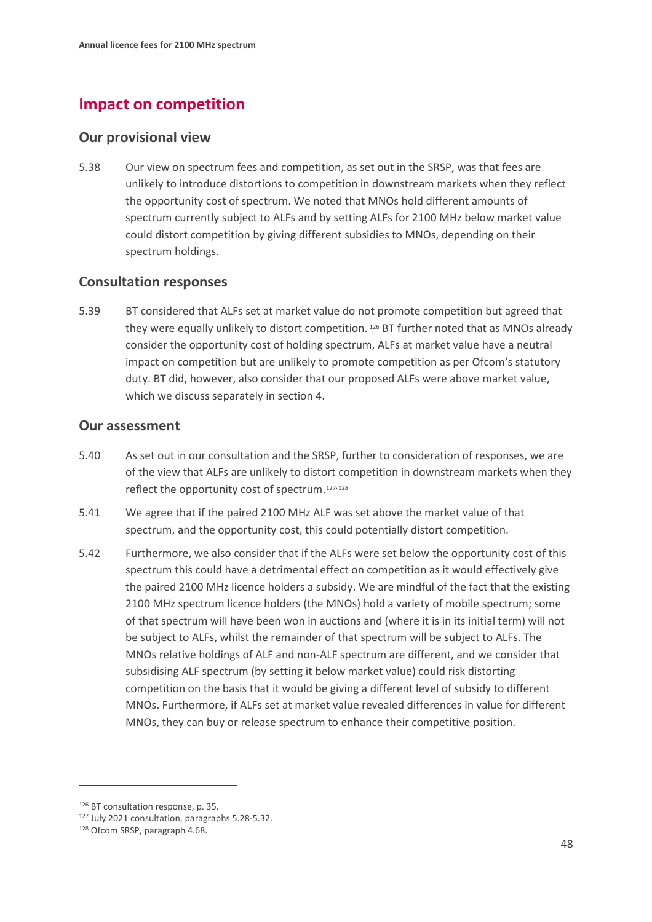# **Impact on competition**

## **Our provisional view**

5.38 Our view on spectrum fees and competition, as set out in the SRSP, was that fees are unlikely to introduce distortions to competition in downstream markets when they reflect the opportunity cost of spectrum. We noted that MNOs hold different amounts of spectrum currently subject to ALFs and by setting ALFs for 2100 MHz below market value could distort competition by giving different subsidies to MNOs, depending on their spectrum holdings.

## **Consultation responses**

5.39 BT considered that ALFs set at market value do not promote competition but agreed that they were equally unlikely to distort competition. [126](#page-47-0) BT further noted that as MNOs already consider the opportunity cost of holding spectrum, ALFs at market value have a neutral impact on competition but are unlikely to promote competition as per Ofcom's statutory duty. BT did, however, also consider that our proposed ALFs were above market value, which we discuss separately in section 4.

### **Our assessment**

- 5.40 As set out in our consultation and the SRSP, further to consideration of responses, we are of the view that ALFs are unlikely to distort competition in downstream markets when they reflect the opportunity cost of spectrum.[127,](#page-47-1)[128](#page-47-2)
- 5.41 We agree that if the paired 2100 MHz ALF was set above the market value of that spectrum, and the opportunity cost, this could potentially distort competition.
- 5.42 Furthermore, we also consider that if the ALFs were set below the opportunity cost of this spectrum this could have a detrimental effect on competition as it would effectively give the paired 2100 MHz licence holders a subsidy. We are mindful of the fact that the existing 2100 MHz spectrum licence holders (the MNOs) hold a variety of mobile spectrum; some of that spectrum will have been won in auctions and (where it is in its initial term) will not be subject to ALFs, whilst the remainder of that spectrum will be subject to ALFs. The MNOs relative holdings of ALF and non-ALF spectrum are different, and we consider that subsidising ALF spectrum (by setting it below market value) could risk distorting competition on the basis that it would be giving a different level of subsidy to different MNOs. Furthermore, if ALFs set at market value revealed differences in value for different MNOs, they can buy or release spectrum to enhance their competitive position.

<span id="page-47-1"></span><span id="page-47-0"></span><sup>126</sup> BT consultation response, p. 35.

<sup>127</sup> July 2021 consultation, paragraphs 5.28-5.32.

<span id="page-47-2"></span><sup>128</sup> Ofcom SRSP, paragraph 4.68.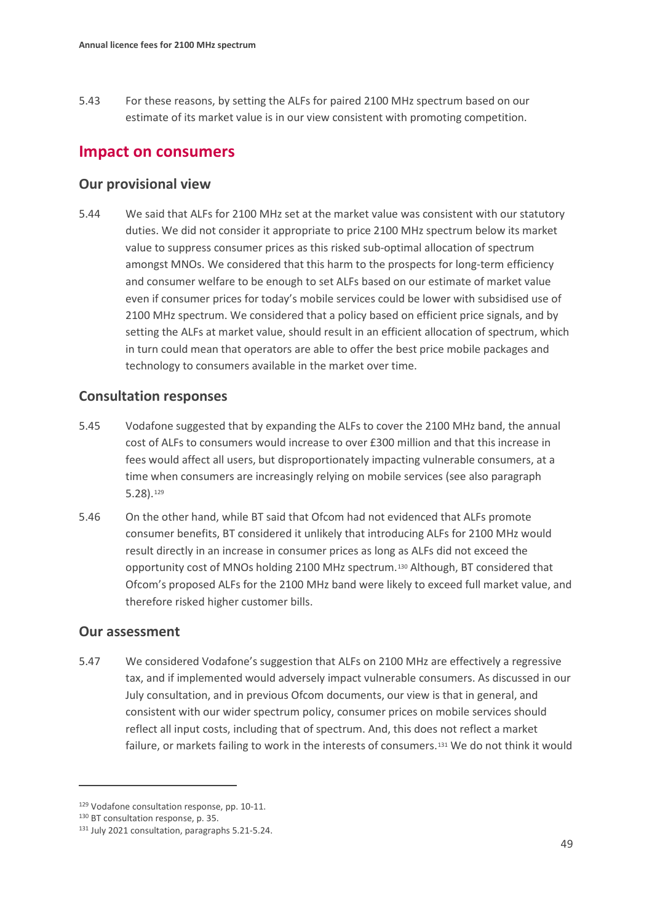5.43 For these reasons, by setting the ALFs for paired 2100 MHz spectrum based on our estimate of its market value is in our view consistent with promoting competition.

# **Impact on consumers**

### **Our provisional view**

5.44 We said that ALFs for 2100 MHz set at the market value was consistent with our statutory duties. We did not consider it appropriate to price 2100 MHz spectrum below its market value to suppress consumer prices as this risked sub-optimal allocation of spectrum amongst MNOs. We considered that this harm to the prospects for long-term efficiency and consumer welfare to be enough to set ALFs based on our estimate of market value even if consumer prices for today's mobile services could be lower with subsidised use of 2100 MHz spectrum. We considered that a policy based on efficient price signals, and by setting the ALFs at market value, should result in an efficient allocation of spectrum, which in turn could mean that operators are able to offer the best price mobile packages and technology to consumers available in the market over time.

## **Consultation responses**

- 5.45 Vodafone suggested that by expanding the ALFs to cover the 2100 MHz band, the annual cost of ALFs to consumers would increase to over £300 million and that this increase in fees would affect all users, but disproportionately impacting vulnerable consumers, at a time when consumers are increasingly relying on mobile services (see also paragraph 5.28).[129](#page-48-0)
- 5.46 On the other hand, while BT said that Ofcom had not evidenced that ALFs promote consumer benefits, BT considered it unlikely that introducing ALFs for 2100 MHz would result directly in an increase in consumer prices as long as ALFs did not exceed the opportunity cost of MNOs holding 2100 MHz spectrum.[130](#page-48-1) Although, BT considered that Ofcom's proposed ALFs for the 2100 MHz band were likely to exceed full market value, and therefore risked higher customer bills.

## **Our assessment**

<span id="page-48-3"></span>5.47 We considered Vodafone's suggestion that ALFs on 2100 MHz are effectively a regressive tax, and if implemented would adversely impact vulnerable consumers. As discussed in our July consultation, and in previous Ofcom documents, our view is that in general, and consistent with our wider spectrum policy, consumer prices on mobile services should reflect all input costs, including that of spectrum. And, this does not reflect a market failure, or markets failing to work in the interests of consumers.[131](#page-48-2) We do not think it would

<span id="page-48-0"></span><sup>129</sup> Vodafone consultation response, pp. 10-11.

<span id="page-48-1"></span><sup>130</sup> BT consultation response, p. 35.

<span id="page-48-2"></span><sup>131</sup> July 2021 consultation, paragraphs 5.21-5.24.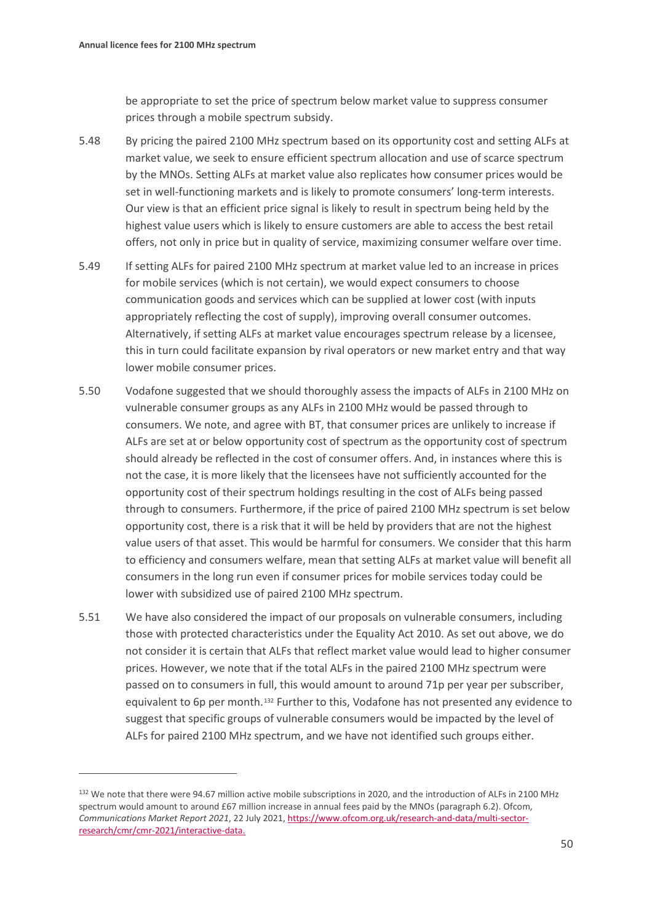be appropriate to set the price of spectrum below market value to suppress consumer prices through a mobile spectrum subsidy.

- 5.48 By pricing the paired 2100 MHz spectrum based on its opportunity cost and setting ALFs at market value, we seek to ensure efficient spectrum allocation and use of scarce spectrum by the MNOs. Setting ALFs at market value also replicates how consumer prices would be set in well-functioning markets and is likely to promote consumers' long-term interests. Our view is that an efficient price signal is likely to result in spectrum being held by the highest value users which is likely to ensure customers are able to access the best retail offers, not only in price but in quality of service, maximizing consumer welfare over time.
- 5.49 If setting ALFs for paired 2100 MHz spectrum at market value led to an increase in prices for mobile services (which is not certain), we would expect consumers to choose communication goods and services which can be supplied at lower cost (with inputs appropriately reflecting the cost of supply), improving overall consumer outcomes. Alternatively, if setting ALFs at market value encourages spectrum release by a licensee, this in turn could facilitate expansion by rival operators or new market entry and that way lower mobile consumer prices.
- 5.50 Vodafone suggested that we should thoroughly assess the impacts of ALFs in 2100 MHz on vulnerable consumer groups as any ALFs in 2100 MHz would be passed through to consumers. We note, and agree with BT, that consumer prices are unlikely to increase if ALFs are set at or below opportunity cost of spectrum as the opportunity cost of spectrum should already be reflected in the cost of consumer offers. And, in instances where this is not the case, it is more likely that the licensees have not sufficiently accounted for the opportunity cost of their spectrum holdings resulting in the cost of ALFs being passed through to consumers. Furthermore, if the price of paired 2100 MHz spectrum is set below opportunity cost, there is a risk that it will be held by providers that are not the highest value users of that asset. This would be harmful for consumers. We consider that this harm to efficiency and consumers welfare, mean that setting ALFs at market value will benefit all consumers in the long run even if consumer prices for mobile services today could be lower with subsidized use of paired 2100 MHz spectrum.
- 5.51 We have also considered the impact of our proposals on vulnerable consumers, including those with protected characteristics under the Equality Act 2010. As set out above, we do not consider it is certain that ALFs that reflect market value would lead to higher consumer prices. However, we note that if the total ALFs in the paired 2100 MHz spectrum were passed on to consumers in full, this would amount to around 71p per year per subscriber, equivalent to 6p per month.<sup>[132](#page-49-0)</sup> Further to this, Vodafone has not presented any evidence to suggest that specific groups of vulnerable consumers would be impacted by the level of ALFs for paired 2100 MHz spectrum, and we have not identified such groups either.

<span id="page-49-0"></span><sup>132</sup> We note that there were 94.67 million active mobile subscriptions in 2020, and the introduction of ALFs in 2100 MHz spectrum would amount to around £67 million increase in annual fees paid by the MNOs (paragraph 6.2). Ofcom, *Communications Market Report 2021*, 22 July 2021[, https://www.ofcom.org.uk/research-and-data/multi-sector](https://www.ofcom.org.uk/research-and-data/multi-sector-research/cmr/cmr-2021/interactive-data)[research/cmr/cmr-2021/interactive-data.](https://www.ofcom.org.uk/research-and-data/multi-sector-research/cmr/cmr-2021/interactive-data)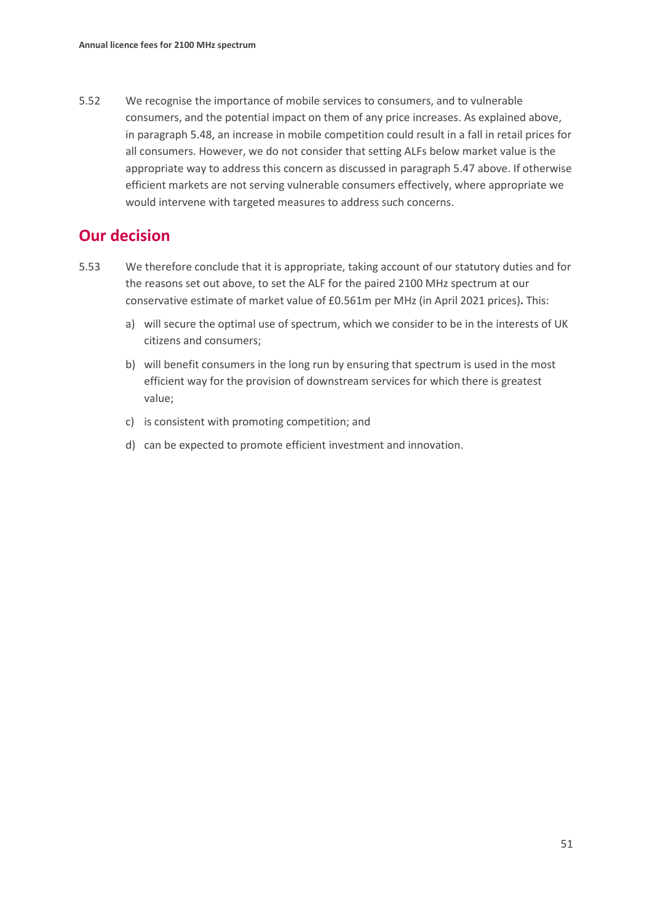5.52 We recognise the importance of mobile services to consumers, and to vulnerable consumers, and the potential impact on them of any price increases. As explained above, in paragraph 5.48, an increase in mobile competition could result in a fall in retail prices for all consumers. However, we do not consider that setting ALFs below market value is the appropriate way to address this concern as discussed in paragraph [5.47](#page-48-3) above. If otherwise efficient markets are not serving vulnerable consumers effectively, where appropriate we would intervene with targeted measures to address such concerns.

# **Our decision**

- 5.53 We therefore conclude that it is appropriate, taking account of our statutory duties and for the reasons set out above, to set the ALF for the paired 2100 MHz spectrum at our conservative estimate of market value of £0.561m per MHz (in April 2021 prices)**.** This:
	- a) will secure the optimal use of spectrum, which we consider to be in the interests of UK citizens and consumers;
	- b) will benefit consumers in the long run by ensuring that spectrum is used in the most efficient way for the provision of downstream services for which there is greatest value;
	- c) is consistent with promoting competition; and
	- d) can be expected to promote efficient investment and innovation.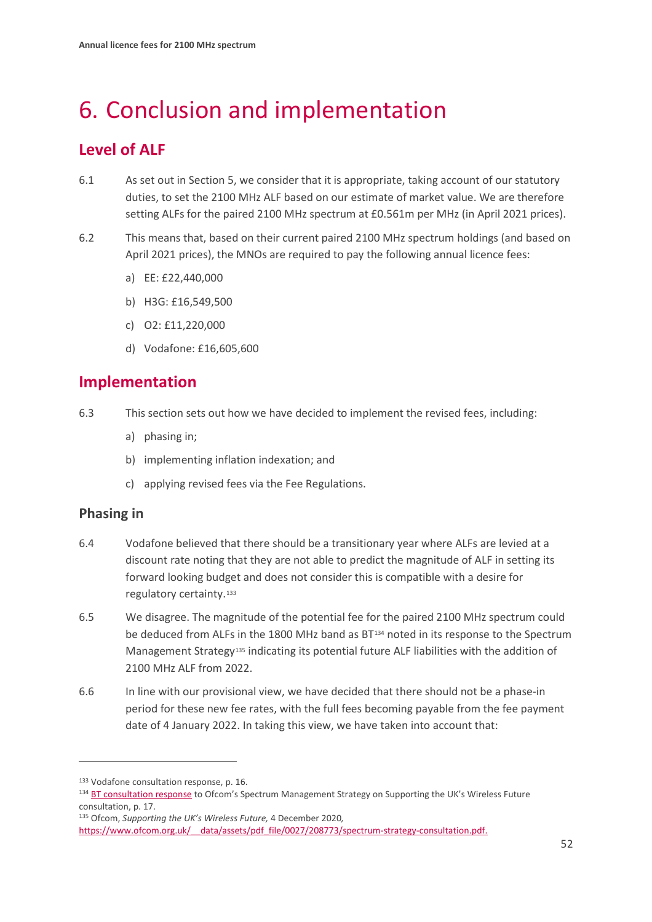# <span id="page-51-0"></span>6. Conclusion and implementation

# **Level of ALF**

- 6.1 As set out in Section 5, we consider that it is appropriate, taking account of our statutory duties, to set the 2100 MHz ALF based on our estimate of market value. We are therefore setting ALFs for the paired 2100 MHz spectrum at £0.561m per MHz (in April 2021 prices).
- 6.2 This means that, based on their current paired 2100 MHz spectrum holdings (and based on April 2021 prices), the MNOs are required to pay the following annual licence fees:
	- a) EE: £22,440,000
	- b) H3G: £16,549,500
	- c) O2: £11,220,000
	- d) Vodafone: £16,605,600

# **Implementation**

- 6.3 This section sets out how we have decided to implement the revised fees, including:
	- a) phasing in;
	- b) implementing inflation indexation; and
	- c) applying revised fees via the Fee Regulations.

## **Phasing in**

- 6.4 Vodafone believed that there should be a transitionary year where ALFs are levied at a discount rate noting that they are not able to predict the magnitude of ALF in setting its forward looking budget and does not consider this is compatible with a desire for regulatory certainty.[133](#page-51-1)
- 6.5 We disagree. The magnitude of the potential fee for the paired 2100 MHz spectrum could be deduced from ALFs in the 1800 MHz band as BT<sup>[134](#page-51-2)</sup> noted in its response to the Spectrum Management Strategy<sup>[135](#page-51-3)</sup> indicating its potential future ALF liabilities with the addition of 2100 MHz ALF from 2022.
- 6.6 In line with our provisional view, we have decided that there should not be a phase-in period for these new fee rates, with the full fees becoming payable from the fee payment date of 4 January 2022. In taking this view, we have taken into account that:

<span id="page-51-1"></span><sup>133</sup> Vodafone consultation response, p. 16.

<span id="page-51-2"></span><sup>134</sup> [BT consultation response](https://www.ofcom.org.uk/__data/assets/pdf_file/0020/217532/bt.pdf) to Ofcom's Spectrum Management Strategy on Supporting the UK's Wireless Future consultation, p. 17.

<span id="page-51-3"></span><sup>135</sup> Ofcom, *Supporting the UK's Wireless Future,* 4 December 2020*,*

https://www.ofcom.org.uk/ data/assets/pdf file/0027/208773/spectrum-strategy-consultation.pdf.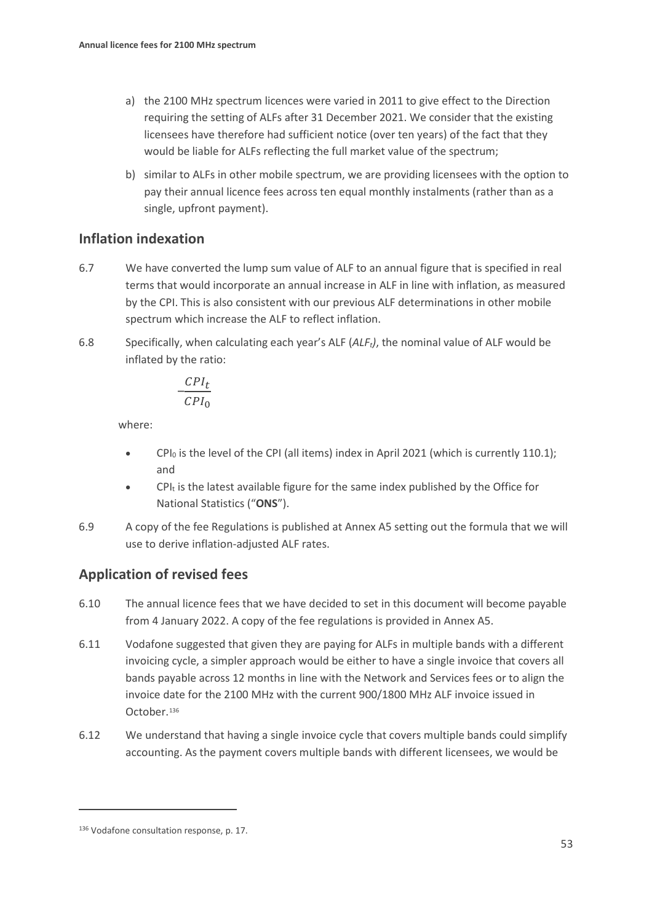- a) the 2100 MHz spectrum licences were varied in 2011 to give effect to the Direction requiring the setting of ALFs after 31 December 2021. We consider that the existing licensees have therefore had sufficient notice (over ten years) of the fact that they would be liable for ALFs reflecting the full market value of the spectrum;
- b) similar to ALFs in other mobile spectrum, we are providing licensees with the option to pay their annual licence fees across ten equal monthly instalments (rather than as a single, upfront payment).

## **Inflation indexation**

- 6.7 We have converted the lump sum value of ALF to an annual figure that is specified in real terms that would incorporate an annual increase in ALF in line with inflation, as measured by the CPI. This is also consistent with our previous ALF determinations in other mobile spectrum which increase the ALF to reflect inflation.
- 6.8 Specifically, when calculating each year's ALF (*ALFt)*, the nominal value of ALF would be inflated by the ratio:

$$
\frac{CPI_t}{CPI_0}
$$

where:

- CPI $_0$  is the level of the CPI (all items) index in April 2021 (which is currently 110.1); and
- CPI $<sub>t</sub>$  is the latest available figure for the same index published by the Office for</sub> National Statistics ("**ONS**").
- 6.9 A copy of the fee Regulations is published at Annex A5 setting out the formula that we will use to derive inflation-adjusted ALF rates.

# **Application of revised fees**

- 6.10 The annual licence fees that we have decided to set in this document will become payable from 4 January 2022. A copy of the fee regulations is provided in Annex A5.
- 6.11 Vodafone suggested that given they are paying for ALFs in multiple bands with a different invoicing cycle, a simpler approach would be either to have a single invoice that covers all bands payable across 12 months in line with the Network and Services fees or to align the invoice date for the 2100 MHz with the current 900/1800 MHz ALF invoice issued in October.[136](#page-52-0)
- 6.12 We understand that having a single invoice cycle that covers multiple bands could simplify accounting. As the payment covers multiple bands with different licensees, we would be

<span id="page-52-0"></span><sup>136</sup> Vodafone consultation response, p. 17.